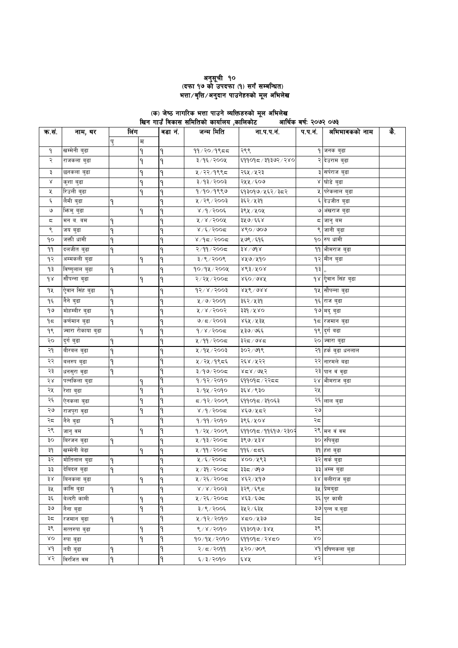# 

#### आर्थिक बर्ष: २०७२ ०७३

| क.सं. | नाम, थर            |              | लिंग | वडा नं. | जन्म मिति             | ना.प.प.नं.         | प.प.नं. | अभिभावकको नाम             | के. |
|-------|--------------------|--------------|------|---------|-----------------------|--------------------|---------|---------------------------|-----|
|       |                    | पु           | म    |         |                       |                    |         |                           |     |
| ۹     | खम्मेनी बुढा       |              | ۹    | ۹       | $99/20/9$ ९८८         | २९९                |         | १ जनक बुढा                |     |
| २     | राजकला बुढा        |              | ۹    | ٩       | ३/१६/२००५             | ६११०१८/३१३७२/२४०   |         | २ देउराम बुढा             |     |
| ३     | छनकला बुढा         |              | ۹    | ۹       | ५/२२/१९९८             | २६५ ⁄ ५२३          |         | ३ सर्पराज बुढा            |     |
| Χ     | कुशा बुढा          |              | ٩    | ۹       | 3/93/2003             | २५५ / ६०७          |         | ४ घोडे बुढा               |     |
| χ     | रिउली बुढा         |              | ۹    | ٩       | १/१०/१९९७             | ६१३०१७/५६२/३८२     |         | <b>५ परेकलाल बुढा</b>     |     |
| ٤     | लैमी बुढा          | ٩            |      | ٩       | ५/२९/२००३             | ३६२ ⁄ ५३१          |         | ६ देउजीत बुढा             |     |
| ৩     | भिन्मु बुढा        |              | ۹    | ٩       | $8/9/300$ ६           | ३९५ ⁄ ५०५          |         | ७ अंखराज बुढा             |     |
| ς     | मन ब. बम           | ۹            |      | ٩       | $800$ ४ / ४००         | ३५७/६६४            |         | द जानु बम                 |     |
| ९     | जय बुढा            | ٩            |      | ٩       | $8/200$ द             | $860 \land 909$    |         | <mark>९ जा</mark> नी बुढा |     |
| ٩o    | जक्ती धामी         | ٩            |      | ٩       | $8/95/900$ द          | ५७९ ⁄ ६१६          |         | १० रुप धामी               |     |
| 99    | दलजीत बुढा         | ٩            |      | ٩       | २/११/२००८             | $38 \setminus 008$ |         | 99  भीमराज बुढा           |     |
| १२    | अम्मकली बुढा       |              | ۹    | ۹       | ३/९/२००९              | ४५७/५१०            |         | १२ मीन बुढा               |     |
| ۹३    | विष्णुलाल बुढा     | ٩            |      | ٩       | १०/१५/२००५            | $863\sqrt{10}$     | 93,     |                           |     |
| qr    | सौंपन्ना बुढा      |              | ۹    | ٩       | २/२५/२००८             | ४६०/७४५            |         | १४ ऐुवान सिंह बुढा        |     |
| ٩X    | ऐुवान सिंह बुढा    | ۹            |      | ۹       | $93/x \times 5003$    | $876$ \ $988$      |         | १५ सौंपन्ना बुढा          |     |
| ۹६    | नैने बुढा          | ۹            |      | ٩       | ४/७/२००१              | ३६२ ⁄ ५३१          |         | १६ राज बुढा               |     |
| ۹७    | मोहम्बीर बुढा      | 9            |      | ٩       | 8005/8                | ३३१/५४०            |         | १७ मदु बुढा               |     |
| ۹≂    | कर्णमान बुढा       | ٩            |      | ٩       | ७/८/२००३              | ४६५ ⁄ ५३५          |         | १८ रजमान बुढा             |     |
| १९    | ज्वारा रोकाया बुढा |              | ٩    | ۹       | $d \times 1$ ४००८     | ५३७/७६६            |         | १९ दुर्ग बढा              |     |
| २०    | दुर्ग बुढा         | ٩            |      | ٩       | ५/११/२००८             | ३२८/७४८            |         | २० ज्वारा बुढा            |     |
| २१    | बीरबल बुढा         | ٩            |      | ٩       | ५/१५/२००३             | ३०२ ⁄ ७१९          |         | २१  हर्क बुढा धनलाल       |     |
| २२    | बलरुप बुढा         | ۹            |      | ٩       | ५ / २५ / १९८६         | २६४ ⁄ ५२२          |         | २२ नारमले बढा             |     |
| २३    | धनसुरा वुढा        | ۹            |      | ٩       | ३/१७/२००८             | ४८४/७५२            |         | २३ पान वं वुढा            |     |
| २४    | पत्नकिला बुढा      |              | ٩    | 9       | १/१२/२०१०             | ६११०१८/२२८८        |         | २४  भीमराज बुढा           |     |
| २५    | रेशा बुढा          |              | ٩    | ۹       | ३/१५/२०१०             | ३६४ /९३०           | २५      |                           |     |
| २६    | ऐनकला बुढा         |              | ٩    | ۹       | द ⁄१२∕ २००९           | ६११०१८ / ३१०६३     |         | २६ लाल बुढा               |     |
| २७    | राजपुरा वुढा       |              | ۹    | ٩       | $8/9/200$ द           | ४६७/५८२            | ২৩      |                           |     |
| २८    | नैने बुढा          | ۹            |      | ۹       | १/११/२०१०             | ३९६ ⁄ ५०४          | २८      |                           |     |
| २९    | जानु वम            |              | ٩    | ٩       | १/२५/२००९             | ६११०१८/११६१७/२३०२  |         | २९ मन वं वम               |     |
| ३०    | बिरजन बुढा         | ٩            |      | ۹       | ५/१३/२००८             | ३९७/५३४            |         | ३० रुपिबुढा               |     |
| ३१    | खम्मेनी बेढा       |              | ٩    | ٩       | ५/११/२००८             | ११६ ⁄ दद६          |         | ३१ हंश बुढा               |     |
| ३२    | मोतिलाल बुढा       | ۹            |      | ٩       | ५/६/२००८              | ४०० ⁄ ५९३          |         | ३२ सर्क बुढा              |     |
| ३३    | देबिदत्त बुढा      | $\mathbf{q}$ |      | ٩       | ५ / ३१ / २००८         | ३३८ / ७१७          |         | ३३ अम्म बुढा              |     |
| ३४    | बिनकला बुढा        |              | ۹    | ٩       | ५/२६/२००८             | ४६२⁄ ५१७           |         | ३४ वलीराज बुढा            |     |
| ३५    | कांसि बुढा         | ۹            |      | ٩       | $8\sqrt{8}\sqrt{500}$ | ३२९ ⁄ ६९८          |         | ३५ प्रेमबुढा              |     |
| ३६    | बेल्दरी कामी       |              | ۹    | ۹       | ५/२६/२००८             | ४६३/६७८            |         | ३६ पुर कामी               |     |
| ३७    | नैना बुढा          |              | ۹    | ٩       | ३/९/२००६              | ३५२ ⁄ ६३५          |         | ३७ पुन्न ब.बुढा           |     |
| ३८    | रजमान बुढा         | ۹            |      | ۹       | ५/१२/२०१०             | ४८०/५३७            | ३ದ      |                           |     |
| ३९    | सत्तरुपा बुढा      |              | ۹    | ۹       | ९/४/२०१०              | ६१३०१७/३४५         | ३९      |                           |     |
| δO    | रुपा बुढा          |              | ٩    | ۹       | १०/१५/२०१०            | ६११०१८/२४८०        | ΧO      |                           |     |
| λd    | नदी बुढा           | ۹            |      | ۹       | २/८/२०११              | ५२०/७०९            |         | ४१ दधिणकला बढा            |     |
| ४२    | विरजित वम          | ٩            |      | ٩       | ६/३/२०१०              | ६४५                | ४२      |                           |     |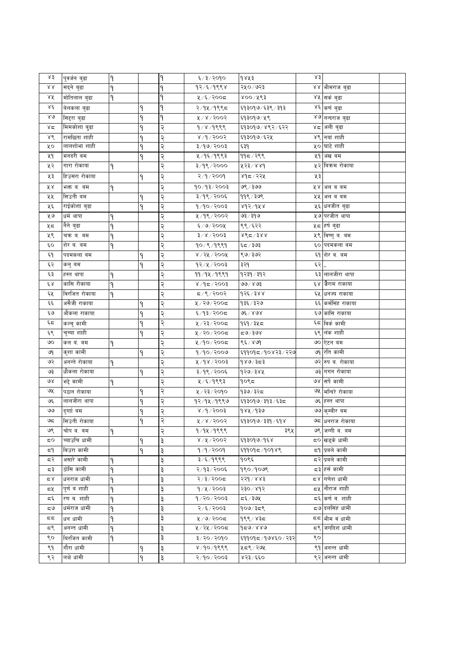| ४३           | पूवर्जन बुढा  | ٩ |   | ٩ | ६/३/२०१०                                                      | १४५३             | $\lambda$ 3 |                               |  |
|--------------|---------------|---|---|---|---------------------------------------------------------------|------------------|-------------|-------------------------------|--|
| RΧ           | सद्ने बुढा    | ۹ |   | ۹ | १२/६/१९९४                                                     | २५०/७२३          |             | ४४ <mark> </mark> भीमराज बुढा |  |
| ४५           | मोतिलाल बुढा  | ٩ |   | ۹ | ५/६/२००८                                                      | ४०० ⁄ ५९३        |             | ४५ सर्क बुढा                  |  |
| Χέ           | बेलकला बुढा   |   | ٩ | ۹ | २/१५/१९९८                                                     | ६१३०१७/६३९/३१३   |             | ४६ कर्ण बुढा                  |  |
| $80^{\circ}$ | सिद्दरा बुढा  |   | ٩ | ٩ | 8005/8                                                        | ६१३०१७/५९        |             | ४७ नन्दराज बुढा               |  |
| ४द           | मिमकोशा बुढा  |   | ۹ | २ | 9/8/9999                                                      | ६१३०१७/४९२/६२२   |             | ४८ अली बुढा                   |  |
| ४९           | रामछिता शाही  |   | ٩ | २ | 8/9/3003                                                      | ६१३०१७ ⁄ ६२५     |             | ४९ नयां शाही                  |  |
| γо           | लालशोभा शाही  |   | ۹ | २ | ३/१७/२००३                                                     | ६३१              |             | ५० घाटे शाही                  |  |
| ५१           | मनदरी बम      |   | ۹ | २ | ५ ⁄ १६ ⁄ १९९३                                                 | ११८/२९९          |             | ५१ अंख बम                     |  |
| ५२           | गारा रोकाया   | ۹ |   | २ | ३/१९/२०००                                                     | ४२३/४४१          |             | ५२ बिक्रम रोकाया              |  |
| ५३           | हिउसरा रोकाया |   | ٩ | २ | २/१/२००१                                                      | ४१८/२२५          | ५३          |                               |  |
| ४४           | भक्त व. वम    | ۹ |   | २ | 90/93/2003                                                    | ७९ ⁄ ३७७         |             | ५४ अल व बम                    |  |
| ५५           | सिउती बम      |   | ۹ | २ | ३/१९/२००६                                                     | ११९ ⁄ ३७९        |             | ५५ अल व बम                    |  |
| ५६           | राईकोशा बुढा  |   | ۹ | २ | 9/90/2003                                                     | ४१२⁄१५४          |             | <b>५६ धनजीत बुढा</b>          |  |
| ५७           | धर्म थापा     | ٩ |   | २ | ५/१९/२००२                                                     | ७३ ⁄ इ७          |             | ५७ परजीत थापा                 |  |
| ५८           | नैने बुढा     | ٩ |   | २ | 6/9/500                                                       | ९९ ⁄ ६२२         |             | ५८ हर्ष बुढा                  |  |
| ५९           | चक्र ब. बम    | ۹ |   | २ | $\frac{1}{2}$ \ $\frac{1}{2}$ \ $\frac{1}{2}$ \ $\frac{1}{2}$ | ४९८/३४४          |             | <b>५९ विष्णुब. बम</b>         |  |
| ć٥           | शेर ब. बम     | ٩ |   | २ | 90/9/9999                                                     | ६८/ २७३          |             | ६० पदमकला बम                  |  |
| ξ٩           | पदमकला बम     |   | ۹ | २ | 8/28/2008                                                     | ९७/३७२           |             | ६१ शेर व. बम                  |  |
| ६२           | कलु बम        |   | ٩ | २ | 93/4/3003                                                     | ३२१              | ६२          |                               |  |
| ६३           | हस्त थापा     | ٩ |   | २ | ११/१५/१९९१                                                    | १२३१ ∕ ३१२       |             | ६३ लालजीरा थापा               |  |
| بع کا        | कासि रोकाया   | ٩ |   | २ | $800$ २/२००३                                                  | ও১∖ ৪৫           |             | ६४ जैराम राकाया               |  |
| ६५           | विरजित रोकाया | ۹ |   | २ | 5008/20                                                       | १२६ ⁄ ३४४        |             | ६५ धनज्य राकाया               |  |
| چې           | असैजी राकाया  |   | ۹ | २ | ५/२७/२००८                                                     | १३६ ∕ ३२७        |             | ६६ कर्मसिंह राकाया            |  |
| ي ع          | औकला राकाया   |   | ٩ | २ | ६/१३/२००८                                                     | ७६ / ४७४         |             | ६७ कांसि राकाया               |  |
| ६८           | कल्चु कामी    |   | ٩ | २ | ५/२३/२००८                                                     | १६१ / ३५ ८       |             | ६८ विर्क कामी                 |  |
| ६९           | चुच्या शाही   |   | ٩ | २ | ५/२०/२००८                                                     | $x_0$ ಕಿ/ಕೂ      |             | ६९ लंक शाही                   |  |
| ৩০           | कल वं. बम     | ۹ |   | २ | ५/१०/२००८                                                     | ९६ / ४७१         |             | ७० ऐटन बम                     |  |
| ৩৭           | कुशा कामी     |   | ۹ | २ | 9/90/2009                                                     | ६११०१८/१०४२३/२२७ |             | ७१ रति कामी                   |  |
| ও२           | अनन्ते रोकाया | ٩ |   | २ | ४/१४/२००३                                                     | १४७∕ ३८३         |             | ७२ रुप व. रोकाया              |  |
| ও३           | धौकला रोकाया  |   | ۹ | २ | ३/१९/२००६                                                     | १२७/३४५          |             | ७३ गगन रोकाया                 |  |
| ७४           | भद्दे कामी    | ۹ |   | २ | ५/६/१९९३                                                      | १०९८             |             | ७४ सर्पे कामी                 |  |
| ও⊻           | पठान रोकाया   |   | ۹ | २ | ५/२३/२०१०                                                     | १३७⁄ ३२८         |             | ७५ मन्दिरे रोकाया             |  |
| ও६           | लालजीरा थापा  |   | ٩ | २ | १२⁄१५⁄१९९७                                                    | ६१३०१७/३१३/६३८   |             | ७६ हस्त थापा                  |  |
| واقا         | दुर्गाा वम    |   | ۹ | २ | 8005/6/x                                                      | १४५ / १३७        |             | ७७ कुम्बीर बम                 |  |
| ಅದ           | सिंउती रोकाया |   | ۹ | २ | ५/४/२००२                                                      | ६१३०१७/३३१/६१४   |             | ७८ धनराज रोकाया               |  |
| ७९           | चोप ब. बम     | ٩ |   | २ | १⁄१५⁄१९९९                                                     | ३९५              |             | ७९ जग्गी ब. बम                |  |
| 5Ο           | च्याउचि धामी  |   | ٩ | ३ | ४/५/२००२                                                      | ६१३०१७/१६४       |             | ८० खडके धामी                  |  |
| ≂۹           | विउरा कामी    |   | ٩ | ३ | 9/9/909                                                       | ६११०१८/१०१४९     |             | ८१ प्रबले कामी                |  |
| द२           | असारे कामी    | ۹ |   | ३ | ३/६/१९९९                                                      | १०९६             |             | दर प्रबले कामी                |  |
| ದ ३          | ठोसि कामी     | ۹ |   | ३ | २/१३/२००६                                                     | १९०/१०७९         |             | द३ हर्स कामी                  |  |
| 7Σ           | धनराज धामी    | ۹ |   | ३ | २/३/२००८                                                      | २२१ / ४४३        |             | ८४   गणेश धामी                |  |
| ದ⊻           | पर्णवशाही     | ٩ |   | ३ | 9/4/3003                                                      | २३० ⁄ ४१२        |             | द्र <b>∤ ∣</b> नौराज शाही     |  |
| ದ್           | रण व. शाही    | ۹ |   | ३ | $9 \times 20 \times 10$                                       | द६ ⁄ ३७५         |             | द६ किर्ण व. शाही              |  |
| ಧ७           | धर्मराज धामी  | ٩ |   | ३ | २/६/२००३                                                      | १०७/३८९          |             | <b>८७ दलसिंह धामी</b>         |  |
| 55           | धन धामी       | ٩ |   | ३ | 2005/9/9                                                      | १९९ ⁄ ४३८        |             | दद  भीम वं धामी               |  |
| ದ९           | अनन्त धामी    | ٩ |   | ३ | ५/२५/२००८                                                     | $958\times97$    |             | ८९ जगदिश धामी                 |  |
| ९०           | बिरजित कामी   | ٩ |   | ३ | ३/२०/२०१०                                                     | ६११०१८/१७४६०/२३२ | ९०          |                               |  |
| ९१           | गौरा धामी     |   |   | ३ | 8/90/9999                                                     | ५८९/२७५          |             | ९१ अनन्त धामी                 |  |
| ९२           | लक्षे धामी    |   | ٩ | ३ | 8/90/3003                                                     | ४२३/६६०          |             | ९२ अनन्त धामी                 |  |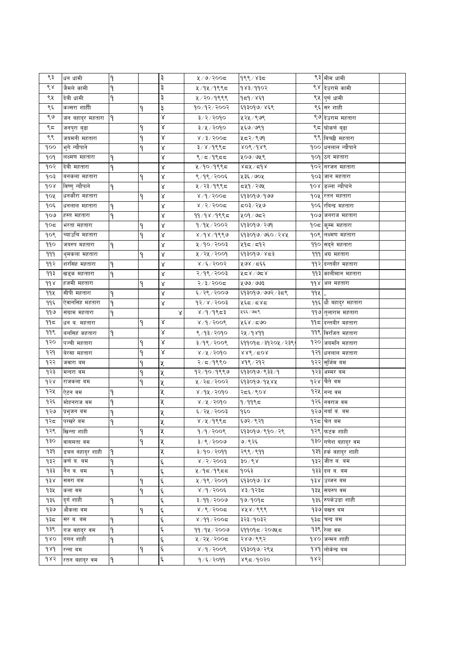| ९३  | धन धामी          | ۹ |   | ३          | ५/७/२००८              | १९९ ⁄ ४३८        |      | ९३ मीम धामी                |  |
|-----|------------------|---|---|------------|-----------------------|------------------|------|----------------------------|--|
| ९४  | जैमले कामी       | ۹ |   | ३          | ५ ⁄ १५ ⁄ १९९८         | १४३/११०२         |      | ९४ देउरामे कामी            |  |
| ९५  | देवी धामी        | ۹ |   | ३          | ५/२०/१९९९             | १८१ ∕ ४६१        |      | ९५ पुर्ण धामी              |  |
| ९६  | कल्सरा शाहीी     |   | ۹ | ३          | १०/१२/२००२            | ६१३०१७/४६९       |      | ९६ सर शाही                 |  |
| ९७  | जन बहादुर महतारा | ۹ |   | Χ          | ३/२/२०१०              | ५२५ / ९७९        |      | ९७ देउराम महतारा           |  |
| ९८  | जनपुरा बुढा      |   | ٩ | Χ          | ३/५/२०१०              | ५६७/७९१          |      | ९८ घोकर्ण बुढा             |  |
| ९९  | जयमनी महतारा     |   | ۹ | ४          | 8/3/500               | ५८२/९७१          |      | ९९ बिच्छी महतारा           |  |
| १०० | भुगे न्यौपाने    |   | ٩ | Χ          | ३/४/१९९८              | ४०९ /१४९         |      | १०० धनलाल न्यौपाने         |  |
| १०१ | लक्ष्मण महतारा   | ٩ |   | Χ          | 8/5/9855              | ५०७/७५९          |      | १०१ ठग महतारा              |  |
| १०२ | देवी महतारा      | ۹ |   | Χ          | ५/१०/१९९८             | 85/29            |      | १०२ नरजन महतारा            |  |
| १०३ | बनकला महतारा     |   | ٩ | Χ          | ९/१९/२००६             | ५३६ ⁄ ७०५        |      | १०३ जान महतारा             |  |
| 908 | विष्णु न्यौपाने  | ۹ |   | Χ          | ५/२३/१९९८             | द्रप्9 ∕ २७५     |      | १०४ डिल्ला न्यौपाने        |  |
| १०५ | धनकौंरा महतारा   |   | ۹ | $\propto$  | $8/9/200$ द           | ६१३०१७/१७७       |      | १०५ रतन महतारा             |  |
| १०६ | धनलाल महतारा     | ۹ |   | Χ          | $8/2/300$ द           | द0३/२५७          | १०६। | रविन्द्र महतारा            |  |
| १०७ | हस्त महतारा      | ۹ |   | Χ          | $99/98/98$ \$         | ५०१ ⁄ ७८२        |      | १०७ जनराज महतारा           |  |
| १०८ | भरता महतारा      |   | ۹ | Χ          | 9/94/2002             | ६१३०१७/२७१       | १०८। | कुम्म महतारा               |  |
| १०९ | च्याउचि महतारा   |   | ۹ | Χ          | 8/98/9889             | ६१३०१७/७६०/२४५   | १०९। | लक्ष्मण महतारा             |  |
| ११० | जयरुप महतारा     | ۹ |   | Χ          | ५/१०/२००३             | ५१८/८१२          | ११०  | सद्ने महतारा               |  |
| 999 | थुमकला महतारा    |   | ٩ | Χ          | ५/२५/२००१             | ६१३०१७/४८३       | 999  | अग्र महतारा                |  |
| ११२ | शरसिंह महतारा    | ۹ |   | Χ          | ४ /६ / २००२           | ५७४ / दर्द्द     |      | <u> ११२ दन्तबीर महतारा</u> |  |
| ११३ | खड्क महताारा     | ۹ |   | Χ          | २/१९/२००३             | ४८४/७८४          |      | ११३ कालीमान महतारा         |  |
| 998 | हजमी महतारा      |   | ٩ | Χ          | २/३/२००८              | ५७७/७७३          |      | ११४ अल महतारा              |  |
| ११५ | सीपी महतारा      | ۹ |   | Χ          | ६/२९/२००७             | ६१३०१७/७७२/३८९   | 99火  |                            |  |
| ११६ | ऐवानसिंह महतारा  | ۹ |   | Χ          | $95 \times 1500$      | ५६८/८४८          |      | ११६ धौ बहादुर महतारा       |  |
| ११७ | संग्राम महतारा   | ۹ |   | Χ          | $8/9/9$ ९८३           | ५६६ ⁄ ७८९        |      | ११७ तुलाराम महतारा         |  |
| ११८ | धन ब. महतारा     |   | ۹ | ४          | 8/9/900               | ५६४ ∕ द७०        |      | ११८ दन्तबीर महतारा         |  |
| ११९ | बर्लासहं कहतारा  | ۹ |   | Χ          | ९/१३/२०१०             | २५ ⁄ १४११        |      | ११९ विरजित महतारा          |  |
| १२० | पञ्ची महतारा     |   | ٩ | $\propto$  | $2005 \times 9$ ९/    | ६११०१८/३१२०५/२३९ | १२०। | जयमनि महतारा               |  |
| १२१ | बेरसा महतारा     |   | ۹ | Χ          | ४/५/२०१०              | $886$ / $208$    | १२१  | धनलाल महतारा               |  |
| १२२ | जवारा बम         |   | ۹ | Κ          | २/८/१९९०              | ४१९ / २१२        | १२२  | सुर्जिम बम                 |  |
| १२३ | मन्दरा बम        |   |   | Κ          | १२/१०/१९९७            | ६१३०१७/९३३/१     | १२३  | अम्मर बम                   |  |
| १२४ | राजकला बम        |   | ٩ | Χ          | ५/२८/२००२             | ६१३०१७/१५४५      | १२४। | चैते बम                    |  |
| १२५ | ऐटन वम           | ۹ |   | Κ          | ४/१५/२०१०             | २द६/९०४          |      | १२५ नन्द वम                |  |
| १२६ | मोहनराज वम       | ۹ |   | Κ          | ४ ⁄ ५ ⁄ २०१०          | $9/99$ ९८        |      | १२६ नवराज वम               |  |
| १२७ | प्रभुजन बम       | ٩ |   | ५          | ६/२५/२००३             | १६०              |      | १२७ नयाँ वं. बम            |  |
| १२८ | परखरे बम         | ٩ |   | X          | ४/५/१९९८              | ६७२ ⁄ ९२१        |      | १२८ चित बम                 |  |
| १२९ | खिन्ता शाही      |   | ٩ | Χ          | $9/9/200$ ९           | ६१३०१७/९१०/२९    |      | १२९ फटक शाही               |  |
| १३० | वासमता वम        |   | ٩ | Κ          | ३/९/२००७              | ७/९२६            |      | १३० गणेश बहादुर वम         |  |
| ۹३१ | डबल बहादुर शाही  | ۹ |   | χ          | 3/90/2099             | २९९ / ९११        |      | १३१ हर्क बहादुर शाही       |  |
| १३२ | कर्ण ब. बम       | ۹ |   | ٤          | $8\sqrt{5}\sqrt{500}$ | ३०∕९४            |      | १३२ जीत व. वम              |  |
| १३३ | नैन व. बम        | ٩ |   | Ę          | 4/95/985              | १०६३             |      | <b>१३३ दल ब. बम</b>        |  |
| d38 | सवरा बम          |   | ٩ | ٤          | ५/१९/२००१             | 593090/38        |      | १३४  उब्जन बम              |  |
| १३५ | कला वम           |   | ٩ | $\epsilon$ | $8/9/200$ ६           | ४३∕१२३८          |      | १३५ सयरुप वम               |  |
| १३६ | दुर्ग शाही       | ۹ |   | ٤          | 8/99/9009             | 90/909           |      | १३६ रुपकेउडा शाही          |  |
| ৭३७ | औकला बम          |   | ٩ | $\epsilon$ | $8/$ ९ $/300$ द       | ४५४/९९९          |      | १३७ वखत बम                 |  |
| १३८ | सर ब. बम         | ۹ |   | ٤          | $8/99/200$ द          | ३२३ ⁄ १०३२       |      | १३८ चन्द्र बम              |  |
| १३९ | गज वहाद्र वम     | ٩ |   | ٤          | ११/१५/२००७            | ६११०१८ / २०७५ ८  |      | १३९ रेला वम                |  |
| gro | गगन शाही         | ٩ |   | ٤          | ५ / २५ / २००८         | २४७/९९२          |      | १४० जन्मन शाही             |  |
| 989 | रन्ना बम         |   | ۹ | ද          | 8005/9/8              | ६१३०१७ ⁄ २९५     |      | १४१ लोकेन्द्र बम           |  |
| १४२ | रतन बहादुर वम    | ۹ |   | ६          | १/६/२०११              | ४९८/१०२०         | १४२  |                            |  |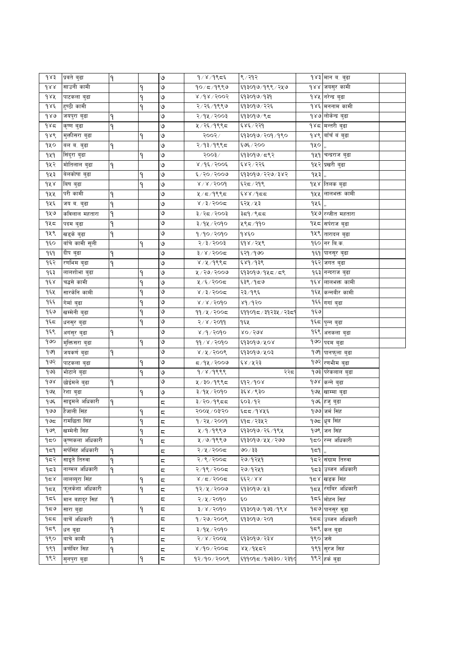| $d\lambda$ ś           | प्रबते बुढा      | ۹ |   | ७                       | $9/8/9$ ९८६       | ९ ⁄ २१२               |            | १४३ मान ब. बुढा              |  |
|------------------------|------------------|---|---|-------------------------|-------------------|-----------------------|------------|------------------------------|--|
| dxA                    | साउनी कामी       |   | ٩ | ७                       | १०/८/१९९७         | ६१३०१७/१९९/२५७        |            | १४४ जयसुर कामी               |  |
| dAA                    | पाटकला बुढा      |   | ٩ | ৩                       | 8005/8005         | ६१३०१७/१३१            |            | १४५ नरेन्द्र बुढा            |  |
| $d$ $\lambda \epsilon$ | हुण्ठी कामी      |   | ٩ | ৩                       | २/२६/१९९७         | ६१३०१७/२२६            |            | १४६ मननाम कामी               |  |
| 980                    | जयपुरा बुढा      | ۹ |   | ৩                       | २/१५/२००३         | ६१३०१७/९८             |            | १४७ लोकेन्द्र बुढा           |  |
| 985                    | कृष्ण बुढा       | ۹ |   | ৩                       | ५ / २६ / १९९८     | ६४६/२२१               |            | १४८ <mark>मन्तरी बुढा</mark> |  |
| १४९                    | मुक्तीसरा बुढा   |   | ۹ | ৩                       | २००२⁄             | ६१३०१७/२०१/१९०        |            | १४९ वाँचँ वं बुढा            |  |
| १५०                    | वल व. बुढा       | ۹ |   | ৩                       | २/१३/१९९८         | ६७६/२००               | 940,       |                              |  |
| 929                    | सिंदुरा बुढा     |   | ٩ | ও                       | २००३⁄             | ६१३०१७/८९२            |            | १५१ चन्द्रराज बुढा           |  |
| १५२                    | मोतिलाल बुढा     | ٩ |   | ৩                       | ४/१६/२००६         | ६४२/२२६               |            | १५२ प्रखरी बुढा              |  |
| १५३                    | बेलकोषा बुढा     |   | ٩ | ७                       | ६/२०/२००७         | ६१३०१७/२२७/३४२        | 943,       |                              |  |
| dA                     | बिष बुढा         |   | ٩ | ७                       | $8 \times 1500d$  | ६२८ / २१९             |            | <mark>१५४ </mark> तिलक बुढा  |  |
| १५५                    | परी कामी         | ٩ |   | ৩                       | $4/5/9$ ९९८       | 55/82                 |            | १५५ लालभक्त कामी             |  |
| १५६                    | जय ब. बुढा       | ٩ |   | ৩                       | 8/3/500           | ६२५ ⁄ ५३              | $9x\xi$ ,, |                              |  |
| १५७                    | कविलाल महतारा    | ٩ |   | ৩                       | ३/२८/२००३         | ३द9 / ९दद             |            | १५७ रन्जीत महतारा            |  |
| १५८                    | पदम बुढा         | ۹ |   | ७                       | ३/१५/२०१०         | ५९८/११०               |            | १५८ सर्पराज बुढा             |  |
| १५९                    | खड्के बुढा       | ۹ |   | ৩                       | १/१०/२०१०         | 9850                  |            | १५९ तारादल बुढा              |  |
| ٩६o                    | बाँचे कामी सूली  |   | ۹ | ৩                       | 5005/5/3          | ६१४ / २५९             |            | १६० नर बि.क.                 |  |
| १६१                    | दीप बुढा         | ٩ |   | ৩                       | $3 \times 1500$ द | ६२१/१७०               |            | १६१ पानसूर बुढा              |  |
| १६२                    | रणभिम बुढा       | ٩ |   | ৩                       | 8/4/9995          | ६४१/१३९               |            | <b>१६२ जगत बुढा</b>          |  |
| १६३                    | लालशोभा बुढा     |   | ٩ | ৩                       | ५/२७/२००७         | ६१३०१७/१५८/८९         |            | १६३ नन्दराज बुढा             |  |
| $d \epsilon$           | चद्धसे कामी      |   | ٩ | ৩                       | ५/६/२००८          | ६३९ ⁄ १८७             |            | १६४ लालभक्त कामी             |  |
| १६५                    | सारकेनि कामी     |   | ٩ | ৩                       | 8/3/500           | २३ ⁄ १९६              |            | १६५  कन्नबीर कामी            |  |
| १६६                    | गेर्मा बुढा      |   | ٩ | ৩                       | $8\sqrt{8}/500$   | ४१ ⁄ १२०              |            | १६६ गगां बुढा                |  |
| १६७                    | खम्मेनी बुढा     |   | ٩ | ৩                       | ११/५/२००८         | ६११०१८ / ३१२३५ / २३८१ | १६७        |                              |  |
| ۹६८                    | धनसुर बुढा       |   | ۹ | ও                       | २/४/२०११          | १६५                   |            | १६८ पुन्न बुढा               |  |
| १६९                    | अगंसुर बुढा      | ۹ |   | ও                       | ४/१/२०१०          | $XO \setminus SOR$    |            | १६९ अनकला बुढा               |  |
| guo                    | मुक्तिसरा बुढा   |   | ۹ | V                       | ११/४/२०१०         | ६१३०१७/५०४            |            | १७० पदम बुढा                 |  |
| १७९                    | जयकर्ण बुढा      | ۹ |   | ৩                       | 8/8/3006          | ६१३०१७/५०३            |            | १७१ पानफुला बुढा             |  |
| १७२                    | पाटकला बुढा      |   | ۹ | ৩                       | ८/१५/२००७         | ६४ / ५२३              |            | १७२ रणभीम बुढा               |  |
| १७३                    | भोटाने बुढा      |   | ٩ | ও                       | 9/8/9999          | २२८                   |            | १७३ परेकलाल बुढा             |  |
| $\delta$               | छोईमले बुढा      | ۹ |   | ৩                       | ५/३०/१९९८         | ६१२/१०४               |            | १७४ कन्ने बुढा               |  |
| १७५                    | रेशा बुढा        |   | ٩ | ৩                       | ३/१५/२०१०         | ३६४ /९३०              |            | १७५ खाम्मा बुढा              |  |
| १७६                    | साइमले अधिकारी   | ۹ |   | ς                       | $3/20/9$ ९८८      | ६०३/१२                |            | १७६ हजु बुढा                 |  |
| 900                    | हैजाली सिंह      |   | ٩ | $\overline{\mathbb{C}}$ | २००५ / ०३'२०      | ६८८/१४५६              |            | १७७ जर्म सिंह                |  |
| ح9 ا                   | रामछिता सिंह     |   | ٩ | ς                       | १/२५/२००१         | ६१८/२३५२              |            | १७८ धुब सिंह                 |  |
| १७९                    | खम्मेनी सिंह     |   | ٩ | ς                       | ५ ⁄ १ ⁄ १९९७      | ६१३०१७/२६/१९५         |            | १७९ जन सिंह                  |  |
| 950                    | कृष्णकला अधिकारी |   | ٩ | ς                       | ५/७/१९९७          | ६१३०१७/५५/२७७         |            | १८० रन्न अधिकारी             |  |
| ۹≂۹                    | सर्पसिंह अधिकारी | ٩ |   | ζ                       | २/५/२००८          | ७० ⁄ ३३               | ۹≂۹ ا.,    |                              |  |
| १८२                    | साइते तिरुवा     | ٩ |   | ζ                       | २/९/२००८          | २७⁄१२५१               |            | <b>१८२ संग्राम तिरुवा</b>    |  |
| १८३                    | नाग्मल अधिकारी   | ٩ |   | ς                       | २/१९/२००८         | २७⁄१२४१               |            | १८३ उब्जन अधिकारी            |  |
| 958                    | लालब्यूरा सिंह   |   | ٩ | ζ                       | 8/5/5/2           | ६६२/४४                |            | १८४ खडक सिंह                 |  |
| १८५                    | फूलकेशा अधिकारी  |   | ٩ | ς                       | १२⁄५⁄२००७         | ६१३०१७/५३             |            | १८५ रंगबिर अधिकारी           |  |
| १८६                    | मान बहादर सिहं   | ۹ |   | $\overline{a}$          | २/५/२०१०          | Ę٥                    |            | <b>१८६ मोहन सिंह</b>         |  |
| 959                    | सारा बुढा        |   | ۹ | ς                       | ३/४/२०१०          | ६१३०१७/१७३/१९४        |            | १८७ पानसुर वुढा              |  |
| 955                    | बाचेँ अधिकारी    | ٩ |   | ζ                       | १/२७/२००९         | ६१३०१७/२०१            |            | १८८ उब्जन अधिकारी            |  |
| १८९                    | धन बुढा          | ٩ |   | ζ                       | ३/१५/२०१०         |                       |            | १८९ कल बुढा                  |  |
| १९०                    | बाचे कामी        | ٩ |   | ς                       | २/४/२००५          | ६१३०१७/२३४            | १९० जसे    |                              |  |
| १९१                    | कर्णबिर सिह      | ٩ |   | ζ                       | $8/90$ /2005      | ४५ ⁄ १५८२             |            | १९१ सुरज सिंह                |  |
| १९२                    | सुनपुरा बुढा     |   | ۹ | ς                       | १२/१०/२००९        | ६११०१८/१७३३०/२३१८     |            | १९२ हर्क बुढा                |  |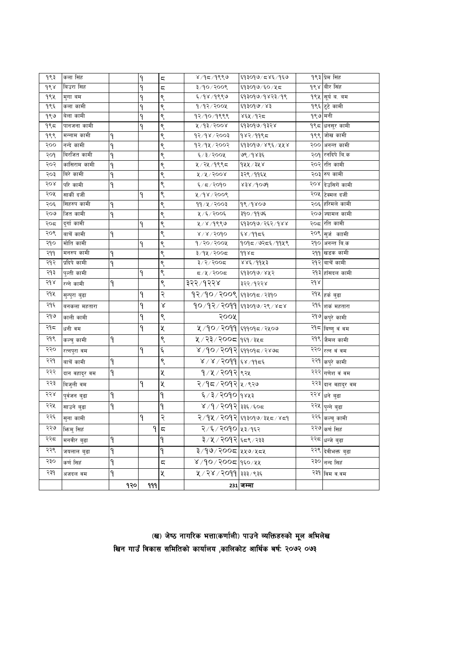| १९३ | कला सिंह      |     | ٩            | ς | ४/१८/१९९७                   | ६१३०१७/८४६/१६७                             |         | १९३ प्रेम सिंह            |
|-----|---------------|-----|--------------|---|-----------------------------|--------------------------------------------|---------|---------------------------|
| १९४ | बिउरा सिह     |     | ٩            | ς | ३/१०/२००९                   | ६१३०१७/६०/५८                               |         | <b>१९४ ∣बीर सिंह</b>      |
| १९५ | मुगा बम       |     | ۹            | ९ | ६/१४/१९९७                   | ६१३०१७/१४२३/१९                             |         | १९५ सूर्य व. बम           |
| १९६ | कला कामी      |     | ۹            | ९ | 9/92/200                    | ६१३०१७'/४३                                 |         | १९६ टुटे कामी             |
| १९७ | बेला कामी     |     | ٩            | ९ | १२/१०/१९९९                  | ४६५ ⁄ १२८                                  | १९७ मनी |                           |
| १९८ | पानजना कामी   |     | ٩            | ९ | ४/१३/२००४                   | ६१३०१७/१३२४                                |         | १९८ धनसुर कामी            |
| १९९ | मन्नाम कामी   | ۹   |              | ९ | 93/98/3003                  | १४२/११९८                                   |         | १९९ जोख कामी              |
| २०० | नन्दे कामी    | ٩   |              | ९ | १२/१५/२००२                  | ६१३०१७/४९६/५५४                             |         | २०० अनन्त कामी            |
| २०१ | बिरजित कामी   | ٩   |              | ९ | $\xi$ /३/२००५               | ७९ ⁄ १४३६                                  |         | २०१ रनदिपे बि.क           |
| २०२ | कांसिराम कामी | ٩   |              | ९ | ५ ⁄ २५ ⁄ १९९८               | १५५ ⁄ ३५४                                  |         | २०२ रति कामी              |
| २०३ | बिरे कामी     | ٩   |              | ९ | ४/४/२००४                    | ३२९ ⁄ ११६५                                 |         | २०३ रुप कामी              |
| २०४ | परि कामी      | ٩   |              | ९ | ६/८/२०१०                    | $858\backslash\text{do}$ la                |         | २०४ दिउसिंगें कामी        |
| २०५ | सार्की दर्जी  |     | ۹            | ९ | ४/१४/२००९                   |                                            |         | २०५ टिक्मल दर्जी          |
| २०६ | सिहरुप कामी   | ٩   |              | ९ | ११/५/२००३                   | १९⁄१४०७                                    |         | २०६ हरिमले कामी           |
| २०७ | जित कामी      | ٩   |              | ९ | ५/६/२००६                    | ३१०/११७६                                   |         | २०७ ज्यामल कामी           |
| २०८ | दुर्गा कामी   |     | ٩            | ९ | ५/४/१९९७                    | ६१३०१७/२६२/१४४                             |         | २०८ रति कामी              |
| २०९ | बाचें कामी    | ٩   |              | ९ | 8/8/3090                    | ६४ ⁄ ११⊄६                                  |         | २०९ सुर्ज काामी           |
| २१० | मोति कामी     |     | ۹            | ९ | १/२०/२००५                   | १०१८/७२८६/११५९                             |         | २१० अनन्त बि.क            |
| २११ | मनरुप कामी    | ۹   |              | ९ | ३/१५/२००८                   | ११४८                                       |         | २११ खडक कामी              |
| २१२ | प्रदिपे कामी  | ۹   |              | ९ | ३/२/२००८                    | ४४६/११५३                                   |         | २१२ बाचें कामी            |
| २१३ | पुल्ती कामी   |     | ۹            | ९ | ८/५/२००८                    | ६१३०१७/४५२                                 |         | २१३ हाँसदल कामी           |
| २१४ | रन्ने कामी    | ۹   |              | ९ | ३२२ ⁄ १२२४                  | ३२२ ⁄ १२२४                                 | २१४     |                           |
| २१५ | सुन्पुरा बुढा |     | ۹            | २ | १२∕१०∕२००९ ६१३०१८∕२३१०      |                                            |         | २१५ <sub>हर्क</sub> बुढा  |
| २१६ | बनकला महतारा  |     | ۹            | Χ |                             | <u> १</u> ० ⁄ १२ ⁄ २०११ दिवइ०१७ ⁄ २९ ⁄ ४८४ |         | २१६ शकं महतारा            |
| २१७ | काली कामी     |     | ٩            | ९ | २००५                        |                                            |         | २१७ <sub>कपुरे</sub> कामी |
| २१८ | धनीवम         |     | ۹            | Κ | ५/१०/२०११ स्११०१८/२५०७      |                                            |         | २१८ बिष्णु वं वम          |
| २१९ | कल्वु कामी    | ۹   |              | ९ | ५ / २३ / २००८   १६१ / ३५८   |                                            |         | २१९ जैमल कामी             |
| २२० | रत्नपुरा वम   |     | ۹            | ६ | ४ /१० / २०१२ दि११०१८ / २४७८ |                                            |         | २२० रत्न वं वम            |
| २२१ | बाचें कामी    | ۹   |              | ९ | ४ / ४ / २०११ दि४ /११८६      |                                            |         | २२१ कपुरे कामी            |
| २२२ | दान वहादुर वम | ۹   |              | χ | १/५/२०१२ ९२५                |                                            |         | २२२ गणेश वं वम            |
| २२३ | बिजुली वम     |     | ۹            | X | २/१८/२०१२ ४/९२७             |                                            |         | २२३ दान वहादुर वम         |
| २२४ | पुर्वजन बुढा  | ۹   |              | ٩ | ६/३/२०१० १४५३               |                                            |         | २२४ धने बुढा              |
| २२५ | साउने बुढा    | ۹   |              | ٩ | ४ /१ / २०१२ ३३६ / ६०८       |                                            |         | २२५ पुन्ने बुढा           |
| २२६ | सुना कामी     |     | $\mathsf P$  | २ |                             | २ ⁄ <b>१५ ⁄ २०१२ दि</b> १३०१७ ⁄ ३५८ ⁄ ४८१  |         | २२६ <sub>कल्वु</sub> कामी |
| २२७ | भिन्मु सिहं   |     | $\mathsf{P}$ | ς | २/६/२०१० ५३/१६२             |                                            |         | २२७ कर्ण सिंह             |
| २२८ | मनवीर बुढा    | ۹   |              | ۹ | ३/५/२०१२ ६८९/२३३            |                                            |         | २२८ धन्जे बुढा            |
| २२९ | जयलाल बुढा    | ۹   |              | ۹ | ३/१७/२००८ १५७/५८५           |                                            |         | २२९ देवीभक्त बुढा         |
| २३० | कर्ण सिहं     | ٩   |              | ς | ४/१०/२००८ १६०/५४            |                                            |         | २३० नन्द सिह              |
| २३१ | अजदल वम       | ٩   |              | χ | ५ / २४ / २०११ ३३३ / ९३६     |                                            |         | २३१ विम व.वम              |
|     |               | १२० | 999          |   |                             | 231 जम्मा                                  |         |                           |

#### (ख) जेष्ठ नागरिक भत्ता(कर्णाली) पाउने व्यक्तिहरुको मूल अभिलेख खिन गाउँ विकास समितिको कार्यालय ,कालिकोट आर्थिक बर्ष: २०७२ ०७३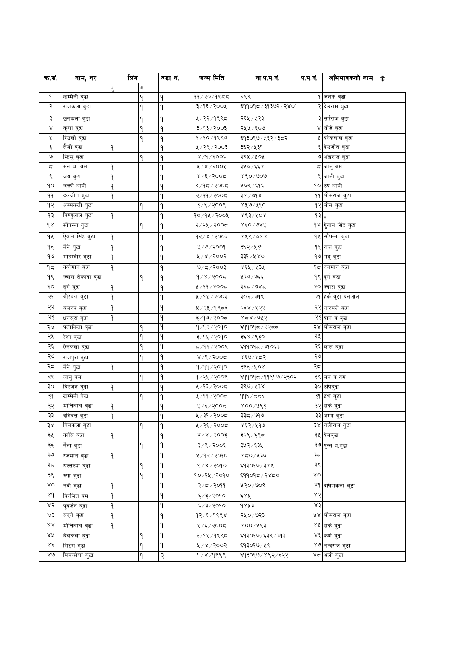| क.सं.            | नाम, थर            | लिंग |   | वडा नं. | जन्म मिति             | ना.प.प.नं.             | प.प.न. | अभिभावकको नाम                   | 눎. |
|------------------|--------------------|------|---|---------|-----------------------|------------------------|--------|---------------------------------|----|
|                  |                    | पु   | म |         |                       |                        |        |                                 |    |
| ۹                | खम्मेनी बुढा       |      | ۹ | ٩       | ११/२०/१९८८            | २९९                    |        | १ जनक बुढा                      |    |
| २                | राजकला बुढा        |      | ٩ | ۹       | ३/१६/२००५             | ६११०१८/३१३७२/२४०       |        | २ देउराम बुढा                   |    |
| ३                | छनकला बुढा         |      | ٩ | ۹       | ५/२२/१९९८             | २६५ ⁄ ५२३              |        | ३ सर्पराज बुढा                  |    |
| Χ                | कुशा बुढा          |      | ٩ | ٩       | ३/१३/२००३             | २५५ / ६०७              |        | ४ घोडे बुढा                     |    |
| χ                | रिउली बुढा         |      | ٩ | ٩       | १/१०/१९९७             | ६१३०१७/५६२/३८२         |        | <b>५ परेकलाल बुढा</b>           |    |
| Ę                | लैमी बुढा          | ۹    |   | ٩       | ५/२९/२००३             | ३६२ ⁄ ५३१              |        | <mark>६</mark> देउजीत बुढा      |    |
| ৩                | भिन्मु बुढा        |      | ۹ | ۹       | $8/9/200$ ६           | ३९५ ⁄ ५०५              |        | ७ अंखराज बुढा                   |    |
| ς                | मन ब. बम           | ۹    |   | ۹       | $800$ ४ / ४००         | ३५७/६६४                |        | ८ जानु बम                       |    |
| ९                | जय बुढा            | ٩    |   | ٩       | $8/200$ द             | $860 \land 000$        | ৎ      | जानी बुढा                       |    |
| ٩o               | जक्ती धामी         | ۹    |   | ٩       | $8/95/900$ द          | ५७९/६१६                |        | १० रुप धामी                     |    |
| ٩٩               | दलजीत बुढा         | ۹    |   | ٩       | २/११/२००८             | $88 \times 100 \times$ |        | ११ भीमराज बुढा                  |    |
| १२               | अम्मकली बुढा       |      | ۹ | ۹       | 2005/2/5              | ४५७/५१०                |        | १२ मीन बुढा                     |    |
| ۹₹               | विष्णुलाल बुढा     | ۹    |   | ٩       | १०/१५/२००५            | $863\sqrt{60}$         | ۹₹     |                                 |    |
| $d \lambda$      | सौंपन्ना बुढा      |      | ۹ | ٩       | २/२५/२००८             | ४६०/७४५                |        | १४ <mark>ऐ</mark> बान सिंह बुढा |    |
| ٩X               | ऐवान सिंह बुढा     | ۹    |   | ٩       | $95 \times 1500$ ई    | $886$ े १९४            |        | १५ सौंपन्ना बुढा                |    |
| ۹६               | नैने बुढा          | ۹    |   | ۹       | $4/9$ २००१            | ३६२ ⁄ ५३१              |        | १६ राज बुढा                     |    |
| ٩U               | मोहम्बीर बुढा      | ۹    |   | ۹       | 8005/8                | ३३१ ⁄ ५४०              |        | १७ मदु बुढा                     |    |
| ۹ς               | कर्णमान बुढा       | ۹    |   | ۹       | $9/5/200$ ३           | ४६५ ⁄ ५३५              |        | <b>१८ रजमान बुढा</b>            |    |
| ٩९               | ज्वारा रोकाया बुढा |      | ۹ | ٩       | $9/8/300$ द           | ५३७/७६६                |        | १९ दुर्ग बढा                    |    |
| २०               | दुर्ग बुढा         | ۹    |   | ٩       | ५/११/२००८             | ३२८/७४८                |        | २० ज्वारा बुढा                  |    |
| २१               | बीरबल बुढा         | ۹    |   | ٩       | ५/१५/२००३             | ३०२ ⁄ ७१९              |        | २१ हर्क बुढा धनलाल              |    |
| २२               | बलरुप बुढा         | ٩    |   | ۹       | ५/२५/१९८६             | २६४ ⁄ ५२२              |        | २२ नारमले बढा                   |    |
| २३               | धनसुरा वुढा        | ۹    |   | ٩       | ३/१७/२००८             | 85/075                 |        | २३ पान वं वुढा                  |    |
| २४               | पत्नकिला बुढा      |      | ٩ | ۹       | १/१२/२०१०             | ६११०१८/२२८८            |        | २४ भीमराज बुढा                  |    |
| २५               | रेशा बुढा          |      | ٩ | ٩       | ३/१५/२०१०             | ३६४ /९३०               | २५     |                                 |    |
| २६               | ऐनकला बुढा         |      | ٩ | ۹       | 5005/997              | ६११०१८/३१०६३           |        | २६ लाल बुढा                     |    |
| २७               | राजपुरा वुढा       |      | ۹ | ۹       | $8/9/90$ द            | ४६७/५८२                | ২৩     |                                 |    |
| २८               | नैने बुढा          | ۹    |   | ٩       | १/११/२०१०             | ३९६ ⁄ ५०४              | २८     |                                 |    |
| २९               | जानुवय             |      | ۹ | ٩       | १/२५/२००९             | ६११०१८/११६१७/२३०२      |        | २९ मन वं वम                     |    |
| ३०               | बिरजन बुढा         | ۹    |   | ٩       | ५/१३/२००८             | ३९७/५३४                |        | ३० रुपिबुढा                     |    |
| ३१               | खम्मेनी बेढा       |      | ۹ | ٩       | ५/११/२००८             | ११६⁄ दद६               |        | ३१ हंश बुढा                     |    |
| ३२               | मोतिलाल बुढा       | ٩    |   | ٩       | ५/६/२००८              | ४०० ⁄ ५९३              |        | ३२ सर्क बुढा                    |    |
| ३३               | देबिदत्त बुढा      | ٩    |   | ٩       | ५/३१/२००८             | ३३८ / ७१७              |        | ३३ अम्म बुढा                    |    |
| ३४               | बिनकला बुढा        |      | ۹ | ٩       | ५/२६/२००८             | ४६२/५१७                |        | ३४ बलीराज बुढा                  |    |
| ३५               | कांसि बुढा         | ۹    |   | ٩       | $8\sqrt{8}\sqrt{500}$ | ३२९ ⁄ ६९८              |        | ३५ प्रेमबुढा                    |    |
| ३६               | नैना बुढा          |      | ٩ | ٩       | ३/९/२००६              | ३५२ ⁄ ६३५              |        | ३७ पुन्न ब.बुढा                 |    |
| ঽ७               | रजमान बुढा         | ۹    |   | ۹       | ५/१२/२०१०             | ४८०/५३७                | ३≂     |                                 |    |
| ३८               | सत्तरुपा बुढा      |      | ۹ | ۹       | ९/४/२०१०              | ६१३०१७/३४५             | ३९     |                                 |    |
| ३९               | रुपा बुढा          |      | ۹ | ٩       | १०/१५/२०१०            | ६११०१८/२४८०            | δO     |                                 |    |
| δO               | नदी बुढा           | ٩    |   | ٩       | २/८/२०११              | ५२०/७०९                |        | ४१ दधिणकला बुढा                 |    |
| 84               | विरजित वम          | ۹    |   | ٩       | ६/३/२०१०              | ६४५                    | ४२     |                                 |    |
| ४२               | पूवर्जन बुढा       | ٩    |   | ۹       | ६/३/२०१०              | १४५३                   | ४३     |                                 |    |
| ४३               | सदने बढा           | ٩    |   | ٩       | १२⁄६⁄१९९४             | २५०/७२३                |        | ४४  भीमराज बुढा                 |    |
| $\lambda\lambda$ | मोतिलाल बुढा       | ۹    |   | ۹       | ५/६/२००८              | ४०० ⁄ ४९३              |        | ४५ सर्क बुढा                    |    |
| ४५               | बेलकला बुढा        |      | ۹ | ۹       | २/१५/१९९८             | ६१३०१७/६३९/३१३         |        | ४६ कर्ण बढा                     |    |
| ४६               | सिद्दरा बुढा       |      | ۹ | ٩       | ४/४/२००२              | ६१३०१७/५९              |        | ४७ नन्दराज बुढा                 |    |
| 8Q               | मिमकोशा बुढा       |      | ۹ | २       | 9/8/988               | ६१३०१७/४९२/६२२         |        | ४८ अली बढा                      |    |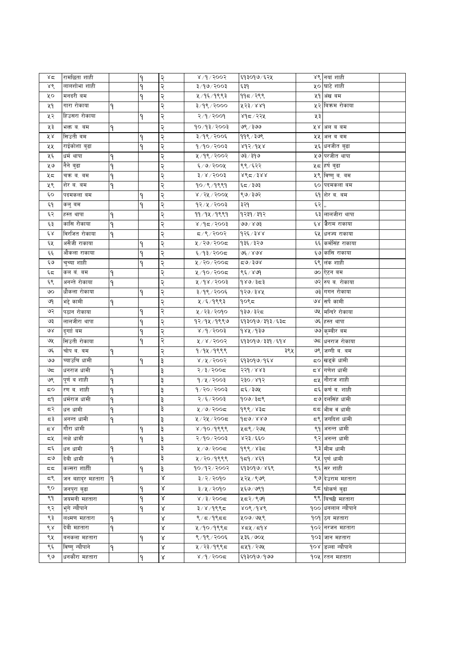| ४द         | रामछिता शाही     |   | ٩ | २ | 8/9/3003                                                      | ६१३०१७/६२५     |    | ४९ नयां शाही              |  |
|------------|------------------|---|---|---|---------------------------------------------------------------|----------------|----|---------------------------|--|
| ४९         | लालशोभा शाही     |   |   | २ | ३/१७/२००३                                                     | ६३१            |    | ५० घाटे शाही              |  |
| ५०         | मनदरी बम         |   | ۹ | २ | ५ ⁄ १६ ⁄ १९९३                                                 | ११८/२९९        |    | ५१ अंख बम                 |  |
| ५१         | गारा रोकाया      | ۹ |   | २ | ३/१९/२०००                                                     | 853/886        |    | ५२ बिकम रोकाया            |  |
| ५२         | हिउसरा रोकाया    |   | ٩ | २ | २/१/२००१                                                      | ४१८/२२५        | ५३ |                           |  |
| ५३         | भक्त व. वम       | ۹ |   | २ | १०/१३/२००३                                                    | ७९ ⁄ ३७७       |    | ५४ अल व वम                |  |
| ४४         | सिउती बम         |   | ۹ | २ | ३/१९/२००६                                                     | ११९ ⁄ ३७९      |    | ५५ अल व वम                |  |
| ५५         | राईकोशा बुढा     |   | ٩ | २ | 9/90/2003                                                     | ४१२/१५४        |    | ५६ धनजीत बुढा             |  |
| ५६         | धर्म थापा        | ٩ |   | २ | ५/१९/२००२                                                     | ७३ ⁄ ३१७       |    | ५७ परजीत थापा             |  |
| ५७         | नैने बुढा        | ٩ |   | २ | $\xi/\theta/\zeta$ ০০k                                        | ९९/६२२         |    | ५८ हर्ष बुढा              |  |
| ५८         | चक्र ब. बम       | ۹ |   | २ | $\frac{1}{2}$ / $\frac{1}{8}$ / $\frac{1}{8}$ / $\frac{1}{8}$ | ४९८/३४४        |    | ५९ विष्णुब. बम            |  |
| ५९         | शेर ब. बम        | ٩ |   | २ | १०/९/१९९१                                                     | ६८/ २७३        |    | ६० पदमकला बम              |  |
| ć٥         | पदमकला बम        |   | ٩ | २ | $8 \times 15$ र / २००१                                        | ९७/३७२         |    | ६१ शेर ब. बम              |  |
| ξ٩         | कलु बम           |   | ٩ | २ | १२/५/२००३                                                     | ३२१            | ६२ |                           |  |
| ६२         | हस्त थापा        | ٩ |   | २ | 99/94/9889                                                    | १२३१ ∕ ३१२     |    | ६३ लालजीरा थापा           |  |
| ६३         | कासि रोकाया      | ٩ |   | २ | $800$ २/२००३                                                  | ७७ ⁄ ४७३       |    | ६४ जैराम राकाया           |  |
| έχ         | विरजित रोकाया    | ۹ |   | २ | 5008/20                                                       | $9$ २६/३४४     |    | ६५ धनज्य राकाया           |  |
| ६५         | असैजी राकाया     |   | ۹ | २ | ५/२७/२००८                                                     | १३६ / ३२७      |    | ६६ कर्मसिंह राकाया        |  |
| چې         | औकला राकाया      |   |   | २ | ६/१३/२००८                                                     | ৩६ ∕ ४७४       |    | ६७ कांसि राकाया           |  |
| ي ع        | चुच्या शाही      |   | ٩ | २ | ५/२०/२००८                                                     | $x_0$ ಕಿ/ಕೂ    |    | ६९ लंक शाही               |  |
| ६८         | कल बं. बम        | ۹ |   | २ | ५/१०/२००८                                                     | ९६ / ४७१       |    | ७० ऐटन बम                 |  |
| ६९         | अनन्ते रोकाया    | ۹ |   | २ | ४/१४/२००३                                                     | १४७/३८३        |    | ७२ रुप व. रोकाया          |  |
| ৩০         | धौकला रोकाया     |   | ٩ | २ | ३/१९/२००६                                                     | १२७/३४५        |    | ७३ गगन रोकाया             |  |
| ৩৭         | भद्दे कामी       | ۹ |   | २ | ५ ⁄ ६ ⁄ १९९३                                                  | १०९८           |    | ७४ सर्पे कामी             |  |
| ७२         | पठान रोकाया      |   | ٩ | २ | ५ / २३ / २०१०                                                 | १३७ ∕ ३२८      |    | ७५ मन्दिरे रोकाया         |  |
| ও३         | लालजीरा थापा     |   | ٩ | २ | १२/१५/१९९७                                                    | ६१३०१७/३१३/६३८ |    | ७६ हस्त थापा              |  |
| ७४         | दुगाां बम        |   | ٩ | २ | 8/9/3003                                                      | १४५ ⁄ १३७      |    | ७७ कुम्बीर बम             |  |
| ও⊻         | सिंउती रोकाया    |   | ۹ | २ | 8005/8                                                        | ६१३०१७/३३१/६१४ |    | ७८  धनराज रोकाया          |  |
| ও६         | चोप ब. बम        | ۹ |   | २ | $9/9$ $1/9$                                                   | ३९५            |    | ७९ जग्गी ब. बम            |  |
| واقا       | च्याउचि धामी     |   | ٩ | ३ | $8\sqrt{3}\sqrt{5005}$                                        | ६१३०१७/१६४     |    | <b>८० ख</b> ड्के धामी     |  |
| ಅದ         | धनराज धामी       | ۹ |   | ३ | २/३/२००८                                                      | २२१ / ४४३      |    | ८४ गणेश धामी              |  |
| ७९         | पूर्णवशाही       | ٩ |   | ३ | 9/4/2003                                                      | २३० ⁄ ४१२      |    | द्र <b> </b> नौराज शाही   |  |
| 5Ο         | रण ब. शाही       | ٩ |   | ३ | १/२०/२००३                                                     | द६ / ३७५       |    | द६ कर्ण व. शाही           |  |
| 5٩         | धर्मराज धामी     | ٩ |   | ३ | २/६/२००३                                                      | १०७/३८९        |    | द७ दलसिंह धामी            |  |
| द२         | धन धामी          | ۹ |   | ३ | $4/9$ २००८                                                    | १९९ ∕ ४३८      |    | ८८ भीम वं धामी            |  |
| ದನ         | अनन्त धामा       | ٦ |   | ২ | ५/२५/२००८                                                     | १८४/४४७        |    | ८९ जगदिश धामी             |  |
| م ×        | गौरा धामी        |   | ٩ | ३ | 8/90/988                                                      | ५८९/२७५        |    | ९१ अनन्त धामी             |  |
| ದ∛         | लक्षे धामी       |   | ٩ | ३ | २/१०/२००३                                                     | ४२३/६६०        |    | ९२ अनन्त धामी             |  |
| ξ          | धन धामी          | ۹ |   | ३ | 2005/9/7                                                      | १९९ ⁄ ४३८      |    | ९३ मीम धामी               |  |
| ಧ७         | देवी धामी        | ٩ |   | ३ | ५/२०/१९९९                                                     | १८१/४६१        |    | ९५ पूर्ण धामी             |  |
| 55         | कल्सरा शाहीी     |   | ٩ | ३ | १०/१२/२००२                                                    | ६१३०१७/४६९     |    | ९६ सर शाही                |  |
| <b>د</b> ک | जन बहादुर महतारा | ۹ |   | Χ | ३/२/२०१०                                                      | ५२५ / ९७९      |    | ९७ देउराम महतारा          |  |
| ९०         | जनपुरा बुढा      |   | ۹ | Χ | ३/५/२०१०                                                      | ५६७/७९१        |    | ९८ घोकर्ण बुढा            |  |
| ९१         | जयमनी महतारा     |   | ۹ | Χ | $8/3/300$ द                                                   | ५८२/९७१        |    | ९९ बिच्छी महतारा          |  |
| ९२         | भुगे न्यौपाने    |   | ٩ | Χ | 3/8/9995                                                      | ४०९ ⁄ १४९      |    | <b>१०० धनलाल न्यौपाने</b> |  |
| ९३         | लक्ष्मण महतारा   | ٩ |   | Χ | $\frac{8}{4}$ 5/9855                                          | ५०७/७५९        |    | 909 ठग महतारा             |  |
| ९४         | देवी महतारा      | ۹ |   | Χ | ५/१०/१९९८                                                     | 85/2           |    | १०२ नरजन महतारा           |  |
| ९५         | बनकला महतारा     |   | ٩ | Χ | $8/9$ ९/२००६                                                  | ५३६ / ७०५      |    | १०३ जान महतारा            |  |
| ९६         | विष्णु न्यौपाने  | ۹ |   | Χ | ५ / २३ / १९९८                                                 | द्रप्र१/२७५    |    | १०४ डल्ला न्यौपाने        |  |
| ९७         | धनकौंरा महतारा   |   | ٩ | ४ | 8/9/900                                                       | ६१३०१७/१७७     |    | १०५ रितन महतारा           |  |
|            |                  |   |   |   |                                                               |                |    |                           |  |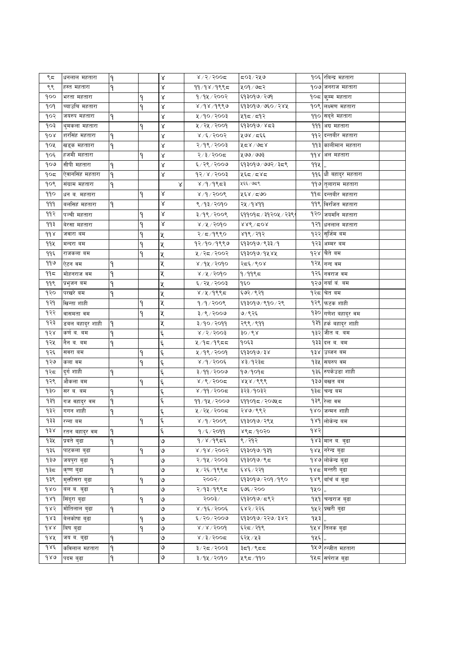| ९८            | धनलाल महतारा    | ۹ |   | Χ         | $8/2/500$ द           | ८०३∕ २५७             |      | १०६ रविन्द्र महतारा            |  |
|---------------|-----------------|---|---|-----------|-----------------------|----------------------|------|--------------------------------|--|
| ९९            | हस्त महतारा     | ۹ |   | Χ         | 99/98/9995            | ५०१/७८२              |      | १०७ जनराज महतारा               |  |
| १००           | भरता महतारा     |   | ٩ | Χ         | १/१५/२००२             | ६१३०१७/२७१           |      | १०८ कुम्म महतारा               |  |
| १०१           | च्याउचि महतारा  |   | ٩ | Χ         | 8/98/9889             | ६१३०१७/७६०/२४५       |      | १०९ लक्ष्मण महतारा             |  |
| १०२           | जयरुप महतारा    | ۹ |   | ४         | ५/१०/२००३             | ५१८∕ द१२             |      | ११० सद्ने महतारा               |  |
| १०३           | थुमकला महतारा   |   | ۹ | ४         | ५ / २५ / २००१         | ६१३०१७/४८३           |      | 999 अग्र महतारा                |  |
| १०४           | शरसिंह महतारा   | ٩ |   | γ         | $8 \times 15005$      | ५७४ ⁄ दर्६           |      | <u> १</u> १२ दन्तबीर महतारा    |  |
| १०५           | खड्क महताारा    | ۹ |   | Χ         | २/१९/२००३             | ५८४/७८४              |      | ११३ कालीमान महतारा             |  |
| १०६           | हजमी महतारा     |   | ٩ | Χ         | २/३/२००८              | ५७७/७७३              |      | 99४  अल महतारा                 |  |
| १०७           | सीपी महतारा     | ۹ |   | Χ         | ६/२९/२००७             | ६१३०१७/७७२/३८९       | ११५  |                                |  |
| १०८           | ऐवानसिंह महतारा | ۹ |   | Χ         | $93/x \times 5003$    | ५६८/८४८              |      | ११६ धौ बहादुर महतारा           |  |
| १०९           | संग्राम महतारा  | ۹ |   | Χ         | ४ /१ /१९८३            | ५६६/७८९              |      | ११७ तुलाराम महतारा             |  |
| ११०           | धन ब. महतारा    |   | ٩ | ४         | 8/9/9009              | ५६४ ⁄ द७०            |      | 99८ दिन्तबीर महतारा            |  |
| 999           | बर्लासहं महतारा | ۹ |   | γ         | ९/१३/२०१०             | २५ ⁄ १४११            |      | ११९ विरजित महतारा              |  |
| ११२           | पञ्ची महतारा    |   | ۹ | $\propto$ | ३/१९/२००९             | ६११०१८ / ३१२०५ / २३९ |      | १२० जयमनि महतारा               |  |
| ११३           | वेरसा महतारा    |   | ۹ | γ         | 8/8/2090              | $888$ /508           |      | १२१ धनलाल महतारा               |  |
| $d d \lambda$ | जवारा बम        |   | ۹ | Χ         | २/८/१९९०              | ४१९ ⁄ २१२            |      | १२२ <mark>सुर्जिम बम</mark>    |  |
| 992           | मन्दरा बम       |   | ٩ | Κ         | १२/१०/१९९७            | ६१३०१७/९३३/१         |      | १२३ अम्मर बम                   |  |
| ११६           | राजकला बम       |   | ٩ | Κ         | ५/२८/२००२             | ६१३०१७/१५४५          |      | १२४  चैते बम                   |  |
| ११७           | ऐटन वम          | ٩ |   | Χ         | ४/१५/२०१०             | २द६/९०४              |      | १२५ नन्द वम                    |  |
| ११८           | मोहनराज वम      | ۹ |   | Χ         | 8/8/300               | १ ⁄ ११९८             |      | १२६ नवराज वम                   |  |
| ११९           | प्रभुजन बम      | ۹ |   | Χ         | ६/२५/२००३             | १६०                  |      | १२७ नयाँ वं. बम                |  |
| १२०           | परखरे बम        | ۹ |   | Χ         | 8/4/9995              | ६७२ ⁄ ९२१            |      | १२८ वित बम                     |  |
| १२१           | खिन्ता शाही     |   | ۹ | Χ         | $9/9/200$ ९           | ६१३०१७/९१०/२९        |      | १२९ फटक शाही                   |  |
| १२२           | वासमता वम       |   | ٩ | Κ         | 3/8/3009              | ७/९२६                |      | १३० गणेश बहादुर वम             |  |
| १२३           | डबल बहादुर शाही | ٩ |   | Χ         | ३/१०/२०११             | २९९/९११              |      | १३१ हर्क बहादुर शाही           |  |
| १२४           | कर्ण ब. बम      | ٩ |   | ٤         | $8\sqrt{5}\sqrt{500}$ | ३० $\sqrt{8}$ ४      |      | १३२ जीत व. बम                  |  |
| १२५           | नैन ब. बम       | ٩ |   | Ę         | $4/95/995$ द          | १०६३                 |      | १३३ दल व. वम                   |  |
| १२६           | सवरा बम         |   | ۹ | Ę         | ५/१९/२००१             | ६१३०१७/३४            |      | १३४ उब्जन बम                   |  |
| १२७           | कला वम          |   | ٩ | Ę         | 8/9/3006              | ४३∕१२३⊄              |      | १३५ सयरुप वम                   |  |
| १२८           | दुर्गशाही       | ۹ |   | Ę         | ३/११/२००७             | १७/१०१८              | १३६। | रुपकेउडा शाही                  |  |
| १२९           | ओकला बम         |   | ۹ | تو<br>ج   | $8/9/200$ द           | ४५४ / ९९९            |      | १३७∣बखत बम                     |  |
| १३०           | सर व. वम        | ۹ |   | Ę         | ४/११/२००८             | ३२३ ⁄ १०३२           |      | १३८ चन्द्र बम                  |  |
| 9३१           | गज वहादुर वम    | ۹ |   | Ę         | 99/94/2000            | ६११०१८/२०७५८         |      | १३९ रेला वम                    |  |
| १३२           | गगन शाही        | ٩ |   | ٤         | ५/२५/२००८             | २४७/९९२              |      | १४० जन्मन शाही                 |  |
| १३३           | रन्ना बम        |   | ٩ | ६         | 8/9/9009              | ६१३०१७/२९५           |      | १४१ लोकेन्द्र बम               |  |
| d38           | रतन बहाद्र वम   | ۹ |   | ६         | १/६/२०११              | ४९८/१०२०             | १४२  |                                |  |
| १३५           | प्रबते बुढा     | ۹ |   | ७         | $9/8/9$ ९८६           | ९ ⁄ २१२              |      | १४३ मान ब. बुढा                |  |
| १३६           | पाटकला बुढा     |   | ۹ | ७         | 8005/86               | ६१३०१७/१३१           |      | १४५ ∣नरेन्द्र बढा              |  |
| १३७           | जयपुरा बुढा     | ۹ |   | ७         | २/१५/२००३             | ६१३०१७/९८            |      | १४७ लोकेन्द्र बुढा             |  |
| ৭३८           | कृष्ण बुढा      | ۹ |   | ७         | ५/२६/१९९८             | ६४६ ⁄ २२१            |      | १४८ <mark> </mark> मन्तरी बुढा |  |
| १३९           | मुक्तीसरा बुढा  |   | ٩ | ৩         | २००२/                 | ६१३०१७/२०१/१९०       |      | १४९ बाँचँ वं बुढा              |  |
| 980           | बल ब. बुढा      | ۹ |   | ७         | २/१३/१९९८             | ६७६ / २००            | 940, |                                |  |
| $d\lambda d$  | सिंदुरा बुढा    |   | ٩ | ৩         | २००३ ⁄                | ६१३०१७/८९२           |      | १५१ चन्द्रराज बढा              |  |
| १४२           | मोतिलाल बढा     | ٩ |   | ७         | 8/95/9005             | ६४२/२२६              |      | <u> १५२ प्रखरी बुढा</u>        |  |
| १४३           | बेलकोषा बुढा    |   | ۹ | ७         | ६/२०/२००७             | ६१३०१७/२२७/३४२       | १५३। |                                |  |
| dAA           | बिष बुढा        |   | ٩ | ७         | 8/8/5004              | ६२८ / २१९            |      | १५४ तिलक बढा                   |  |
| 988           | जय ब. बुढा      | ۹ |   | ७         | $8/3/300$ द           | ६२५ ⁄ ५३             | १५६  |                                |  |
| १४६           | कविलाल महतारा   | ۹ |   | ७         | ३/२८/२००३             | ३द9 / ९दद            |      | १५७ रन्जीत महतारा              |  |
| 980           | पदम बुढा        | ۹ |   | ७         | ३/१५/२०१०             | ५९८/११०              |      | १५८ सर्पराज बुढा               |  |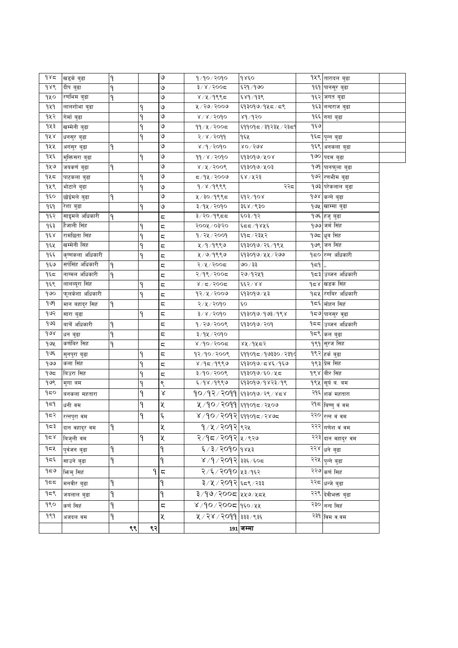| 985          | खड्के बुढा       | ٩      |    | ७         | १/१०/२०१०                   | १४६०                                      |     | १५९ तारादल बुढा             |  |
|--------------|------------------|--------|----|-----------|-----------------------------|-------------------------------------------|-----|-----------------------------|--|
| $d\lambda d$ | दीप बुढा         | ٩      |    | ৩         | $3 \times 1500$ द           | ६२१ / १७०                                 |     | १६१ पानसूर बुढा             |  |
| १५०          | रणभिम बुढा       | ۹      |    | ७         | $8/4/988$ द                 | ६४१ ∕ १३९                                 |     | १६२ जगत बुढा                |  |
| 949          | लालशोभा बुढा     |        | ٩  | ७         | ५ / २७ / २००७               | ६१३०१७/१५८/८९                             |     | १६३ नन्दराज बुढा            |  |
| १५२          | गेर्मा बुढा      |        | ٩  | ৩         | $8\sqrt{8}/500$             | ४१/१२०                                    |     | १६६ गगां बुढा               |  |
| १५३          | खम्मेनी बुढा     |        | ٩  | ७         | ११/५/२००८                   | ६११०१८ / ३१२३५ / २३८९                     | १६७ |                             |  |
| dA           | धनसुर बुढा       |        | ٩  | ও         | २/४/२०११                    | १६५                                       |     | १६८ <mark>पुन्न बुढा</mark> |  |
| १५५          | अगंसुर बुढा      | ۹      |    | ৩         | $8/9/909$ ०                 | $80\sqrt{50}$                             |     | १६९ अनकला बुढा              |  |
| १५६          | मुक्तिसरा बुढा   |        | ٩  | ৩         | 99/8/2090                   | ६१३०१७/५०४                                |     | १७० पदम बुढा                |  |
| १५७          | जयकर्ण बुढा      | ۹      |    | ७         | 8/4/3006                    | ६१३०१७/५०३                                |     | १७१ पानफुला बुढा            |  |
| १५८          | पाटकला बुढा      |        | ٩  | ৩         | ८/१५/२००७                   | ६४ / ५२३                                  |     | १७२ रणभीम बुढा              |  |
| १५९          | भोटाने बुढा      |        | ۹  | ७         | 9/8/9888                    | २२८                                       |     | <b>१७३ परेकलाल बुढा</b>     |  |
| १६०          | छोईमले बुढा      | ۹      |    | ও         | ५/३०/१९९८                   | ६१२/१०४                                   |     | १७४ कन्ने बुढा              |  |
| १६१          | रेशा बुढा        |        | ۹  | ७         | ३/१५/२०१०                   | ३६४ / ९३०                                 |     | १७५ खाम्मा बुढा             |  |
| १६२          | साइमले अधिकारी   | ٩      |    | ς         | ३/२०/१९८८                   | ६०३/१२                                    |     | १७६ हजु बुढा                |  |
| १६३          | हैजाली सिंह      |        |    | ς         | २००५ / ०३'२०                | ६८४/१४५६                                  |     | १७७ जर्म सिंह               |  |
| $d\xi$       | रामछिता सिंह     |        | ٩  | ς         | १/२५/२००१                   | ६१८ ⁄ २३५२                                |     | १७८ धुब सिंह                |  |
| १६५          | खम्मेनी सिंह     |        | ٩  | ς         | ५/१/१९९७                    | ६१३०१७/२६/१९५                             |     | १७९ जन सिंह                 |  |
| १६६          | कृष्णकला अधिकारी |        | ۹  | ς         | ५/७/१९९७                    | ६१३०१७/५५/२७७                             |     | १८० रन्न अधिकारी            |  |
| १६७          | सर्पसिंह अधिकारी | ٩      |    | ς         | २/५/२००८                    | ७० / ३३                                   | ۹≂۹ |                             |  |
| ۹६८          | नाग्मल अधिकारी   | ٩      |    | ς         | २/१९/२००८                   | २७/१२५१                                   |     | १८३ उब्जन अधिकारी           |  |
| १६९          | लालब्यूरा सिंह   |        | ٩  | ς         | $8/5/200$ द                 | ६६२/४४                                    |     | १८४ खडक सिंह                |  |
| guo          | फूलकेशा अधिकारी  |        | ٩  | ς         | १२⁄५/२००७                   | ६१३०१७/५३                                 |     | १८५ रंगबिर अधिकारी          |  |
| १७९          | मान बहादुर सिहं  | ٩      |    | ς         | २/५/२०१०                    | ६०                                        |     | <b>१८६ मोहन सिह</b>         |  |
| १७२          | सारा बुढा        |        | ۹  | ς         | ३/४/२०१०                    | ६१३०१७/१७३/१९४                            |     | १८७ <sub>पानसुर</sub> वुढा  |  |
| १७३          | बाचेँ अधिकारी    | ٩      |    | ς         | १/२७/२००९                   | ६१३०१७ ⁄ २०१                              |     | १८८ उब्जन अधिकारी           |  |
| 68           | धन बुढा          | ۹      |    | ς         | ३/१५/२०१०                   |                                           |     | १८९ कल बुढा                 |  |
| १७५          | कर्णबिर सिह      | ٩      |    | ς         | $8/90/200$ द                | ४५ ⁄ १५८२                                 |     | १९१ सुरज सिंह               |  |
| १७६          | सुनपुरा बुढा     |        | ٩  | ς         | १२/१०/२००९                  | ६११०१८/१७३३०/२३१८                         |     | १९२ हर्क बुढा               |  |
| १७७          | कला सिंह         |        | ٩  | ς         | ४/१८/१९९७                   | ६१३०१७/८४६/१६७                            |     | १९३ प्रेम सिंह              |  |
| ۹७८          | बिउरा सिह        |        | ۹  | ς         | ३/१०/२००९                   | ६१३०१७/६०/५८                              |     | १९४ बीर सिंह                |  |
| १७९          | मुगा वम          |        |    | ९         | ६/१४/१९९७                   | ६१३०१७/१४२३/१९                            |     | <b>१९५  सूर्य व.</b> वम     |  |
| १८०          | बनकला महतारा     |        | ۹  | $\propto$ |                             | <b>१०</b> /१२/२ <b>०</b> ११ ६१३०१७/२९/४८४ |     | २१६ शकं महतारा              |  |
| ۹≂۹          | धनी वम           |        | ۹  | X         | ५ /१० / २०११ झि१०१८ / २५०७  |                                           |     | २१८ बिष्णु वं वम            |  |
| ५८२          | रत्नपुरा वम      |        |    | ৼ         | ४ ⁄ १० ⁄ २०१२ ६११०१८ ⁄ २४७८ |                                           |     | २२० रत्न वं वम              |  |
| १८३          | दान वहादुर वम    | ٩      |    | χ         | १ ⁄ ५ ⁄ २०१२ ९२५            |                                           |     | २२२ गणेश वं वम              |  |
| 958          | बिजुली वम        |        | ٩  | χ         | २/१८/२०१२ ५/९२७             |                                           |     | २२३ दान वहादुर वम           |  |
| ۹۵۷          | पुर्वजन बुढा     | ۹      |    | ٩         | ६/३/२०१० १४५३               |                                           |     | २२४ धने बुढा                |  |
| १८६          | साउने बुढा       | ۹      |    | ٩         | ४ /१ / २०१२   ३३६ / ६०८     |                                           |     | २२५ पुन्ने बुढा             |  |
| 959          | भिन्मु सिहं      |        | ۹  | ς         | २/६/२०१० ५३/१६२             |                                           |     | २२७ कर्ण सिंह               |  |
| 955          | मनवीर बुढा       | ٩      |    | ۹         | ३/५/२०१२ ६८९/२३३            |                                           |     | २२८ धन्जे बुढा              |  |
| १८९          | जयलाल बुढा       | ۹      |    | ۹         | ३/१७/२००८ १५७/५८५           |                                           |     | २२९ देवीभक्त बुढा           |  |
| १९०          | कर्ण सिहं        | ۹      |    | ς         | ४/१०/२००८ १६०/५४            |                                           |     | २३० नन्द सिह                |  |
| १९१          |                  |        |    | χ         |                             |                                           |     |                             |  |
|              | अजदल वम          | ۹      |    |           | ५ / २४ / २०११ ३३३ / ९३६     |                                           |     | २३१ विम व.वम                |  |
|              |                  | ९९ $ $ | ৎ২ |           |                             | 191 जम्मा                                 |     |                             |  |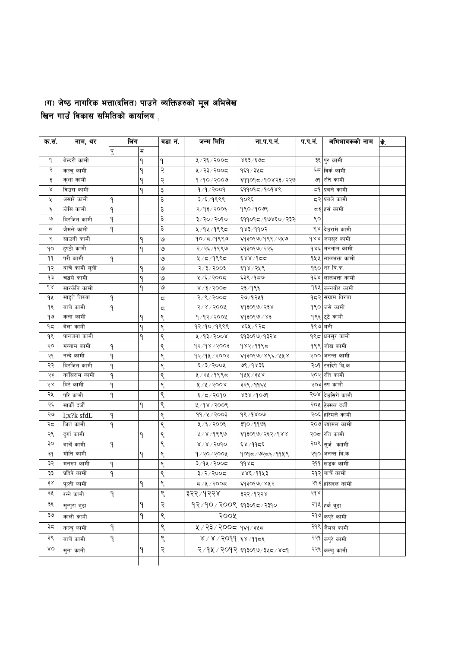## (ग) जेष्ठ नागरिक भत्ता(दलित) पाउने व्यक्तिहरुको मूल अभिलेख<br>खिन गाउँ विकास समितिको कार्यालय <sub>।</sub>

| क.सं.       | नाम, थर         | लिंग |             | वडा नं. | जन्म मिति                 | ना.प.प.नं.                  | प.प.न.  | अभिभावकको नाम               | 赤. |
|-------------|-----------------|------|-------------|---------|---------------------------|-----------------------------|---------|-----------------------------|----|
|             |                 | पु   | $\mathbb H$ |         |                           |                             |         |                             |    |
| ۹           | बेल्दरी कामी    |      | ۹           | ۹       | ५/२६/२००८                 | ४६३/६७८                     |         | ३६ पुर कामी                 |    |
| २           | कल्चु कामी      |      | ٩           | २       | ५/२३/२००८                 | १६१ / ३५ ८                  |         | ६८ विर्क कामी               |    |
| ३           | कुशा कामी       |      | ٩           | २       | 9/90/2009                 | ६११०१८/१०४२३/२२७            |         | ७१ रति कामी                 |    |
| $\propto$   | विउरा कामी      |      | ۹           | ३       | 9/9/2009                  | ६११०१८/१०१४९                |         | ८१ प्रबले कामी              |    |
| χ           | असारे कामी      | ٩    |             | ३       | ३/६/१९९९                  | १०९६                        |         | दर प्रबले कामी              |    |
| ٤           | ठोसि कामी       | ٩    |             | ३       | २/१३/२००६                 | १९०/१०७९                    |         | द३ हर्स कामी                |    |
| ৩           | बिरजित कामी     | ٩    |             | ३       | ३/२०/२०१०                 | ६११०१८/१७४६०/२३२            | ९०      |                             |    |
| ς           | जैमले कामी      | ٩    |             | ३       | ५/१५/१९९८                 | १४३/११०२                    |         | ९४ देउरामे कामी             |    |
| ९           | साउनी कामी      |      | ٩           | ৩       | $90/\pi/9$ ९९७            | ६१३०१७/१९९/२५७              |         | १४४ जयसुर कामी              |    |
| ٩o          | हुण्ठी कामी     |      | ۹           | ৩       | २/२६/१९९७                 | ६१३०१७/२२६                  |         | १४६ मननाम कामी              |    |
| ٩٩          | परी कामी        | ٩    |             | ৩       | $4/5/9$ ९९८               | ६४४/१८८                     |         | १५५ लालभक्त कामी            |    |
| ۹२          | बाँचे कामी सूली |      | ۹           | ৩       | 5005/5/5                  | ६१४ / २५९                   |         | १६० नर बि.क.                |    |
| ۹३          | चद्धसे कामी     |      | ٩           | ৩       | ५/६/२००८                  | ६३९ ⁄ १८७                   |         | १६४ लालभक्त कामी            |    |
| $d \lambda$ | सारकेनि कामी    |      | ٩           | ৩       | $8/3/300$ द               | २३⁄ १९६                     |         | १६५ कन्नबीर कामी            |    |
| ٩X          | साइते तिरुवा    | ٩    |             | ς       | २/९/२००८                  | २७/१२५१                     |         | १८२ संग्राम तिरुवा          |    |
| ۹६          | बाचे कामी       | ۹    |             | ς       | 500k/s                    | ६१३०१७/२३४                  |         | १९० जसे कामी                |    |
| ۹७          | कला कामी        |      | ۹           | ९       | 9/92/200                  | ६१३०१७/४३                   |         | १९६ टुटे कामी               |    |
| ۹ς          | बेला कामी       |      | ٩           | ९       | १२/१०/१९९९                | ४६५ ⁄ १२८                   | १९७ मनी |                             |    |
| 99          | पानजना कामी     |      | ۹           | ९       | ४/१३/२००४                 | ६१३०१७/१३२४                 |         | <mark>१९८ धनसुर कामी</mark> |    |
| २०          | मन्नाम कामी     | ٩    |             | ९       | 93/98/3003                | १४२/११९८                    |         | १९९ जोख कामी                |    |
| २१          | नन्दे कामी      | ٩    |             | ९       | १२/१५/२००२                | ६१३०१७/४९६/५५४              |         | २०० अनन्त कामी              |    |
| २२          | बिरजित कामी     | ٩    |             | ९       | $\xi$ /३/२००५             | ७९ / १४३६                   |         | २०१ रनदिपे बि.क             |    |
| २३          | कांसिराम कामी   | ٩    |             | ९       | ५/२५/१९९८                 | $9$ ४४ $/3$ ४४              |         | २०२ रति कामी                |    |
| २४          | बिरे कामी       | ٩    |             | ९       | $4/4/300$ ४               | ३२९ ⁄ ११६५                  |         | २०३ रुप कामी                |    |
| २५          | परि कामी        | ۹    |             | ९       | ६/८/२०१०                  | $858\backslash\text{do}$ la |         | २०४ देउसिगें कामी           |    |
| २६          | सार्की दर्जी    |      | ٩           | ९       | ४/१४/२००९                 |                             |         | २०५ टिक्मल दर्जी            |    |
| ২७          | l;x?k sfdL      | ٩    |             | ९       | ११/५/२००३                 | 98/9809                     |         | २०६ हरिमले कामी             |    |
| २८          | जित कामी        | ٩    |             | ९       | ५/६/२००६                  | ३१०/११७६                    |         | २०७ ज्यामल कामी             |    |
| २९          | दुर्गा कामी     |      | ٩           | ९       | 8/8/966                   | ६१३०१७/२६२/१४४              |         | २०८ रति कामी                |    |
| ąо          | वाचें कामी      | ٩    |             | ९       | $8 \times 1000$           | ६४/११८६                     |         | २०९ सुर्ज काामी             |    |
| Ρξ          | मोति कामी       |      | ٩           | ९       | $9/20/200$ ४              | १०१८/७२८६/११५९              |         | २१० अनन्त बि.क              |    |
| ३२          | मनरुप कामी      | ۹    |             | ९       | ३/१५/२००८                 | 9985                        |         | २११ खडक कामी                |    |
| ३३          | प्रदिपे कामी    | ۹    |             | ९       | $3/2/300$ द्र             | ४४६/११५३                    |         | २१२ बाचें कामी              |    |
| ३४          | पुल्ती कामी     |      |             | ९       | 5005/17                   | ६१३०१७/४५२                  |         | २१३ हाँसदल कामी             |    |
| ३५          | रन्ने कामी      | ۹    |             | ९       | ३२२ ⁄ १२२४                | ३२२ ⁄ १२२४                  | २१४     |                             |    |
| ३६          | सुन्पुरा बुढा   |      | ٩           | २       |                           |                             |         | २१५ <sub>हर्क</sub> बुढा    |    |
| ३७          | काली कामी       |      | ۹           | ९       | २००५                      |                             |         | २१७ कपुरे कामी              |    |
| ३८          | कल्चु कामी      | ۹    |             | ९       | ५ / २३ / २००८   १६१ / ३५८ |                             |         | २१९ जैमल कामी               |    |
| ३९          | बाचेँ कामी      | ۹    |             | ९       | ४/४/२०११ ६४/११८६          |                             |         | २२१ कपुरे कामी              |    |
| λO          |                 |      |             |         |                           |                             |         |                             |    |
|             | सुना कामी       |      | ۹           | २       |                           | २/१५/२०१२ ६१३०१७/३५८/४८१    |         | २२६ <sub>कल्चु कामी</sub>   |    |
|             |                 |      |             |         |                           |                             |         |                             |    |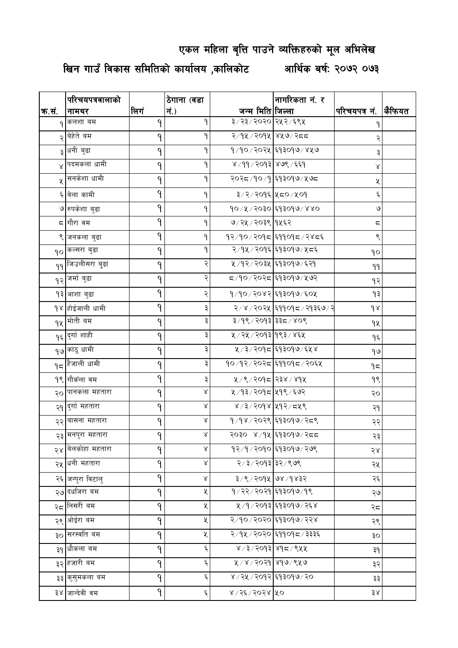### एकल महिला बृत्ति पाउने व्यक्तिहरुको मूल अभिलेख

खिन गाउँ विकास समितिको कार्यालय ,कालिकोट आर्थिक बर्ष: २०७२ ०७३

|           | परिचयपत्रवालाको           |      | ठेगाना (वडा |                           | नागरिकता नं. र              |                         |        |
|-----------|---------------------------|------|-------------|---------------------------|-----------------------------|-------------------------|--------|
| क.सं.     | नामथर                     | लिगं | नं.)        | जन्म मिति जिल्ला          |                             | परिचयपत्र नं.           | कैफियत |
|           | कलशा बम                   | ٩    | ٩           | ३/२३/२०२० २५२/६९५         |                             |                         |        |
| ২         | बेहेते बम                 | ۹    | ٩           | २/१५/२०१५ ४५७/२८८         |                             |                         |        |
| ३         | धनी बुढा                  | ۹    | ٩           |                           | १/१०/२०२५ ६१३०१७/४५७        | ३                       |        |
| $\propto$ | पदमकला धामी               | ۹    | ٩           | ४/११/२०१३ ४७९/६६१         |                             | Χ                       |        |
| $\chi$    | सनकेशा धामी               | 9    | ۹           |                           | २०२८/१०/१ ६१३०१७/५७८        | χ                       |        |
|           | ६ बेला कामी               | 9    | ۹           | ३/२/२०१६ ५८०/५०१          |                             | Ę                       |        |
|           | ७ रुपकेशा बुढा            | 9    | ۹           |                           | १०/५/२०३० ६१३०१७/४४०        | $\mathsf{G}$            |        |
|           | ८  गौरा वम                | 9    | ۹           | ७/२५/२०३९ १५६२            |                             | $\overline{\mathbb{C}}$ |        |
|           | ९ जनकला बुढा              | 9    | ۹           |                           | १२/१०/२०१८ ६११०१८/२४८६      | ९                       |        |
|           | १० कल्सरा बुढा            | ۹    | ٩           |                           | २/१५/२०१६ ६१३०१७/५८६        | ٩o                      |        |
|           | ११ जिउलीसरा बुढा          | ٩    | २           |                           | ५ / १२ / २०३५ दि१३०१७ / ६२१ | 99                      |        |
|           | १२ जर्मा बुढा             | ٩    | २           |                           | ८८/९०/२०२८ ६१३०१७/५७२       | १२                      |        |
|           | १३ आशा बुढा               | 9    | २           |                           | १/१०/२०४२ ६१३०१७/६०५        | ۹₹                      |        |
|           | १४ होईजाली धामी           | 9    |             |                           | २/४/२०२५ दि११०१८/२१३६७/२    | $d \lambda$             |        |
|           | १५ <sup>मोती बम</sup>     | ۹    | ३           | ३/१९/२०१३ ३३८/४०९         |                             | ٩X                      |        |
|           | <sub>१६</sub> दुर्गा शाही | ۹    | ३           | ५ / २५ / २०१३ 9९३ / ४६५   |                             | ۹६                      |        |
|           | <sub>१७</sub> ∣काठू धामी  | ٩    | ३           |                           | ४/३/२०१८ ६१३०१७/६५४         | १७                      |        |
|           | $95$ हैजाली धामी          | ۹    | ३           |                           | १०/१२/२०२८ ६११०१८/२०६५      | ۹≂                      |        |
|           | <u> १९ गौकँला वम</u>      | 9    | ३           | ४/९/२०१८ २३४/४१५          |                             | १९                      |        |
|           | २० पानकला महतारा          | 9    | Χ           | ५ / १३ / २०१८   ५१९ / ६७२ |                             | २०                      |        |
|           | २१  दुर्गा महतारा         | 9    | $\propto$   | ४/३/२०१४ ५१२/८५९          |                             | २१                      |        |
|           | २२ बासना महतारा           | 9    | $\propto$   |                           | १/१४/२०२९ ६१३०१७/२८९        | २२                      |        |
|           | २३ मनपुरा महतारा          | 9    | Χ           |                           | २०३० ४/१५ ६१३०१७/२८८        | २३                      |        |
|           | २४ वेलकोहा महतारा         | ٩    | Χ           |                           | १२⁄१⁄२०१० ६१३०१७⁄२७९        | २४                      |        |
|           | २५ धनी महतारा             | 9    | $\propto$   | २/३/२०१३ ३२/९७९           |                             | २५                      |        |
|           | २६ जन्पुरा विटालु         | 9    | $\propto$   | ३/९/२०१४ ७४/१४३२          |                             | २६                      |        |
|           | २७ <mark>दधजिरा बम</mark> | ٩    | Κ           |                           | १/२२/२०२१ ६१३०१७/१९         | २७                      |        |
| २८        | निसरी बम                  | 9    | X           |                           | ५ /१ / २०१३ ६१३०१७ / २६४    | २८                      |        |
|           | २९ ओईरा बम                | 9    | X           |                           | २/१०/२०२० ६१३०१७/२२४        | २९                      |        |
|           | ३० सरस्वति बम             | ٩    | ৼ           |                           |                             | Οξ                      |        |
|           | ३१ धौकला बम               | 9    | ٤           | ४/३/२०१३ ४१८/९५५          |                             | ३१                      |        |
|           | ३२ हजारी बम               | 9    | ٤           | ४/४/२०२१ ४१७/९५७          |                             | ३२                      |        |
|           | ३३ कुसुमकला बम            | 9    | ٤           | ४/२५/२०१२ ६१३०१७/२०       |                             | ३३                      |        |
|           | ३४ जान्देवी वम            | ۹    | Ę           | ४/२६/२०२४ ५०              |                             | ३४                      |        |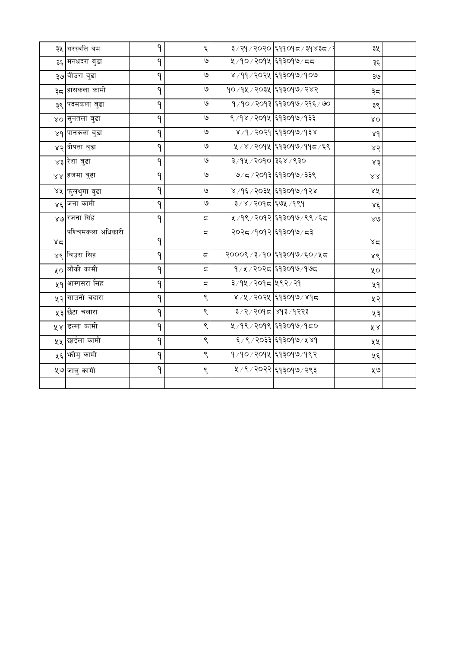|         | ३५ सिरस्वति बम               | ٩ | Ę                       |                       | ३৴२१৴२०२० ६११०१८ ४३९४३८ ∕ २      | ३५                            |  |
|---------|------------------------------|---|-------------------------|-----------------------|----------------------------------|-------------------------------|--|
|         | ३६ मनधदरा बुढा               | ۹ | $\mathsf{G}$            |                       | ५/१०/२०१५ ६१३०१७/८८              | ३६                            |  |
|         | ३७ बीउरा बुढा                | ۹ | $\mathsf{G}$            |                       | ४ / ११ / २०२५ दि१३०१७ / १०७      | २७                            |  |
|         | ३८ <mark>हांसकला कामी</mark> | ٩ | $\mathsf{G}$            |                       | १०/१५/२०३५ ६१३०१७/२४२            | ३८                            |  |
|         | ३९ पदमकला बुढा               | ۹ | ও                       |                       | १/१०/२०१३ ६१३०१७/२१६ <i>/</i> ७० | ३९                            |  |
|         | ४o सुनतला बुढा               | ۹ | $\mathsf{G}$            |                       | ९/१४/२०१५ ६१३०१७/१३३             | XO                            |  |
|         | ४९ पानकला बुढा               | ۹ | $\mathsf{G}$            |                       | ४ ⁄ १ ⁄ २०२१ दि१३०१७ ⁄ १३४       | 8d                            |  |
|         | ४२ दीपता बुढा                | ٩ | ও                       |                       | ५/४/२०१५ ६१३०१७/११८/६९           | 85                            |  |
|         | ४३ रेशा बुढा                 | ٩ | $\mathsf{G}$            | ३/१५ / २०१० ३६४ / ९३० |                                  | ४३                            |  |
|         | ४४ हजमा बुढा                 | ٩ | $\mathsf{G}$            |                       | ७/८/२०१३ ६१३०१७/३३९              | $\lambda\lambda$              |  |
|         | ४५ फुलथुगा वुढा              | ۹ | $\mathsf{G}$            |                       | ४/१६/२०३५ ६१३०१७/१२४             | ΧX                            |  |
|         | ४६ जना कामी                  | ۹ | $\mathsf{G}$            | ३/४/२०१८ ६७५/१९१      |                                  | $x\xi$                        |  |
|         | ४७ रजना सिंह                 | ۹ | $\overline{\mathbb{C}}$ |                       | ५/१९/२०१२ ६१३०१७/९९/६८           | $\lambda\mathrel{\mathsf{G}}$ |  |
|         | पश्चिमकला अधिकारी            |   | ς                       |                       | २०२८/१०१२ ६१३०१७/८३              |                               |  |
| $x = 1$ |                              | ۹ |                         |                       |                                  | $x \in$                       |  |
|         | ४९ बिउरा सिह                 | ۹ | $\overline{\mathbf{c}}$ |                       | २०००९ /३/१० ६१३०१७ /६० /५८       | 88                            |  |
|         | ५० लौकी कामी                 | 9 | $\overline{\mathbb{C}}$ |                       | १/५/२०२८ ६१३०१७/१७८              | ५०                            |  |
|         | ५१ आम्पसरा सिंह              | ۹ | ς                       | ३/१५/२०१८ ५९२/२१      |                                  | ५१                            |  |
|         | ५२ साउनी चंदारा              | ٩ | ९                       |                       | ४/५/२०२५ ६१३०१७/४१८              | ५२                            |  |
|         | ५३ छैटा चलारा                | ۹ | ९                       |                       | ३/२/२०१८ ४१३/१२२३                | ५३                            |  |
|         | ५४ डल्ला कामी                | ۹ | ९                       |                       | ५/१९/२०१९ ६१३०१७/१८०             | ४४                            |  |
|         | ५५  छाईला कामी               | ٩ | ९                       |                       | ६/९/२०३३ ६१३०१७/५४१              | ५५                            |  |
|         | <b>५६ भीमु</b> कामी          | ٩ | ९                       |                       | १/१०/२०१५ ६१३०१७/१९२             | ५६                            |  |
|         | ५७ जालु कामी                 | 9 | ९                       |                       | ५/९/२०२२ ६१३०१७/२९३              | ५७                            |  |
|         |                              |   |                         |                       |                                  |                               |  |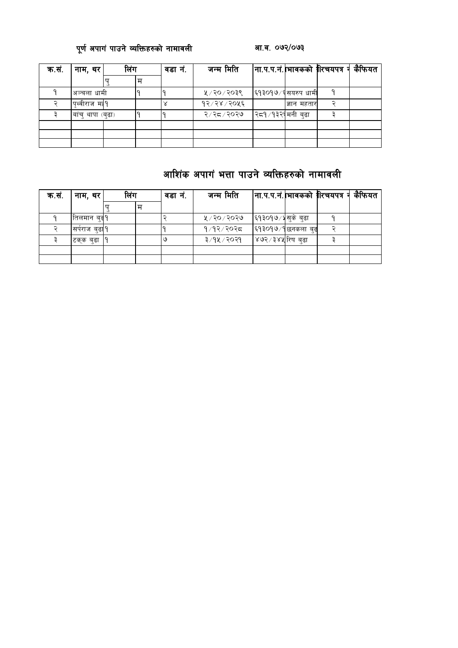### 

| क.सं. | नाम, थर           | लिंग |   | वडा नं. | जन्म मिति     |                     |             | कैफियत |
|-------|-------------------|------|---|---------|---------------|---------------------|-------------|--------|
|       |                   |      | म |         |               |                     |             |        |
|       | अञ्चला धामी       |      |   |         | ५ / २० / २०३९ | ६१३०१७∕६ सयरुप धामी |             |        |
|       | ।पथ्वीराज मा9     |      |   |         | १२/२४/२०५६    |                     | ज्ञान महतार |        |
|       | बांच् थापा (बुढा) |      |   |         | २/२८/२०२७     | २८१ ⁄ १३२९ मनी बुढा |             |        |
|       |                   |      |   |         |               |                     |             |        |
|       |                   |      |   |         |               |                     |             |        |
|       |                   |      |   |         |               |                     |             |        |

### आशिंक अपागं भत्ता पाउने व्यक्तिहरुको नामावली

| क.सं. | नाम, थर        | लिंग |   | वडा न. | जन्म मिति     |                   | ना.प.प.नं. भावकको  रिचयपत्र न | कैफियत |
|-------|----------------|------|---|--------|---------------|-------------------|-------------------------------|--------|
|       |                |      | म |        |               |                   |                               |        |
|       | तिलमान बढ9     |      |   |        | ५ ⁄ २० ⁄ २०२७ | ६१३०१७/४सुके बुढा |                               |        |
|       | सर्पराज बुढा १ |      |   |        | १/१२/२०२८     | ६१३०१७∕१छनकला बुढ |                               |        |
|       | टक्क बढा       |      |   | ७      | ३/१५/२०२१     | ४७२ ⁄ ३४५ रिष बढा |                               |        |
|       |                |      |   |        |               |                   |                               |        |
|       |                |      |   |        |               |                   |                               |        |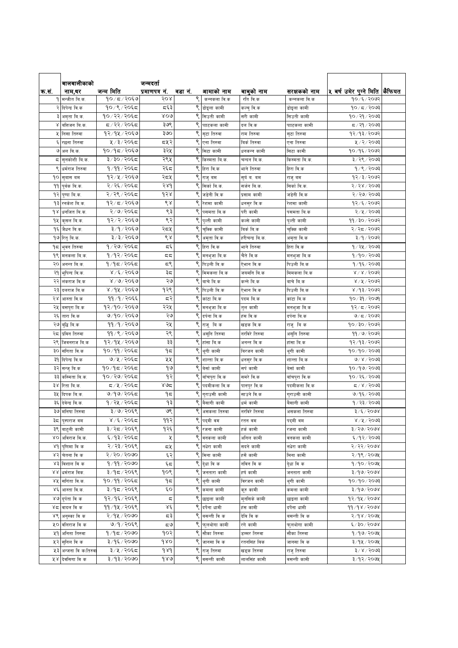|      | बालबालीकाको            |               | जन्मदतो                     |         |                                                 |                 |               |                                     |  |
|------|------------------------|---------------|-----------------------------|---------|-------------------------------------------------|-----------------|---------------|-------------------------------------|--|
| क.स. | नाम,थर                 | जन्म मिति     | प्रमाणपत्र नं.              | वडा नं. | आमाको नाम                                       | बाबुको नाम      | सरक्षकको नाम  | ५ बर्ष उमेर पुग्ने मिति  कैफियत     |  |
|      | <b>१ मन्जीत बि.क</b> . | १०/८/२०६७     | २०४                         | ९       | कन्नकला वि.क                                    | रति वि.क        | कन्नकला वि.क  | १०७६/२०७२                           |  |
|      | २ दिपेन्द्र वि.क       | १०/९/२०६८     | द६३                         |         | डोइला कामी                                      | कल्चुवि.क       | डोइला कामी    | १०/८/२०७३                           |  |
|      | ३  अमृता बि.क.         | १०/२२/२०६८    | ४०७                         |         | सिउती कामी                                      | सरी कामी        | सिउती कामी    | १०/२१/२०७३                          |  |
|      | ४ बित्तजन बि.क.        | द ∕ २२∕ २०६द  | ३७९                         |         | पााटकला कामी                                    | दल वि.क         | पााटकला कामी  | द ⁄ २१ ⁄ २०७३                       |  |
|      | ५ निसा तिरुवा          | १२⁄१५⁄२०६७    | ३७०                         |         | सृटा तिरुवा                                     | राम तिरुवा      | सृटा तिरुवा   | १२/१३/२०७२                          |  |
| ६    | रछना तिरुवा            | ५ ⁄ ३ ⁄ २०६८  | द्रप्र२                     | ९       | एना तिरुवा                                      | बिर्क तिरुवा    | एना तिरुवा    | ५ / २ / २०७३                        |  |
|      | ७ अल बि.क              | १०/१८/२०६७    | ३२५                         |         | ९ सिटा कामी                                     | धनकन्न कामी     | सिटा कामी     | १०/१६/२०७२                          |  |
|      | ८  सुनकोशी बि.क.       | ३/३०/२०६८     | २९५                         |         | ९ किस्मता बि.क.                                 | चन्दन बि.क.     | किस्मता बि.क. | ३/२९/२०७३                           |  |
|      | ९ धर्मराज तिरुवा       | १∕११∕२०६८     | २६८                         |         | ९ हिरा बि.क                                     | भाने तिरुवा     | हिरा वि.क     | १/९/२०७३                            |  |
|      | १० सुबास बम            | १२/५/२०६७     | २८५                         | ९       | राजुबम                                          | सुर्य व. वम     | राज्बम        | १२/३/२०७२                           |  |
|      | 99 पुर्बक बि.क.        | २/२६/२०६८     | २४१                         |         | $\overline{\mathsf{S}}$ सिर्का बि.क.            | सर्जन वि.क.     | सिर्कावि.क.   | २/२४/२०७३                           |  |
|      | १२ पुष्पा बि.क.        | २/२९/२०६८     | १२४                         | ९       | जडेनी वि.क                                      | प्रसाम कामी     | जडेनी वि.क    | २/२७/२०७३                           |  |
| ۹₹   | रनकेश बि.क.            | १२/८/२०६७     | $\mathcal{S}_{\mathcal{S}}$ |         | ९ रेशमा कामी                                    | धनसुर वि.क      | रेशमा कामी    | १२⁄६⁄२०७२                           |  |
| 9 S  | धर्नाजत बि.क.          | २/७/२०६८      | ९३                          | ९       | पसमता बि.क                                      | परी कामी        | पसमता बि.क    | २/५/२०७३                            |  |
| 9X   | कुसल बि.क.             | १२/२/२०६७     | ९२                          | ९       | पुल्ती कामी                                     | कल्से कामी      | पुल्ती कामी   | ११/३०/२०७२                          |  |
|      | <b>१६ जैधन बि.क</b> .  | ३/१/२०६७      | २८५                         | ९       | चुक्कि कामी                                     | बिर्कबि.क       | चुक्कि कामी   | २/२द/२०७२                           |  |
|      |                        | ३/३/२०६७      | ९४                          | ९       |                                                 | हरीचन्द्र बि.क. |               | ३/१/२०७२                            |  |
|      | १७ रितु बि.क.          | १/२७/२०६८     | πξ                          |         | अमृता वि.क<br>$\overline{\mathsf{S}}$ हिरा वि.क |                 | अमृता बि.क    |                                     |  |
|      | १८ भुवन तिरुवा         |               |                             |         |                                                 | भाने तिरुवा     | हिरा वि.क     | १ ⁄ २५ ⁄ २०७३                       |  |
|      | <b>१९  मनकला बि.क.</b> | १/१२/२०६८     | ದ ದ                         |         | $\overline{\mathsf{S}}$ मनभुजा बि.क             | चैते वि.क       | मनभुजा बि.क   | १/१०/२०७३                           |  |
|      | २०  अनन्त बि.क.        | १/१८/२०६८     | ج م                         |         | ९ पिउली बि.क                                    | ऐभान वि.क       | पिउली बि.क    | 9/95/2003                           |  |
|      | २१  भूपिन्द वि.क.      | ४ /६ / २०६७   | ३८                          |         | ९ मिमकला बि.क                                   | जयमनि बि.क      | मिमकला बि.क   | 81815005                            |  |
| २२   | लंकराज वि.क            | $8/9/306$ ७   | ২৩                          | ९       | बाचे बि.क                                       | कन्ने वि.क      | बाचे बि.क     | ४/५/२०७२                            |  |
| २३   | दलराज बि.क             | ४/१५/२०६७     | १२९                         | ९       | पिउली बि.क                                      | ऐभान वि.क       | पिउली बि.क    | ४/१३/२०७२                           |  |
|      | २४ आस्ता वि.क          | ११/१/२०६६     | द२                          | ९       | कांटा बि.क                                      | पदम बि.क        | कांटा बि.क    | १०/३१/२०७१                          |  |
|      | २५ वसपुरा बि.क         | १२/१०/२०६७    | २२५                         | ९       | मनभुजा बि.क                                     | तुल कामी        | मनभुजा बि.क   | १२⁄ ८/२०७२                          |  |
| २६   | तारा वि.क              | ७/१०/२०६७     | ২৩                          | ९       | दर्पना बि.क                                     | हंस वि.क        | दर्पना बि.क   | ७/८/२०७२                            |  |
|      | २७ बुद्धि बि.क         | ११/१/२०६७     | २५                          | ९       | राजू बिक                                        | खडक वि.क        | राजूबिक       | १०/३०/२०७२                          |  |
| २८   | प्रविन तिरुवा          | ११ / ९ / २०६७ | २९                          | ९       | असूनि तिरुवा                                    | नरविरे तिरुवा   | असूनि तिरुवा  | ११ ⁄ ७ ⁄ २०७२                       |  |
| २९   | जिवनराज बि.क           | १२/१५/२०६७    | ३३                          | ९       | हांसा बि.क                                      | अनन्त वि.क      | हांसा बि.क    | १२/१३/२०७२                          |  |
|      | ३० संगिता वि.क         | १०/११/२०६८    | ۹८                          | ९       | थूगी कामी                                       | बिरजन कामी      | थूगी कामी     | १०/१०/२०७३                          |  |
| ३१   | दिपेन्द्र वि.क         | ७/५/२०६८      | ५५                          | ९       | शान्ता वि.क                                     | धनसुर वि.क      | शान्ता बि.क   | $0 \times 15003$                    |  |
|      | ३२ सन्जु बि.क          | १०/१८/२०६८    | १७                          | ९       | बेर्सा कामी                                     | सर्प कामी       | बेर्सा कामी   | १०/१७/२०७३                          |  |
|      | ३३ कस्मिता बि.क.       | १०/२७/२०६८    | १२                          |         | ९ बाँचपुरा वि.क                                 | समरे वि.क       | बाँचपुरा वि.क | १०/२६/२०७३                          |  |
|      | ३४ रिता बि.क.          | द ⁄ ५्⁄ २०६द  | ४७द्र                       | ९       | पदमीकला वि.क                                    | पानपुर वि.क     | पदमीकला वि.क  | $5009 \times 7$                     |  |
|      | ३५ दिपक बि.क.          | ७/१७/२०६८     | ۹≂                          | ९       | गुराउसी कामी                                    | साउने वि.क      | गुराउसी कामी  | ७/१६/२०७३                           |  |
| ३६   | देवेन्द्र वि.क.        | १/२५/२०६८     | ۹३                          |         | बैसागी कामी                                     | धर्म कामी       | बैसागी कामी   | १ / २३ / २०७३                       |  |
|      | ३७ मनिषा तिरुवा        | ३/७/२०६९      | ७९                          |         | असकला तिरुवा                                    | नरविरे तिरुवा   | असकला तिरुवा  | 3/5/2008                            |  |
|      | ३८ पुस्पराज वम         | ४ ⁄ ६ ⁄ २०६द  | ११२                         |         | ९ पदमी वम                                       | रतन वम          | पदमी वम       | ४ ⁄ ५ ⁄ २०७३                        |  |
|      | ३९  बादुली कामी        | ३/२८/२०६९     | १२६                         | ९       | रजना कामी                                       | हर्क कामी       | रजना कामी     | $3/20/500$ ४                        |  |
|      | ४० अविराज वि.क.        | ६/१३/२०६८     | χ                           | ९       | बनकला कामी                                      | अनिल कामी       | वनकला कामी    | ६/१२/२०७३                           |  |
|      | ४९  पुणिमा वि क        | २/२३/२०६९     | द५                          |         | ९ नधेरा कामी                                    | सदने कामी       | नधेरा कामी    | २/२२/२०७४                           |  |
|      | ४२ चेतना वि क          | २/२०/२०७०     | ६२                          |         | $\overline{\mathsf{S}}$ मिना कामी               | हर्से कामी      | मिना कामी     | २/१९/२०७५                           |  |
|      | ४३ विशाल वि क          | 9/99/2090     | ६८                          |         | <mark>९</mark> देुधा वि क                       | नविन वि क       | देधा वि क     | $9/90/200$ ४                        |  |
|      | ४४ धर्मराज विक.        | ३/१८/२०६९     | १०९                         |         | ९ जनतारा कामी                                   | हर्ष कामी       | जनतारा कामी   | 3/90/2008                           |  |
|      |                        |               |                             |         |                                                 |                 |               |                                     |  |
|      | ४५ समिता वि.क.         | १०/११/२०६८    | ۹≂                          |         | थुगी कामी                                       | विरजन कामी      | थुगी कामी     | १०/१०/२०७३                          |  |
|      | ४६ आस्ता वि.क.         | ३/१८/२०६९     | ٤o                          |         | कमला कामी                                       | कूरु कामी       | कमला कामी     | $\sqrt{8}/90$ २०७४                  |  |
|      | ४७ दुर्पता वि क        | १२⁄१६⁄२०६९    | ς                           | ९       | छाइला कामी                                      | म्नसिके कामी    | छाइला कामी    | १२⁄१५⁄२०७४                          |  |
|      | ४८ बादल वि क           | ११/१५/२०६९    | $\lambda \xi$               | ९       | दर्पेना धामी                                    | हंस कामी        | दर्पेना धामी  | 99/98/2008                          |  |
|      | ४९ अनुस्का वि क        | २/१५/२०७०     | ಧ३                          |         | ९ वसन्ती वि क                                   | देवि विक        | बसन्ती वि क   | २/१४/२०७५                           |  |
|      | ५० वलिराज वि क         | ७/१/२०६९      | ಧ७                          |         | ९ फलथोगा कामी                                   | रगे कामी        | फुलथोगा कामी  | 6/30/5008                           |  |
|      | ५१ अनिता तिरुवा        | १/१८/२०७०     | १०२                         |         | $\overline{\mathsf{S}}$ सौका तिरुवा             | डम्मर तिरुवा    | सौका तिरुवा   | 9/99/209                            |  |
|      | ५२ सनिल वि क           | ३/१६/२०७०     | 980                         |         | $\overline{\mathsf{S}}$ जानसा वि क              | रतनसिंह बिक     | जानसा वि क    | ३/१५/२०७५                           |  |
|      | ५३ अन्जना वि क(तिरुवा  | ३/५/२०६८      | dad                         |         | $\overline{\mathsf{S}}$ राजु तिरुवा             | खड्क तिरुवा     | राजु तिरुवा   | $\frac{1}{2}$ x / $\frac{1}{2}$ 003 |  |
|      | ५४ देवसिगा वि क        | ३/१३/२०७०     | 980                         |         | वसन्ती कामी                                     | लालसिंह कामी    | वसन्ती कामी   | ३/१२/२०७५                           |  |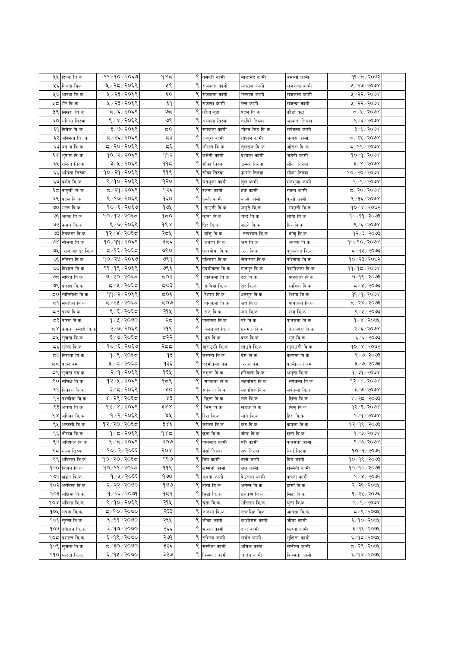|      | ५५ दिपक वि क                     | ११/१०/२०६७    | १४८                                            | ९ | वसन्ती कामी                 | लालसिंह कामी    | वसन्ती कामी   | 99 / 5 / 2092              |  |
|------|----------------------------------|---------------|------------------------------------------------|---|-----------------------------|-----------------|---------------|----------------------------|--|
| ५६   | निरुता बिक                       | ५ / २८ / २०६९ | ५९                                             |   | राजकला कामी                 | मनराज कामी      | राजकला कामी   | ४/२७/२०७४                  |  |
|      | ५७ आस्था वि क                    | ५ / २३ / २०६९ | $\epsilon$ o                                   | ९ | राजकला कामी                 | मनराज कामी      | राजकला कामी   | ४/२२/२०७४                  |  |
| ५८   | भैरे वि क                        | ५/२३/२०६९     | ξ٩                                             | ९ | राजन्दा कामी                | रत्न कामी       | राजन्दा कामी  | ४/२२/२०७४                  |  |
| ५९   | सिखर विक                         | ८/६/२०६९      | ಅದ                                             |   | ९ कौडा वुढा                 | पदम विक         | कौडा वुढा     | ८/५/२०७४                   |  |
| ٤o   | मनिसा तिरुवा                     | ९/४/२०६९      | ७९                                             |   | अस्कला तिरुवा               | नरविरे तिरुवा   | अस्कला तिरुवा | 8/3/2008                   |  |
|      |                                  | ३/७/२०६९      | ಧ೦                                             |   |                             |                 |               | 3/5/2008                   |  |
| ξ٩   | विवेक वि क                       |               |                                                |   | सर्पकला कामी                | मोहन सिह वि क   | सर्पकला कामी  |                            |  |
| ६२   | अस्मिता विक                      | द / २६ / २०६९ | ಧ३                                             |   | जन्पुरा कामी                | गोपाल कामी      | जन्पुरा कामी  | द ∕ २५ ∕ २०७४              |  |
| ६३   | धन व वि क                        | ८,२०/२०६९     | $\overline{\mathbf{c}}, \overline{\mathbf{c}}$ | ९ | जौसरा वि क                  | तुलराज वि क     | जौसरा वि क    | $5/9$ ९/२०७४               |  |
| έχ   | भुपाल वि क                       | १०/२/२०६९     | ११२                                            | ९ | जडेनी कामी                  | प्रशाका कामी    | जडेनी कामी    | 90/9/2008                  |  |
| ६५   | रमिता तिरुवा                     | ३/५/२०६९      | ۹۹۵                                            | ९ | सौंका तिरुवा                | डम्मरे तिरुवा   | सौंका तिरुवा  | $3 \times 15000$           |  |
| ६६   | अमिता तिरुवा                     | १०/२१/२०६९    | ११९                                            |   | ९ सौंका तिरुवा              | डम्मरे तिरुवा   | सौंका तिरुवा  | १०/२०/२०७४                 |  |
|      | ६७ दर्शन वि क                    | ९/१०/२०६९     | १२०                                            |   | <mark>९</mark> मनभुजा कामी  | तुल कामी        | मनभुजा कामी   | 8/8/2008                   |  |
| ६८   | वाटुली वि क                      | ८/२१/२०६९     | १२६                                            | ९ | रजना कामी                   | हर्क कामी       | रजना कामी     | $\frac{1}{20}$ $\sqrt{60}$ |  |
| ६९   | पदम विक                          | ९/१७/२०६९     | १६०                                            | ९ | पुल्ती कामी                 | कल्से कामी      | पुल्ती कामी   | ९ ⁄ १६ ⁄ २०७४              |  |
| ७०   | भरत वि.क                         | १०/६/२०६७     | १७५                                            | ९ | साउनी वि.क                  | अमृते वि.क      | साउनी वि.क    | १०७४/२०७२                  |  |
| ७१   | जनक वि.क                         | १०/१२/२०६८    | १८०                                            | ९ | छाया बि.क                   | चन्द्र बि.क     | छाया बि.क     | १०/११/२०७३                 |  |
| ও२   | कमल वि.क                         | ९/७/२०६९      | ds                                             | ९ | धिर वि.क                    | सद्धने वि.क     | धिर वि.क      | ९/६/२०७४                   |  |
| ও३   | ऐनकला वि.क                       | १२/४/२०६८     | २८५                                            | ९ | बाँचुवि.क                   | नन्दलाल वि.क    | बॉचुवि.क      | 93/3/3003                  |  |
| ७४   | सोभना वि.क                       | १०/११/२०६९    | ३८६                                            | ९ | जनशा वि.क                   | जग वि.क         | जनशा वि.क     | १०/१०/२०७४                 |  |
| ও⊻   | राज बहादुर वि.क                  | द ⁄ १६ ⁄ २०६द | ७९०                                            | ९ | फुलथोगा वि.क                | रग वि.क         | फुलथोगा वि.क  | ८/१५/२०७३                  |  |
| چې   | एलिसा वि.क                       | १०/२५/२०६७    | ७९१                                            | ९ | पश्चिमा वि.क                | चेलाराम वि.क    | पश्चिमा वि.क  | १०/२३/२०७२                 |  |
| قاقا | बिशाल बि.क.                      | ११/१९/२०६९    | ७९६                                            |   | पदमीकला वि.क                | पानपुर बि.क     | पदमीकला वि.क  | 99/95/9008                 |  |
| ಅದ   | सरिता वि.क                       | ७/२०/२०६८     | द्रू                                           | ९ | पाटकला वि.क                 | दल वि.क         | पाटकला वि.क   | ७/१९/२०७३                  |  |
| ७९   | प्रकाश वि.क                      | द⊅५ ∕ २०६द    | ८०३                                            | ९ | सावित्रा वि.क               | सुर वि.क        | सावित्रा वि.क | $\frac{2005}{2}$           |  |
| ಧ೦   | सान्तिोशा वि.क                   | ११ / २ / २०६९ | द्र0६                                          | ९ | रेशमा वि.क                  | धनसुर वि.क      | रेशमा वि.क    | ११⁄१⁄२०७४                  |  |
| ξ٩   | सुन्तोला वि.क                    | द / २५ / २०६द | ಧ೦ಅ                                            | ९ | पानकला वि.क                 | जय वि.क         | पानकला वि.क   | $\approx$ / २४ / २०७३      |  |
|      | ⊂२  पञ्चकबि.क                    | ९ ⁄ ६ ⁄ २०६८  | २१५                                            | ९ | राजु वि.क                   | अंग वि.क        | राजु वि.क     | 8/4/2003                   |  |
| ಧ್   | पारस वि.क                        | १/५/२०७०      | २द                                             | ९ | पानमता वि.क                 | परे वि.क        | पानमता वि.क   | $9$ / $8$ /२०७५            |  |
|      | ८४ <mark>कमला कुमारी वि.क</mark> | २/७/२०६९      | २१९                                            | ९ | वेलजपुरा वि.क               | धनमल वि.क       | वेलजपुरा वि.क | $2/\xi$ /२०७४              |  |
|      |                                  | ६/७/२०६८      | द२२                                            | ९ | भुरु वि.क                   | दन्त वि.क       | भुरु वि.क     | ६/६/२०७३                   |  |
|      | <b>८५ सुचना वि.क</b>             | १०/६/२०६७     | २दद                                            | ९ | गाुराउसी वि.क               |                 |               | 90 x x 7009                |  |
| द६   | सुरेन्द्र वि.क                   | १/९/२०६८      | ۹३                                             |   |                             | साउने वि.क      | गाुराउसी वि.क |                            |  |
| ದ ಅ  | निराशा बि.क.                     |               |                                                |   | कल्पना वि.क                 | प्रेम वि.क      | कल्पना बि.क   | १/७/२०७३                   |  |
| 55   | पदम वम                           | ५/८/२०६८      | १३६                                            | ९ | पद्मीकला वम                 | रतन वम          | पद्मीकला वम   | ५/७/२०७३                   |  |
| ς९   | सृजना पब.क.                      | २/१/२०६९      | १६५                                            | ९ | अमृता वि.क                  | हरिचन्द्रे वि.क | अमृता वि.क    | 9/39/2008                  |  |
|      | ९० समिक्ष वि.क                   | १२/५/२०६९     | 959                                            | ९ | सर्पकला वि.क                | महनसिंह वि.क    | सर्पकला वि.क  | $d5x, 8 \times 60$         |  |
| ९१   | विकाश वि.क.                      | ३/८/२०६९      | XΟ                                             | ९ | सर्पकला वि.क                | महनसिंह वि.क    | सर्पकला वि.क  | $3 \times 6 \times 50$ ७४  |  |
| ९२   | पश्चीमा वि.क                     | ४/२९/२०६८     | ४३                                             | ९ | छिता वि.क                   | सते वि.क        | छिता वि.क     | 8005/36                    |  |
|      | ९३ अर्चना वि.क                   | १२/४/२०६९     | 388                                            | ९ | भिमु वि.क                   | खडक वि.क        | भिमुवि.क      | 93/3/2008                  |  |
|      | ९४ अधिका वि.क                    | १/२/२०६९      | ४५                                             |   | ९ हिरा वि.क                 | माने वि.क       | हिरा वि.क     | 9/9/2008                   |  |
|      | ९५ अन्जली वि.क                   | १२⁄ २०⁄ २०६८  | ३४६                                            | ९ | कमला वि.क                   | करु वि.क        | कमला वि.क     | १२⁄१९⁄२०७३                 |  |
|      | ९६  नौराज वि.क                   | १/८/२०६९      | १४८                                            |   | छना वि.क                    | जोख वि.क        | छना वि.क      | 9/9/9098                   |  |
|      | ९७ अनिपाल वि क                   | 8/5/2068      | २०७                                            | ९ | पानमता कामी                 | परी कामी        | पानमता कामी   | 8/9/9098                   |  |
|      | ९८ मञ्जु तिरुवा                  | १०७२/२०६६     | २०४                                            |   | ९ बेर्सा तिरुवा             | सर्प तिरुवा     | बेर्सा तिरुवा | १०/१/२०७१                  |  |
|      | ९९ अविसरा वि.क.                  | १०/२०/२०६८    | ११७                                            |   | ९ विष कामी                  | बाचे कामी       | बिष कामी      | १०/१९/२०७३                 |  |
|      | 900 विपिन वि.क                   | १०/११/२०६८    | ११९                                            |   | ९ खम्मेनी कामी              | जल कामी         | खम्मेनी कामी  | १०/१०/२०७३                 |  |
|      | 909 खड्ग वि.क.                   | १/५/२०६६      | १७०                                            | ९ | कृषना कामी                  | देउलाल कामी     | कृषना कामी    | $9/x \sqrt{5000}$          |  |
|      | 90२ अरविन्द वि.क.                | २/२२/२०७०     | १७७                                            |   | हासाँ वि.क.                 | अनन्त वि.क      | हासाँ वि.क.   | २/२१/२०७५                  |  |
|      | 90३ लिक्षिमा वि.क.               | १/२६/२०७१     | ۹≂۹                                            |   | सिटा वि.क.                  | धनकर्ण वि.क.    | सिटा वि.क.    | १ ⁄ २५ ⁄ २०७६              |  |
|      | 90४  अविसा वि.क.                 | ९/१०/२०६९     | २१५                                            | ९ | घुता वि.क.                  | मनिराम वि.क.    | घुता वि.क.    | ९/९/२०७४                   |  |
|      | १०५ सिपना वि.क.                  | ८८/९/०/८      | २३३                                            | ९ | जानसा वि.क.                 | रतनसिहं विक.    | जानसा वि.क.   | 5/9/200                    |  |
|      | १०६ सुरसा वि.क                   | ६/११/२०७०     | २६५                                            | ९ | जौका कामी                   | काशीराम कामी    | जौका कामी     | ६/१०/२०७५                  |  |
|      | १०७ देवीजन वि.क.                 | ३/१७/२०७०     | २६६                                            |   | ९ फरना कामी                 | दन्त कामी       | भारना कामी    | ३/१६/२०७५                  |  |
|      | 905 प्रशान्त वि.क.               | $8/9$ $8/20$  | २७१                                            |   | ९ सुशिला कामी               | सर्जन कामी      | सुशिला कामी   | ६/१८/२०७१                  |  |
|      | <b>१०९  स्</b> जता वि.क.         | 0809/95/7     | ३२६                                            |   | <mark>९</mark> सम्रीता कामी | अमिल कामी       | सम्रीता कामी  | 5/28/200                   |  |
|      | <b>११० करना वि.क.</b>            | ६/१५/२०७०     | ३२७                                            |   | ९ किस्मता कामी              | चन्दन कामी      | किस्मता कामी  | 6/98/9004                  |  |
|      |                                  |               |                                                |   |                             |                 |               |                            |  |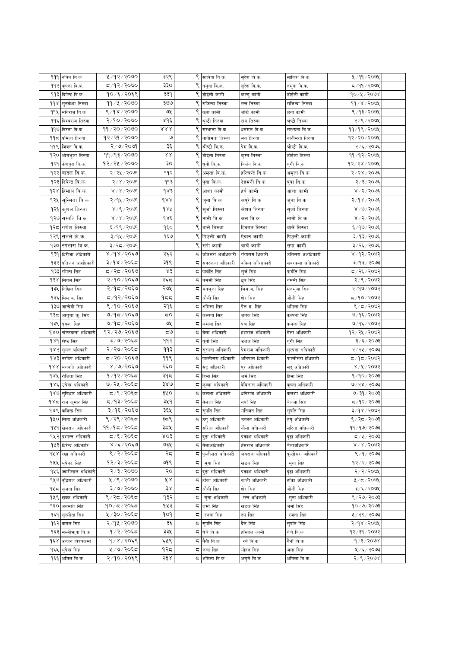|     | 999  नविन वि.क.           | ५/१२/२०७०        | ३२९              |    | ९  सावित्रा वि.क.            | सुरेश वि.क.      | सावित्रा वि.क.    | ५/११/२०७५        |  |
|-----|---------------------------|------------------|------------------|----|------------------------------|------------------|-------------------|------------------|--|
| ११२ |                           | ८८/९२/२०७०       | ३३०              |    | नमुना वि.क.                  | सुरेश वि.क.      |                   | द ∕ ११ ⁄ २०७५    |  |
|     | कृषना वि.क.               | १०/६/२०६९        | ३३१              | ९  |                              |                  | नमुना वि.क.       | 90/x/300x        |  |
|     | 99३ दिपेन्द्र वि.क.       | ११/५/२०७०        | ३७७              |    | डोईली कामी                   | कल्चु कामी       | डोईली कामी        |                  |  |
|     | <b>११४ सुनकेशा तिरुवा</b> |                  |                  | ९  | राजिन्दा तिरुवा              | रन्न तिरुवा      | राजिन्दा तिरुवा   | $99 \times 1500$ |  |
|     | 99४ मनिराज वि.क.          | 8/98/9090        | ७५               | ९  | छना कामी                     | जोखे कामी        | छना कामी          | ९/१३/२०७५        |  |
|     | ११६ विश्वराज तिरुवा       | २/१०/२०७०        | ४१६              | ९  | श्रृष्टी तिरुवा              | राम तिरुवा       | श्रृष्टी तिरुवा   | २/९/२०७१         |  |
|     | ११७ विरता वि.क.           | 99/20/2000       | $X \times X$     |    | <mark>९</mark> सम्भाना वि.क. | धनमल वि.क.       | सम्भाना वि.क.     | ११/१९/२०७५       |  |
| ۹۹≂ | प्रमिला तिरुवा            | १२/२१/२०७०       | ७                |    | नानीमता तिरुवा               | मन तिरुवा        | नानीमता तिरुवा    | १२/२०/२०७५       |  |
|     | <b>११९ जिवन वि.क.</b>     | २/७/२०७१         | ३६               |    | श्रीष्टी वि.क.               | प्रेम वि.क.      | श्रीष्टी वि.क.    | २/६/२०७६         |  |
|     | १२० ओमभुजा तिरुवा         | 99/93/2000       | $\lambda\lambda$ |    | डोईला तिरुवा                 | कुम्म तिरुवा     | डोईला तिरुवा      | 99/92/209        |  |
|     | १२१ केशपुरा वि.क.         | १२/२५/२०७०       | ąо               |    | थुगी वि्क.                   | विर्जन वि.क.     | थुगी वि्क.        | १२/२४/२०७५       |  |
|     | १२२ बादल वि.क.            | २/२५/२०७१        | ११२              | ९  | अमृता वि.क.                  | हरिचन्दे वि.क.   | अमृता वि.क.       | २/२४/२०७६        |  |
|     | १२३ दिपेन्द्र वि.क.       | २/४/२०७१         | ११३              | ९  | पुवा वि.क.                   | देहमनी वि.क.     | पुवा वि.क.        | २/३/२०७६         |  |
|     | १२४ हिमाल वि.क.           | 8/8/5000         | १४३              | ९  | आशा कामी                     | हर्ष कामी        | आशा कामी          | ४ / २ / २०७६     |  |
|     | १२५ सुस्मिता वि.क.        | २/१५/२०७१        | 988              |    | ९ जुना वि.क.                 | कपुरे वि.क.      | जुना वि.क.        | २/१४/२०७६        |  |
|     | १२६ कुशल तिरुवा           | 8/9/2009         | daă              |    | ९ सुर्जा तिरुवा              | केशव तिरुवा      | सुजो तिरुवा       | 8/9/2006         |  |
|     | १२७ सम्पति वि.क.          | $8 \times 15000$ | $d$ sé           | ९  | नानी वि.क.                   | कल वि.क.         | नानी वि.क.        | ४ / २ / २०७६     |  |
| १२८ | गणेश तिरुवा               | ६/१९/२०७१        | ٩६o              | ९  | बाले तिरुवा                  | हिक्मत तिरुवा    | बाले तिरुवा       | ६/१७/२०७६        |  |
|     | १२९ सतले वि.क.            | ३/१५/२०७१        | १६७              |    | ९ पिउली कामी                 | ऐवान कामी        | पिउली कामी        | ३/१३/२०७६        |  |
|     | <b>१३० रुपतारा वि.क.</b>  | ३/२८/२०७१        |                  | ९  | सर्पा कामी                   | बाचें कामी       |                   | ३/२६/२०७६        |  |
|     |                           |                  |                  |    |                              |                  | सपी कामी          |                  |  |
| ۹३१ | धिरीजा अधिकारी            | 8/98/2060        | २६२              |    | ८  उतिसरा अअधिकारी           | गंगाराम धिकारी   | उतिसरा अअधिकारी   | ४/१२/२०७२        |  |
| १३२ | पतिजन अअधिकारी            | ३/१४/२०६८        | ३१९              |    | <b>द सवरकला अधिकारी</b>      | वकिल अअिधकारी    | सवरकला अधिकारी    | ३/१३/२०७३        |  |
| १३३ | रमिता सिंह                | द ∕ २द ∕ २०६७    | x3               | ς  | पार्बति सिंह                 | सुर्ज सिंह       | पार्बति सिंह      | द ∕ २६ ⁄ २०७२    |  |
| dźx | सितल सिंह                 | २/१०/२०६७        | २६द              | ζ  | थममी सिंह                    | धुव सिंह         | थममी सिंह         | २/९/२०७२         |  |
| १३५ | निखिल सिंह                | २/१८/२०६७        | २७५              |    | <b>⊂ मनभुजा</b> सिंह         | भिम ब. सिंह      | मनभुजा सिंह       | २/१७/२०७२        |  |
|     | १३६ मिम ब. सिंह           | ८/१२/२०६७        | १८८              |    | द  औली सिंह                  | शेर सिंह         | औली सिंह          | ८८७२ / २१        |  |
|     | १३७ जान्देवी सिंह         | ९/१०/२०६७        | २१६              | ς  | अमिला सिंह                   | पैल व. सिंह      | अमिला सिंह        | ९/८/२०७२         |  |
|     | 9३८ आयूशा कु. सिंह        | ७/१८/२०६७        | 5Ο               |    | ⊂  कल्पना सिंह               | जनक सिंह         | कल्पना सिंह       | ७/१६/२०७२        |  |
|     | १३९ पृयंका सिहं           | ७/१८/२०६७        | ও⊻               |    | <b>द</b> कमला सिंह           | पंच सिंह         | कमला सिंह         | ७/१६/२०७२        |  |
| gro | चम्फकला अधिकारी           | १२/२७/२०६७       | ಧಅ               |    | द  बेला अधिकारी              | हंशराज अधिकारी   | बेला अधिकारी      | १२/२५/२०७२       |  |
|     | १४१ श्रेष्ठ सिंह          | ३/७/२०६८         | ११२              | ς  | थुगी सिंह                    | उजल सिंह         | थुगी सिंह         | ३/६/२०७३         |  |
|     | <b>१४२ सुमन अधिकारी</b>   | २/२७/२०६द        | ११३              | ς  | सुरपना अधिकारी               | प्रेमराज अधिकारी | सुरपना अधिकारी    | २/२५/२०७३        |  |
|     | १४३ नरदिप अधिकारी         | ८/२०/२०६७        | 99९              |    | <b>८</b> पाल्तीसरा हधिकारी   | अनिपाल धिकारी    | पाल्तीसरा हधिकारी | द ⁄ १द ⁄ २०७२    |  |
| 988 | भगवति अधिकारी             | 8/9/9060         | २६०              |    | $\sqrt{5}$  सदु अधिकारी      | पुर अधिकारी      | सदु अधिकारी       | 8/8/3003         |  |
|     | १४५  रोजिता सिंह          | १/१२/२०६८        | ३१८              |    | <b>८ हिमा</b> सिंह           | जर्म सिंह        | हिमा सिंह         | 9/90/2003        |  |
| १४६ | उपेन्द्र अधिकारी          | ७/२५/२०६८        | 380              |    | द  कृष्णा अधिकारी            | देविलाल अधिकारी  | कृष्णा अधिकारी    | 9/28/2003        |  |
|     | १४७ सुविधार अधिकारी       | द ⁄ ९ ⁄ २०६द     | ३५०              |    | <b>द</b>  कलशा अधिकारी       | धनिराज अधिकारी   | कलशा अधिकारी      | ७/३१/२०७३        |  |
|     | १४८ राज कुमार सिंह        | द ⁄ १३ ⁄ २०६द    | ३५१              |    | ⊂  बेलजा सिंह                | नयाँ सिंह        | बेलजा सिंह        | 5005/997         |  |
|     | १४९ कबिन्द्र सिंह         | ३/१६/२०६७        | ३६५              |    | <b>द</b> सुपति सिंह          | मनिजन सिंह       | सुपति सिंह        | ३/१४/२०७२        |  |
|     | १५० सिता अधिकारी          | ९ / २९ / २०६८    | ३८९              |    | <b>द</b> ठगु अधिकारी         | उब्जन अधिकारी    | ठग् अधिकारी       | ९ / २८ / २०७३    |  |
|     | १५१ खेमराज अधिकारी        | ११/१८/२०६८       | ३८५              |    | <b>द</b> सरिता अधिकारी       | नौला अधिकारी     | सरिता अधिकारी     | ११ / १७ / २०७३   |  |
|     | १५२ प्रशान्त अधिकारी      | द /६ / २०६द      | koś              |    | <b>द</b> दुढा अधिकारी        | प्रकाश अधिकारी   | दुढा अधिकारी      | 50097/7          |  |
|     | 9५३ धिरेन्द्र अधिकारि     | ४/६/२०६७         | ७३५              |    | <b>८</b> बेलाअधिकारि         | हंसराज अधिकारि   | वेलाअधिकारि       | 8/8/5005         |  |
|     | १५४ रेखा अधिकारी          | ९ ⁄ २ ⁄ २०६८     | २८               |    | ८ पुल्तीसरा अधिकारी          | जयराज अधिकारी    | पुल्तीसरा अधिकारी | ९/१/२०७३         |  |
|     | १५५ भुपेनद्र सिंह         | १२/३/२०६८        | ७१९              |    | $\sqrt{5}$ मुगा सिंह         | खडक सिंह         | मगा सिंह          | १२⁄२⁄२०७३        |  |
|     | १५६ ज्वारीलाल अधिकारी     | 8/8/8000         | २०               |    | ⊂ दुढा अधिकारी               | प्रकाश अधिकारी   | दढा अधिकारी       | २/२/२०७५         |  |
|     |                           | ५/९/२०७०         | ४४               |    |                              | काली अधिकारी     |                   |                  |  |
|     | १५७ व्दिराज अधिकारी       |                  |                  |    | <b>द</b> टाँका अधिकारी       |                  | टाँका अधिकारी     | $4/5/200$ ५      |  |
|     | <b>१५८ सुजना सिंह</b>     | ३/७/२०७०         | ३४               | ς, | औली सिंह                     | शेर सिंह         | औली सिंह          | ३/६/२०७५         |  |
|     | १५९ छक्क अधिकारी          | ९/२८/२०६८        | १३२              | ς  | सुना अधिकारी                 | रत्न अधिकारी     | सुना अधिकारी      | ९ / २७ / २०७३    |  |
|     | १६० अनमति सिंह            | १०/८/२०६८        | १५३              |    | <b>द</b> जर्मा सिंह          | खडक सिंह         | जर्मा सिंह        | १०/७/२०७३        |  |
|     | १६१ सुस्मीता सिंह         | ५/३०/२०६८        | pop              | 5  | रजना सिंह                    | रुप सिंह         | रजना सिंह         | ५ / २९ / २०७३    |  |
|     | १६२ कमल सिंह              | २/१५/२०७०        | ३६               |    | ⊂ सुपति सिंह                 | दैल सिंह         | सुपति सिंह        | २/१४/२०७५        |  |
|     | १६३ सल्लीभरुपा वि.क       | १/२/२०६८         | ३३५              |    | ⊊ थेचे वि.क                  | हाँसदल कामी      | थेचे वि.क         | १२/३१/२०७२       |  |
|     | १६४ उब्जन विश्वकर्मा      | 9/8/2068         | ६५९              |    | द नैनी वि.क                  | रने वि.क         | नैनी वि.क         | 9/3/2008         |  |
|     | १६५ भुषेन्द्र सिंह        | ५/७/२०६८         | १२८              |    | ⊂ जिला सिंह                  | मोहन सिंह        | जला सिंह          | ५/६/२०७३         |  |
|     | १६६ अमिल वि.क             | २/१०/२०६९        | २३४              |    | <mark>द</mark> अमिला वि.क    | अमृते वि.क       | अमिला वि.क        | 5/6/5000         |  |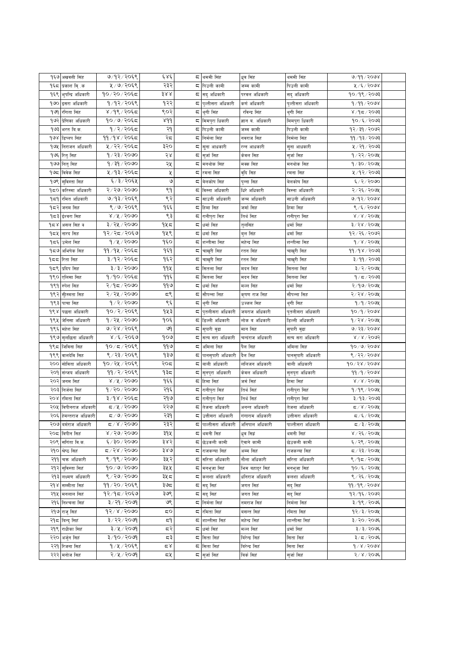|     | १६७ अखवत्ती सिंह             | ७/१२/२०६९             | ६४६             |    | <b>द</b> थममी सिंह               | धुव सिंह         | थममी सिंह         | 9/99/2098                                   |  |
|-----|------------------------------|-----------------------|-----------------|----|----------------------------------|------------------|-------------------|---------------------------------------------|--|
|     | १६८  प्रकाश वि्क             | ५ / ७ / २०६९          | २३२             |    | द ∣पिउली कामी                    | जम्म कामी        | पिउली कामी        | ५/६/२०७४                                    |  |
|     | <b>१६९ भुपन्द्रि अधिकारी</b> | १०/२०/२०६८            | 388             |    | ⊊ सदु अधिकारी                    | परवल अधिकारी     | सदु अधिकारी       | $90/9$ ९/२०७३                               |  |
|     | 9७० इसरा अधिकारी             | १/१२/२०६९             | १२२             |    | ⊂  पुल्तीसरा अधिकारी             | कर्ण अधिकारी     | पुल्तीसरा अधिकारी | 9/99/2098                                   |  |
|     | १७१  रंगिता सिंह             | ४/१९/२०६८             | ९०२             |    | ⊂  थुगी सिंह                     | रविन्द्र सिंह    | थुगी सिंह         | ४ ⁄ १८ ⁄ २०७३                               |  |
|     | १७२ प्रेणिका अधिकारी         | १०/७/२०६८             | 8d <sub>d</sub> |    | <b>५ मिमपुरा धिकारी</b>          | ज्ञान व. अधिकारी |                   | १०/६/२०७३                                   |  |
|     |                              |                       |                 |    |                                  |                  | मिमपुरा धिकारी    |                                             |  |
|     | १७३ भरत बि.क.                | १/२/२०६८              | २१              |    | <b>५ पिउली कामी</b>              | जम्म कामी        | पिउली कामी        | १२/३१/२०७२                                  |  |
|     | १७४ डिप्लप सिंह              | ११/१४/२०६८            | २८              |    | द निर्मला सिंह                   | नवराज सिह        | निर्मला सिंह      | 99/93/2003                                  |  |
|     | १७५ निराजन अधिकारी           | ५ / २२ / २०६८         | ३२०             |    | द  सुना आधकारी                   | रन्न आधकारी      | सुना आधकारी       | ५ / २१ / २०७३                               |  |
|     | <b>१७६ रितु</b> सिह          | १/२३/२०७०             | २४              |    | ८ सुर्जा सिंह                    | केवल सिह         | सुर्जासिह         | १/२२/२०७५                                   |  |
|     | १७७ नितु सिह                 | १/३१/२०७०             | २५              |    | ⊂  मनथोक सिह                     | मक्क सिह         | मनथोक सिह         | $9/30/200$ प्र                              |  |
|     | १७८ विवेक सिह                | ५/१३/२०६८             | У               |    | ⊂ रमना सिह                       | वुदि सिह         | रमना सिह          | ५/१२/२०७३                                   |  |
|     | १७९ सविस्ता सिंह             | ६/३/२०६५              | ৩               |    | द  बेलकोष सिह                    | पुन्ना सिह       | बेलकोष सिह        | 6/2/2000                                    |  |
|     | १८० करिस्मा अधिकारी          | २/२७/२०७०             | ९१              |    | <b>द विस्ना अधिकारी</b>          | धिरे अधिकारी     | विस्ना अधिकारी    | २/२६/२०७५                                   |  |
|     | १८१ रमित अधिकारी             | ७/१३/२०६९             | ९२              |    | ८  साउनी अधिकारी                 | जन्म अधिकारी     | साउनी अधिकारी     | 9/92/2098                                   |  |
|     | १८२ जनम सिह                  | ९/७/२०६९              | १६६             |    | ⊂ हिमा सिह                       | जर्मा सिह        | हिमा सिह          | 8/5/2008                                    |  |
|     | १८३ ईश्वरा सिह               | 8/8/5000              | ९३              |    | <b>द</b> रानीपुरा सिह            | तिर्थ सिह        | रानीपुरा सिह      | $81.8150$ 98                                |  |
| १८४ | असल सिंह क                   | ३/२५/२०७०             | १५८             |    | ⊂  धर्मा सिह                     | तुलसिंह          | धर्मा सिह         | ३/२४/२०७५                                   |  |
|     | <b>१८५  </b> नारद सिंह       | १२/२८/२०६७            | १५९             |    | <b>८</b> धर्मा सिंह              | बुल सिंह         | धर्मा सिह         | १२/२६/२०७२                                  |  |
| १८६ | उमेश सिह                     | 9/8/2000              | १६०             |    | ⊊  शन्तीसा सिह                   | महेन्द्र सिह     | शन्तीसा सिह       | 9 x 200                                     |  |
|     | १८७∣अभिषेक सिह               | ११/१५/२०६८            | १६१             |    | <b>द</b> चाखरी सिंह              | रतन सिंह         | चाखुरी सिह        | 99/98/2003                                  |  |
|     | <b>१८८ रिता सिंह</b>         | ३/१२/२०६८             | १६२             |    | ⊂  चाखुरी सिह                    | रतन सिंह         | चाखुरी सिह        | ३/११/२०७३                                   |  |
|     | १८९ प्रदिप सिंह              | 3 / 3 / 2000          | 99火             |    | ⊂ सितला सिहं                     | मदन सिंह         | सितला सिहं        | ३/२/२०७५                                    |  |
| १९० |                              | १/१०/२०६८             | ११६             |    |                                  |                  |                   | १∕ ८ ⁄ २०७३                                 |  |
|     | एलिसा सिह                    |                       |                 |    | ⊂ सितला सिहं                     | मदन सिंह         | सितला सिहं        |                                             |  |
| १९१ | रुपेश सिंह                   | २/१८/२०७०             | ११७             | ς  | धर्मा सिह                        | मल्ल सिंह        | धर्मा सिह         | २/१७/२०७५                                   |  |
| १९२ | सीस्मता सिह                  | २/२५/२०७०             | ς٩              | ζ  | सौपन्ना सिह                      | कृषण राज सिंह    | सौपन्ना सिह       | २/२४/२०७५                                   |  |
| १९३ | पाचा सिह                     | 9/2/2000              | ९६              |    | ⊂  थुगी सिह                      | उज्जल सिह        | थुगी सिह          | १/१/२०७१                                    |  |
| १९४ | पछना अधिकारी                 | १०/२/२०६९             | १५३             |    | ⊊  पुतलीसरा अधिकारी              | जयराज अधिकारी    | पुतलीसरा अधिकारी  | 90/9/2008                                   |  |
|     | १९५ जेनिसा अधिकारी           | १/२५/२०७०             | १०६             |    | <b>द</b> डिल्ली अधिकारी          | लोक व अधिकारी    | डिल्ली अधिकारी    | 9/28/200                                    |  |
| १९६ | महेश सिह                     | ७/२४/२०६९             | ७१              |    | ⊂  सुपारी वुढा                   | मान सिह          | सुपारी वुढा       | 0/35/5008                                   |  |
|     | १९७ सुलछिना अधिकारी          | $8\sqrt{6}\sqrt{506}$ | 909             |    | ⊂ सत्य सरा अधिकारी               | चन्दराज अधिकारी  | सत्य सरा अधिकारी  | 8/8/5005                                    |  |
|     | <b>१९८ जिविना सि</b> ह       | १०/८/२०६९             | ۹۹७             |    | द  अमिला सिह                     | पैल सिह          | अमिला सिह         | 90/9/2098                                   |  |
|     | <b>१९९ वालदेवि सि</b> ह      | ९/२३/२०६९             | १३७             |    | <b>द पानसुपारी अधिकारी</b>       | दैल सिह          | पानसुपारी अधिकारी | ९/२२/२०७४                                   |  |
| २०० | सोविता अधिकारी               | १०/२५/२०६९            | २०८             | ζ. | बाली अधिकारी                     | ललिजन अधिकारी    | बाली अधिकारी      | $90 \times 58 \times 500$                   |  |
|     | २०१ संन्जय अधिकारी           | ११ / २ / २०६९         | १३८             |    | ⊊ सुनपुरा अधिकारी                | केवल अधिकारी     | सुनपुरा अधिकारी   | 99/9/2098                                   |  |
|     | २०२ जनम सिहं                 | 8/8/5000              | १६६             |    | ⊂ हिमा सिहं                      | जर्म सिहं        | हिमा सिहं         | $81.8150$ 98                                |  |
|     | २०३ निर्जना सिंह             | १/२०/२०७०             | २१६             |    | <b>८</b> रानीपुरा सिहं           | तिर्थ सिहं       | रानीपुरा सिहं     | 9/98/200x                                   |  |
|     | २०४ रमिता सिहं               | ३/१४/२०६८             | २१७             |    | ⊊ रानीपुरा सिहं                  | तिर्थ सिहं       | रानीपुरा सिहं     | ३/१३/२०७३                                   |  |
|     | २०५ विपीनराज अधिकारी         | $5/8$ /२०७०           | २२७             |    | द तेजना अधिकारी                  | अनन्त अधिकारी    | तेजना अधिकारी     | 5/8/200                                     |  |
|     | २०६ हेमन्तराज अधिकारी        | $\sigma$ /७/२०७०      | २३१             |    | <mark>द </mark> उत्तीसरा अधिकारी | गंगाराम अधिकारी  | उत्तीसरा अधिकारी  | $\frac{1}{2}$ द $\frac{1}{2}$ $\frac{1}{2}$ |  |
|     | २०७ बर्मराज अधिकारी          | $Z/X$ / 2090          | २३२             |    | द  पाल्तीसरा अधिकारी             | अनिपाल अधिकारी   | पाल्तीसरा अधिकारी | $5/3/200$ प्र                               |  |
|     | २०८ विपीन सिंह               | 8/50/500              | ३१५             |    | <b>द</b> थमनी सिहं               | धवसिद्वं         | थमनी सिहं         | 8/26/5006                                   |  |
|     | २०९ सगिता वि.क.              | ६/३०/२०७०             | ३४२             |    | <b>५ छे</b> उकली कामी            | ऐवाने कामी       | छेउकली कामी       | ६/२९/२०७५                                   |  |
|     |                              | ८/२४/२०७०             | ३४७             |    |                                  | अम्म सिहं        | राजकन्या सिहं     |                                             |  |
|     | २१० श्रेष्ठ सिंह             | ९ /१९ / २०७०          | ३५२             |    | <b>द</b>  राजकन्या सिहं          |                  |                   | ८/२३/२०७५                                   |  |
|     | २११ चक्र अधिकारी             |                       |                 |    | ⊊ सरिता अधिकारी                  | नौला अधिकारी     | सरिता अधिकारी     | $8/95/200$ प्र                              |  |
|     | २१२ सविस्ता सिहं             | 90/9/2090             | ३५५             |    | <b>५ मनभुजा सिहं</b>             | भिम बहादुर सिहं  | मनभुजा सिहं       | $90\frac{2}{5}$ /२०७५                       |  |
|     | २१३ लक्ष्मण अधिकारी          | ९/२७/२०७०             | ३५८             |    | <b>द</b> कलशा अधिकारी            | धनिराज अधिकारी   | कलशा अधिकारी      | ९/२६/२०७५                                   |  |
|     | २१४ सम्मीता सिहं             | ११/२०/२०६९            | ३७द्र           |    | <b>द</b> सदु सिहं                | जगत सिहं         | सद् सिहं          | 99/98/2008                                  |  |
|     | २१५ मनलाल सिहं               | १२/१८/२०६७            | ३७९             |    | ⊂ सदुसिहं                        | जगत सिहं         | सद् सिहं          | १२/१६/२०७२                                  |  |
|     | २१६ निश्चला सिहं             | ३/२१/२०७१             | ৩ৎ              |    | द निर्मला सिहं                   | नमराज सिहं       | निर्मला सिहं      | $3/9$ ९ / २०७६                              |  |
|     | २१७ राजु सिहं                | $95/8$ / $500$        | 5Ο              |    | द  रमिता सिहं                    | बसन्त सिहं       | रमिता सिहं        | १२⁄३⁄२०७५                                   |  |
|     | २१८ बिन्दु सिहं              | ३/२२/२०७१             | ξ۹              |    | <b>८ शा</b> न्तीसा सिहं          | महेन्द्र सिहं    | शान्तीसा सिहं     | ३/२०/२०७६                                   |  |
|     | २१९ राधीका सिहं              | ३/५/२०७१              | द२              |    | <b>८</b> धर्मा सिहं              | मल्ल सिहं        | धर्मा सिहं        | ३/३/२०७६                                    |  |
|     | २२० अर्जुन सिहं              | ३/१०/२०७१             | ಧ३              |    | ⊂ सिता सिहं                      | बिरेन्द्र सिहं   | सिता सिहं         | ३/८/२०७६                                    |  |
|     | २२१ रिजना सिहं               | १/५/२०६९              | م ک             |    | ⊂ सिता सिहं                      | बिरेन्द्र सिहं   | सिता सिहं         | 9/8/9008                                    |  |
|     | २२२ मनोज सिहं                | २/५/२०७१              | ⊂⊻              |    | ⊂ सुर्जा सिहं                    | बिर्क सिहं       | सुर्जासिहं        | $2/8/20$ ७६                                 |  |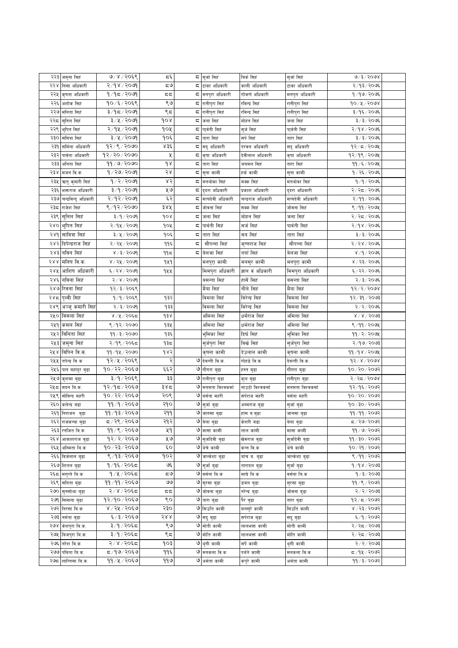|     | २२३ जमना सिहं                   | 9/8/2059                  | $\overline{\mathbf{c}}$ |    | ⊂ सुर्जा सिहं                            | विर्क सिह                | सुर्जासिहं       | 0/3/5008                 |  |
|-----|---------------------------------|---------------------------|-------------------------|----|------------------------------------------|--------------------------|------------------|--------------------------|--|
| २२४ | निसा अधिकारी                    | 80918                     | ಧ७                      |    | द ∣टाका अधिकारी                          | काली अधिकारी             | टाका अधिकारी     | २/१३/२०७६                |  |
|     |                                 | 9/95/209                  |                         |    |                                          |                          |                  | १/१७/२०७६                |  |
|     | २२५ कृषना अधिकारी               |                           | 55                      |    | <b>५ मनपुरा अधिकारी</b>                  | गोकर्ण अधिकारी           | मनपुरा अधिकारी   |                          |  |
| २२६ | अशोक सिहं                       | १०/६/२०६९                 | ९७                      |    | ⊊ रानीपुरा सिहं                          | रविन्द्र सिहं            | रानीपुरा सिहं    | 90/2/2008                |  |
|     | २२७ मनिता सिहं                  | ३/१८/२०७१                 | ९८                      |    | ⊊ रानीपुरा सिहं                          | रविन्द्र सिहं            | रानीपुरा सिहं    | ३/१६/२०७६                |  |
| २२८ | सुनिल सिहं                      | ३/५/२०७१                  | 90x                     |    | <b>द</b> जला सिहं                        | मोहन सिहं                | जला सिहं         | ३/३/२०७६                 |  |
| २२९ | भुपिन सिहं                      | २/१५/२०७१                 | goy                     | ς. | पार्वती सिहं                             | सुर्ज सिहं               | पा्र्वती सिहं    | २/१४/२०७६                |  |
| २३० | समित्रा सिहं                    | ३/५/२०७१                  | १०६                     | ς  | तारा सिहं                                | सर्प सिहं                | तारा सिहं        | ३/३/२०७६                 |  |
| २३१ | सर्मिला अधिकारी                 | १२/९/२०७०                 | ४३६                     |    | ⊂  सदु अधिकारी                           | परवल अधिकारी             | सदु अधिकारी      | १२/८/२०७५                |  |
| २३२ | पार्वता अधिकारी                 | $98 \times 90 \times 900$ | Κ                       |    | ⊊  कृषा अधिकारी                          | देवीलाल अधिकारी          | कृषा अधिकारी     | १२/१९/२०७५               |  |
| २३३ | अनिता सिहं                      | 99/0/2000                 | 9 S                     |    | ⊊  तारा सिहं                             | जयमल सिहं                | तारा सिहं        | $99 / 5 / 200$ ४         |  |
|     | २३४  मजनं वि.क.                 | १/२७/२०७१                 | २४                      | ς. | सुना कामी                                | हर्क कामी                | सुना कामी        | १/२६/२०७६                |  |
| २३५ | ऋतु कुमारी सिहं                 | 9/2/2099                  | ४२                      |    | <b>द</b>  मनथोका सिहं                    | मक्क सिहं                | मनथोका सिहं      | १/१/२०७६                 |  |
| २३६ | भक्तराज अधिकारी                 | ३/१/२०७१                  | ५७                      |    | ⊂ दुदरा अधिकारी                          | प्रकाश अधिकारी           | दुदरा अधिकारी    | २/२८/२०७६                |  |
| २३७ | चन्द्रविन्दु अधिकारी            | २/१२/२०७१                 | ६२                      |    | <b>द</b> सत्यदेवी अधिकारी                | चन्द्रराज अधिकारी        | सत्यदेवी अधिकारी | २/११/२०७६                |  |
| २३८ | राजेश सिहं                      | ९/१२/२०७०                 | ३४५                     | ς  | जोवना सिहं                               | सक्क सिहं                | जोवना सिहं       | ९/११/२०७५                |  |
| २३९ | सुनिल सिहं                      | ३/१/२०७१                  | 908                     | ς  | जला सिहं                                 | मोहन सिहं                | जला सिहं         | २/२८/२०७६                |  |
| २४० | भूपिन सिह                       | २/१५/२०७१                 | १०५                     | ς. | पार्वती सिहं                             | सर्जसिहं                 | पार्वती सिहं     | २/१४/२०७६                |  |
| २४१ | सावित्रा सिहं                   | ३/५/२०७१                  | १०६                     |    | ⊂ तारा सिहं                              | सय सिहं                  | तारा सिहं        | ३/३/२०७६                 |  |
| २४२ | दिपेन्द्रराज सिहं               | २/२५/२०७१                 | ११६                     | ς  | सौपन्ना सिहं                             | कृष्णराज सिहं            | सौपन्ना सिहं     | २/२४/२०७६                |  |
|     | २४३  नविन सिहं                  | ४ / ३ / २०७१              | ۹۹ҕ                     |    | <b>८</b> बेलजा सिहं                      | नयाँ सिहं                | बेलजा सिहं       | ४/१/२०७६                 |  |
|     |                                 |                           |                         |    |                                          |                          |                  |                          |  |
| २४४ | मनिष वि.क.                      | ४ / २५ / २०७१             | 929                     |    | मनपुरा कामी                              | मनसुर कामी               | मनपुरा कामी      | ४ / २३ / २०७६            |  |
| २४५ | आशिष अधिकारी                    | ६/२४/२०७१                 | १५५                     |    | मिमपुरा अधिकारी                          | ज्ञान वं अधिकारी         | मिमपुरा अधिकारी  | ६/२२/२०७६                |  |
|     | २४६ नविना सिह                   | २/४/२०७१                  |                         |    | बसन्ता सिहं                              | हासें सिहं               | बसन्ता सिहं      | २/३/२०७६                 |  |
|     | २४७ रिवना सिह                   | १२/३/२०६९                 |                         |    | मैया सिहं                                | नौले सिहं                | मैया सिहं        | 93/2/5008                |  |
|     | २४८ पृथ्वी सिह                  | १/१/२०६९                  | १३२                     |    | विमला सिहं                               | विरेन्द्र सिहं           | विमला सिहं       | 93/39/2003               |  |
|     | २४९ अञ्जु कमारी सिहं            | २/३/२०७१                  | १३३                     |    | विमला सिहं                               | विरेन्द्र सिहं           | विमला सिहं       | २/२/२०७६                 |  |
|     | २५० विमला सिहं                  | ४/५/२०६८                  | d3x                     |    | अमिला सिहं                               | धर्मराज सिहं             | अमिला सिहं       | $8 \times 8 \times 5003$ |  |
|     | २५१ कमल सिंह                    | ९ / १२ / २०७०             | १३५                     |    | अमिला सिहं                               | धर्मराज सिहं             | अमिला सिहं       | 8/99/209                 |  |
|     | २५२ विनिता सिहं                 | ११ / ३ / २०७०             | १३६                     |    | भुमिका सिहं                              | दिर्घ सिहं               | भूमिका सिहं      | 99/2/209                 |  |
|     | २५३ जमुना सिहं                  | २/१९/२०६८                 | १३८                     |    | सुर्जपुरा सिहं                           | विर्ख सिह                | सुर्जपुरा सिहं   | २/१७/२०७३                |  |
|     | २५४ विपिन वि.क.                 | 99/92/2000                | 985                     |    | कृषना कामी                               | देउलाल कामी              | कृषना कामी       | 99/98/900                |  |
|     | २५५ तपेन्द्र वि क               | १२/५/२०६९                 | २                       |    | ७ देवन्ती वि.क.                          | गोहडे वि.क.              | देवन्ती वि.क.    | 92/8/2008                |  |
|     | २५६ पान बहादुर बुढा             | १०/२२/२०६७                | ६६२                     |    | ७ गौगरा बुढा                             | हस्त बुढा                | गौगरा बुढा       | १०/२०/२०७२               |  |
| २५७ | कुशमा बुढा                      | ३/१/२०६९                  | ३३                      |    | ७ रानीपुरा बुढा                          | कुल बुढा                 | रानीपुरा बुढा    | २/२८/२०७४                |  |
| २५८ | मदन बि.क.                       | १२/१८/२०६७                | ३४८                     | ও  | मनमता विश्वकर्मा                         | नाउटो विश्वकर्मा         | मनमता विश्वकर्मा | १२/१६/२०७२               |  |
|     | २५९ सोविन्द महरी                | १०/२२/२०६७                | २०९                     |    | ७ वर्सना महरी                            | सर्पराज महरी             | बर्सना महरी      | १०७२०/२०७२               |  |
| २६० |                                 | ११/१/२०६७                 | २१०                     | ও  |                                          |                          |                  | १०/३०/२०७२               |  |
|     | कलेन्द्र बढा<br>२६१ निराजन बुढा | 99/93/2050                | २११                     |    | सुर्जा बुढा<br><mark>७</mark> जानसा बुढा | अम्मराज बुढा             | सुजा बुढा        | 99/99/2002               |  |
|     |                                 | ८/२९/२०६७                 | २१२                     |    | ७ बेला बुढा                              | हांस ब.बुढा<br>केशरी बढा | जानसा बुढा       | ८८/२७/२०७२               |  |
|     | २६२ राजकन्या बुढा               | ११ / ९ / २०६७             | ५१                      |    | ७ मासा कामी                              |                          | वेला बुढा        | 99/9/9092                |  |
|     | २६३ रनजित वि.क                  | १२/२/२०६७                 | ५७                      |    |                                          | लाल कामी                 | मासा कामी        | 99/30/2002               |  |
|     | २६४ आकाशराज बुढा                |                           | ٤O                      |    | ७ सुर्जादेवी बुढा<br>७ थेचे कामी         | खेमराज बुढा              | सुर्जादेवी बुढा  | १०/२१/२०७२               |  |
|     | २६५ अस्मिता बि.क                | १०/२३/२०६७                |                         |    |                                          | कन्न बि.क                | थेचे कामी        |                          |  |
|     | २६६ विर्जलाल बुढा               | ९/१३/२०६७                 | १०२                     |    | ७ जान्केशा बुढा                          | बांच ब. बुढा             | जान्केशा बुढा    | ९ं∕११ ∕२०७२              |  |
|     | २६७ शितल बुढा                   | १/१६/२०६८                 | ও६                      |    | ७ सुर्जा बुढा                            | तारादल बुढा              | सुर्जावुढा       | १/१४/२०७३                |  |
|     | २६८ मगन्ते वि.क                 | १/५/२०६८                  | ಧ७                      |    | ७ वर्सना बि.क                            | माघे बि.क                | वर्सना बि.क      | १ ⁄ ३ ⁄ २०७३             |  |
|     | २६९ सनिता बुढा                  | ११/११/२०६७                | واقا                    |    | ७ सुरसा बुढा                             | डवल बुढा                 | सुरसा बुढा       | ११ / ९ / २०७२            |  |
|     | २७० सुनसोभा बुढा                | २/४/२०६८                  | 55                      |    | ७ जोवना बुढा                             | नरेन्द्र बुढा            | जोवना ब्हा       | २/२/२०७३                 |  |
|     | २७१ सिमाना बुढा                 | १२/१०/२०६७                | ९०                      |    | ७ तारा बुढा                              | पैर बुढा                 | तारा बुढा        | १२/८/२०७२                |  |
|     | २७२ निरसा बि.क                  | ४ / २५ / २०६७             | २३०                     |    | ७ सिउति कामी                             | मनसुरे कामी              | सिउति कामी       | 8/55/5005                |  |
|     | २७३ नर्मता बुढा                 | ६ ⁄ ३ ⁄ २०६७              | २४४                     |    | ७ सदु बुढा                               | सर्पराज बुढा             | सदु बुढा         | ६/१/२०७२                 |  |
|     | २७४ केशपुरा बि.क.               | ३/१/२०६८                  | ९७                      |    | 9 मोती कामी                              | लालभक्त कामी             | मोती कामी        | २/२द/२०७३                |  |
|     | २७५ विजपुरा बि.क.               | ३/१/२०६८                  | ९८                      |    | 9 मोति कामी                              | लालभक्त कामी             | मोति कामी        | २/२८/२०७३                |  |
|     | २७६ नरेश वि.क.                  | २/४/२०६८                  | १०३                     |    | ७ थुगी कामी                              | सर्पे कामी               | थुगी कामी        | २/२/२०७३                 |  |
|     | २७७ पविता बि.क.                 | ८,१७/२०६७                 | ११६                     |    | ७ मनकला वि.क                             | पर्वते कामी              | मनकला वि.क       | ८८७२ ∖ प्रр∖रू           |  |
|     | २७८ शान्तिसा बि.क.              | ११ / ५ / २०६७             | ११७                     |    | ७ अर्मता कामी                            | कपुरे कामी               | अर्मता कामी      | 99/3/2002                |  |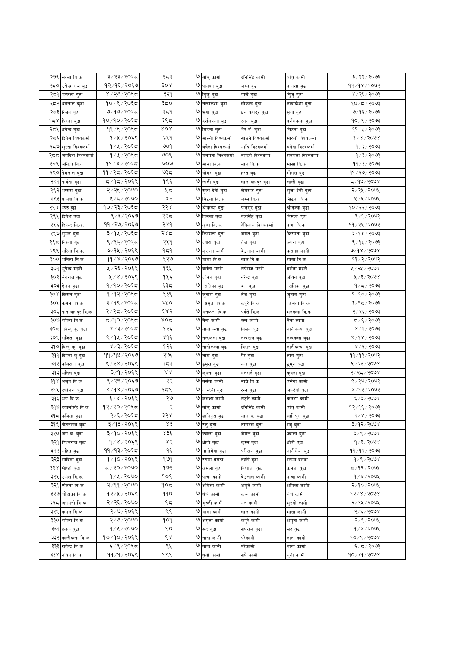|     | २७९ सरला बि.क.      | ३/२३/२०६८                    | २८३              |   | ७ वाँचु कामी              | दाँनसिंह कामी      | बाँचु कामी              | ३/२२/२०७३                         |  |
|-----|---------------------|------------------------------|------------------|---|---------------------------|--------------------|-------------------------|-----------------------------------|--|
| २८० | उपेन्द्र राज बुढा   | १२/१६/२०६७                   | 30x              |   | ७ पालशा बुढा              | जम्म बुढा          | पालशा बुढा              | १२/१४/२०७२                        |  |
|     | २८१ उब्जता बुढा     | ४ / २७/ २०६८                 | ३२१              |   | ७ बिजु बुढा               | गार्खे बुढा        | बिुजु बुढा              | ४ / २६ / २०७३                     |  |
|     | २८२ धनलाल कुढा      | १०/९/२०६८                    | ३८०              |   | ७ नन्दाकेशा बुढा          | लोकन्द्र बुढा      | नन्दाकंशा बुढा          | १०∕ ८ ⁄ २०७३                      |  |
|     | २८३ रिजन बुढा       | ७/१७/२०६८                    | ३≂१              |   | ७ भुगा बुढा               | धन बहादुर बुढा     | भुगा बुढा               | ७/१६/२०७३                         |  |
|     | २८४ धिरता बुढा      | १०/१०/२०६८                   | ३९८              |   | ७ दर्शमकला बुढा           | रतन बुढा           | दर्शमकला बुढा           | १०/९/२०७३                         |  |
| २८५ | धर्वन्द्र बुढा      | ११ /६ / २०६८                 | ४०४              |   | ७ सिटना बुढा              | भैर वं. बुढा       | सिटना बुढा              | 99 / 8 / 2003                     |  |
| २द६ | दिनेस विश्वकर्मा    | १/५/२०६९                     | ६९१              | ও | मारुनी विश्वकर्मा         | साउने विश्वकर्मा   | मारुनी विश्वकर्मा       | $d \, \lambda \, \lambda \,$ 6088 |  |
| २८७ | शुरसा विश्वकर्मा    | १∕५∕२०६द                     | ७०१              |   | ७ वर्षेना विश्वकर्मा      | माधि विश्वकर्मा    | वर्षेना विश्वकर्मा      | १/३/२०७३                          |  |
| २दद | जगदिश विश्वकर्मा    | १/५/२०६८                     | ७०९              |   | ७ मनमता विश्वकर्मा        | नाउटो विश्वकर्मा   | मनमता विश्वकर्मा        | १/३/२०७३                          |  |
| २८९ | अनिता वि.क          | ११ ⁄ ४ ⁄ २०६ <del>द</del>    | ७०७              |   | ७ मासा वि.क               | लाल वि.क           | मासा वि.क               | 99/3/2003                         |  |
|     | २९० प्रेमलाल बुढा   | ११ / २८ / २०६८               | ಅಕಿಧ             |   | ७ गौगरा बुढा              | हस्त बुढा          | गौगरा बुढा              | ११ / २७ / २०७३                    |  |
|     | २९१ पार्वता बुढा    | द ⁄ १द ⁄ २०६९                | १९६              |   | ७ लाली बुढा               | लाल बहादुर बुढा    | लाली बुढा               | $5/90$ २०७४                       |  |
| २९२ | अप्सरा बुढा         | २/२६/२०७०                    | ५८               |   | ७ सुजा देवी बुढा          | खेमराज बुढा        | सुजा देवी बुढा          | २/२५/२०७५                         |  |
| २९३ | प्रकाश बि.क         | ५/६/२०७०                     | ४२               |   | ७ सिटना बि.क              | जम्म वि.क          | सिटना बि.क              | ५/५/२०७५                          |  |
| २९४ | भारु दुढा           | १०/२३/२०६८                   | २२४              | ও | श्रीकन्या बुढा            | पानसुर बुढा        | श्रीकन्या बुढा          | १०/२२/२०७३                        |  |
| २९५ | दिनेश बुढा          | ९/३/२०६७                     | २२८              |   | ७ विमला बुढा              | वलसिंह बुढा        | विमला बुढा              | ९/१/२०७२                          |  |
| २९६ | दिपेन्द बि.क.       | ११/२७/२०६७                   | २४१              |   | ७ कृणा बि.क.              | देविलाल विश्वकर्मा | कृणा बि.क.              | ११⁄२५⁄२०७२                        |  |
| २९७ | सुमन बुढा           | ३/१५/२०६८                    | २४८              |   | ७ किस्मता बुढा            | जगत बुढा           | किस्मता बुढा            | ३/१४/२०७३                         |  |
| २९८ | निरुता बुढा         | ९/१६/२०६८                    | २५१              |   | ७ ज्वारा बुढा             | तेज बुढा           | ज्वारा बुढा             | ९/१५/२०७३                         |  |
| २९९ | सरिता बि.क.         | ७/१५/२०६९                    | ۹≂۹              |   | ७ कृसनाा कामी             | देउलाल कामी        | कृसनाा कामी             | ७/१४ / २०७४                       |  |
| ३०० | अनिता वि.क          | ११/४/२०६७                    | ६२७              |   | ७ मासा वि.क               | लाल वि.क           | मासा वि.क               | 99/2/2002                         |  |
|     | ३०१ भूपेन्द्र महरी  | ५ / २६ / २०६९                | १६५              |   | ७ वर्सना महरी             | सपेराज महरी        | वर्सना महरी             | ५ / २५ / २०७४                     |  |
| ३०२ | मेगराज बुढा         | ५ / ४ / २०६९                 | १५६              | ও | जोवन बुढा                 | नरेन्द्र बुढा      | जोवन बुढा               | 4/3/3008                          |  |
| ३०३ | ऐलन बुढा            | १/१०/२०६८                    | ६३८              | ও | रातिका बुढा               | दल बुढा            | रातिका बुढा             | १∕८⁄२०७३                          |  |
| ३०४ | किसन बुढा           | १/१२/२०६ <del>८</del>        | ६३९              |   | ७ जुवारा बुढा             | तेज बुढा           | जुवारा बुढा             | १/१०/२०७३                         |  |
| ३०५ | कसमा वि.क           | ३/१९/२०६८                    | ६५०              | ও | अमृता वि.क                | कपुरे वि.क         | अमृता वि.क              | $$097 \times 99$                  |  |
|     | ३०६ पान बहादुर वि.क | २/२द/२०६द                    | ६४२              | ও | मनकला बि.क                | पर्वते वि.क        | मनकला वि.क              | २/२६/२०७३                         |  |
|     | ३०७ रमिता बि.क.     | द ⁄१०∕२०६द                   | ४०द              |   | ७ नैना कामी               | रत्न कामी          | नेना कामी               | द ⁄९ ⁄ २०७३                       |  |
| ३०द | बिन्दु कु. बुढा     | ४/३/२०६८                     | १२६              |   | ७ नानीकन्या बुढा          | विसन बुढा          | नानीकन्या बुढा          | ४ / २ / २०७३                      |  |
|     | ३०९ संजिता बुढा     | ९/१५/२०६८                    | ی ولا            |   | ७ नन्दकला बुढा            | नन्दराज बुढा       | नन्दकला बुढा            | ९ ⁄ १४ ⁄ २०७३                     |  |
| ३१० | बिन्दु कु. बुढा     | ४ / ३ / २०६८                 | १२६              |   | ७ नानीकन्या बुढा          | विसन बुढा          | नानीकन्या बुढा          | 8/5/5003                          |  |
| ३११ | दिपना कु.बुढा       | ११/१५/२०६७                   | २७६              | ৩ | तारा बुढा                 | पैर बुढा           | तारा बुढा               | ११ ⁄ १३ ⁄ २०७२                    |  |
| ३१२ | कविराज बुढा         | ९ / २४ / २०६९                | ३८३              | ও | ठुमुरा बुढा               | कल बुढा            | ठुमुरा बुढा             | ९ / २३ / २०७४                     |  |
| ३१३ | अनिल बुढा           | ३/१/२०६९                     | $\lambda\lambda$ | ও | कृषना बुढा                | धनसने बुढा         | कृषना बुढा              | २/२८/२०७४                         |  |
| ३१४ | अर्जुन बि.क.        | ९ / २९ / २०६७                | २२               |   | ७ वर्सना कामी             | माघे बि.क          | बसेना कामी              | ९ / २७ / २०७२                     |  |
|     | ३१५ दुधजिरा बुढा    | $8\lambda d$ $8\lambda$ $50$ | 959              |   | ७ जान्देवी बुढा           | रन्न बुढा          | जान्देवी बुढा           | ४/१२/२०७२                         |  |
| ३१६ | अग्र बि.क.          | ६/४/२०६९                     | ২৩               |   | ७ कलशा कामी               | सद्धने कामी        | कलशा कामी               | ६/३/२०७४                          |  |
|     | ३१७ दयालसिंह बि.क.  | १२/२०/२०६८                   | २                |   | ७ वाँचु कामी              | दाँनसिंह कामी      | बाँचु कामी              | १२/१९/२०७३                        |  |
|     | ३१८ कबिता बुढा      | २/६/२०६८                     | ३२४              |   | ७ ज्ञानिपु <u>रा</u> बुढा | लाल व. बुढा        | ज्ञानिपुरा बुढा         | $8005 \times 15$                  |  |
|     | ३१९ चितनराज बुढा    | ३/१३/२०६९                    | ४३               |   | ७ रजु बुढा                | तारादल बुढा        | रजुबुढा                 | ३/१२/२०७४                         |  |
|     | ३२० जंग व. बुढा     | ३/१०/२०६९                    | ४३६              |   | ७ ज्वाला बुढा             | जैमल बुढा          | ज्वाला बुढा             | 3/9/2008                          |  |
|     | ३२१ विश्वराज बुढा   | 9/8/9059                     | ४२               |   | ७ धोवी बढा                | कुम्म बुढा         | धोवी बढा                | $d \times 1$ / $d \times d$       |  |
|     | ३२२ महित बुढा       | ११/१३/२०६८                   | ۹६               |   | ७ नानीमैया बुढा           | परीराज बुढा        | नानीमैया बुढा           | 99/92/2093                        |  |
|     | ३२३ सावित्रा बुढा   | १/१०/२०६९                    | १७१              |   | ७ रसमा वसढा               | नहरी व्हा          | रसमा वसढ <mark>ा</mark> | 9/8/2008                          |  |
|     | ३२४ श्रीष्टी वुढा   | $6009 \times 29$             | १७२              |   | ७ कमला बुढा               | विशाल बुढा         | कमला बुढा               | $5/9$ ९/२०७५                      |  |
|     | ३२५ उमेश वि.क.      | 9/4/2000                     | १०९              |   | ७ पाचा कामी               | देउलाल कामी        | पाचा कामी               | 9/8/200                           |  |
|     | ३२६ एलिना वि क      | २/११/२०७०                    | १०८              |   | ७ अमिला कामी              | अमृते कामी         | अमिला कामी              | २/१०/२०७५                         |  |
|     | ३२७ चौडाका वि क     | १२⁄५⁄२०६९                    | 990              |   | ७ थेचे कामी               | कन्न कामी          | थेचे कामी               | $93/x \times 500x$                |  |
| ३२८ | जगमनी वि क          | २/२६/२०७०                    | ९८               |   | ७ भुरुनी कामी             | मन कामी            | भुरुनी कामी             | २/२५/२०७५                         |  |
|     | ३२९ कमल वि क        | २/७/२०६९                     | ९९               |   | ७ मासा कामी               | लाल कामी           | मासा कामी               | २/६/२०७४                          |  |
|     | ३३० रमिता वि क      | 8/8/80                       | १०१              |   | ७ अमृता कामी              | कप्रे कामी         | अमृता कामी              | २/६/२०७५                          |  |
|     | ३३१ इलक बुढा        | १/५/२०७०                     | ९०               |   | ७ सद वुढा                 | सर्पराज बुढा       | सदवुढा                  | १/४/२०७५                          |  |
|     | ३३२ कालीकला वि क    | १०/१०/२०६९                   | ९४               |   | ७ नाना कामी               | परेकामी            | नाना कामी               | 90/9/9008                         |  |
|     | ३३३ खगेन्द्र वि क   | ६/९/२०६८                     | ९५               |   | ७ नाना कामी               | परेकामी            | नाना कामी               | ६/८/२०७३                          |  |
|     | ३३४ निविन वि क      | ११/१/२०६९                    | १९९              |   | ७ थुगी कामी               | सपै कामी           | थ्गी कामी               | 90/39/2008                        |  |
|     |                     |                              |                  |   |                           |                    |                         |                                   |  |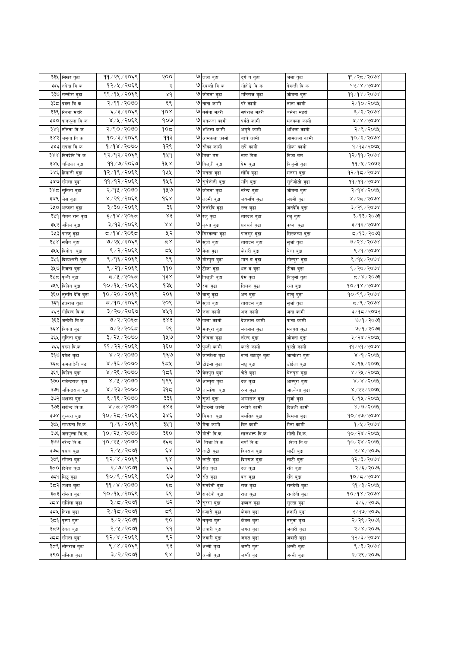| ३३५<br>सिखर वुढा      |                   | ११ / २९ / २०६९  | २००                 |   | ७ जला वुढा                | दुर्गव वुढा      | जलावुढा       | ११ / २८ / २०७४               |  |
|-----------------------|-------------------|-----------------|---------------------|---|---------------------------|------------------|---------------|------------------------------|--|
| ३३६                   |                   | १२/५/२०६९       | २                   |   | ७ देवन्ती वि क            | गोहोडे वि क      | देवन्ती वि क  | १२/४/२०७४                    |  |
| तपेन्द्र वि क         |                   | ११/१५/२०६९      |                     |   |                           |                  |               |                              |  |
| ३३७<br>सन्तोस वुढा    |                   |                 | $\lambda d$         |   | ७ जोबना बुढा              | मनिराज बुढा      | जोबना बुढा    | 99/98/2098                   |  |
| ३३८ प्रवल वि क        |                   | २/११/२०७०       | ६९                  |   | ७ नाना कामी               | परे कामी         | नाना कामी     | २/१०/२०७५                    |  |
| ३३९ रिवना महरि        |                   | ६/३/२०६९        | gor                 |   | ७ वर्सना महरी             | सर्पराज महरी     | बसेना महरी    | ६/२/२०७४                     |  |
| ३४० पानफुला वि क      |                   | 8/8/2068        | १०७                 |   | ७ मनकला कामी              | पर्वते कामी      | मनकला कामी    | $8\sqrt{8}$ $\sqrt{5008}$    |  |
| ३४१<br>एलिना वि क     |                   | २/१०/२०७०       | १०८                 |   | ७ अभिला कामी              | अमृते कामी       | अभिला कामी    | २/९/२०७५                     |  |
| ३४२<br>जमुना वि क     |                   | १०७३/२०६९       | ११३                 |   | ७ आमकला कामी              | बाचे कामी        | आमकला कामी    | १०/२/२०७४                    |  |
| ३४३<br>सपना वि क      |                   | १/१४/२०७०       | १२९                 | ও | सौका कामी                 | सर्पे कामी       | सौका कामी     | १/१३/२०७५                    |  |
| 388<br>विनदेवि वि क   |                   | १२/१२/२०६९      | 949                 |   | ७ विजा बम                 | नाय विक          | विजावम        | १२/११/२०७४                   |  |
| ३४५<br>चन्द्रिका बुढा |                   | ११/७/२०६७       | gxx                 |   | ७ विजुली बुढा             | प्रेम बुढा       | विजुली वुढा   | 99 / 4 / 2002                |  |
| ३४६ हिमाली वुढा       |                   | १२/१९/२०६९      | 922                 |   | ७ मनसा वुढा               | लौबि बुढा        | मनसा वुढा     | १२/१८/२०७४                   |  |
| ३४७ रमिला वुढा        |                   | ११/१२/२०६९      | १५६                 |   | ७ सुर्नजोती वुढा          | मनि बुढा         | सुनेजोती वुढा | ११⁄११⁄२०७४                   |  |
| ३४८  सुनिता वुढा      |                   | २/१५/२०७०       | १५७                 |   | ७ जोबना बुढा              | नरेन्द्र बुढा    | जोबना बुढा    | २/१४/२०७५                    |  |
| ३४९ जेस वुढा          |                   | ४ / २९ / २०६९   | $d \epsilon$        |   | ७ लक्ष्मी बुढा            | जयमणि बुढा       | लक्ष्मी बुढा  | ४/२८/२०७४                    |  |
| ३५० अन्जना बुढा       |                   | ३/३०/२०६९       | ३६                  |   | ७ जनदेवि वुढा             | रत्न बुढा        | जनदेवि बुढा   | ३/२९/२०७४                    |  |
| ३५१ चेतन रान बुढा     |                   | ३/१४/२०६८       | ४३                  |   | ७ रजु वुढा                | तारदल बुढा       | रजु बुढा      | ३/१३/२०७३                    |  |
| ३५२<br>अनिल बुढा      |                   | ३/१३/२०६९       | 88                  |   | ७ कृष्ना बुढा             | धनसने बुढा       | कृष्ना बुढा   | ३/१२/२०७४                    |  |
| ३५३<br>पाल्जु बुढा    |                   | द ⁄१४ ⁄ २०६द    | ५२                  |   | ७ सिरकन्या बुढा           | पानसुर बुढा      | सिरकन्या बुढा | द⁄१३∕२०७३                    |  |
| ३५ ४<br>सजैन बुढा     |                   | ७/२५/२०६९       | م ×                 |   | ७ सुर्जा वुढा             | तारादल वुढा      | सुजा वुढा     | ७/२४/२०७४                    |  |
| ३५५ विनोद वुढा        |                   | ९/२/२०६९        | ದ⊻                  |   | ७ बेला वुढा               |                  |               | 8/9/2008                     |  |
|                       |                   | ९/१६/२०६९       | ९९                  |   |                           | केशरी बुढा       | वेला वुढा     | 8/94/2008                    |  |
| ३५६ दिव्यश्वरी वुढा   |                   | ९/२१/२०६९       | 990                 |   | ७ मोस्पुरा वुढा           | मान व वुढा       | मोस्पुरा वुढा |                              |  |
| ३५७ रिजना बुढा        |                   |                 |                     |   | ७ टीका वुढा               | धन व वुढा        | टीका वुढा     | ९ / २० / २०७४                |  |
| ३५८<br>पृथ्वी वुढा    |                   | द / ५ / २०६द    | d38                 |   | ७ विजुली बुढा             | प्रेम बुढा       | विजुली वुढा   | $\frac{2005}{2}$             |  |
| ३५९ विपिन बुढा        |                   | १०/१५/२०६९      | १३५                 | ও | रमा बुढा                  | तिलक वुढा        | रमा वुढा      | $90\sqrt{3}8\sqrt{50}0$      |  |
| ३६०                   | तुर्लास देवि वुढा | १०/२०/२०६९      | २०६                 |   | ७ वाचु वुढा               | अन बुढा          | बाचु बुढा     | १०/१९/२०७४                   |  |
| ३६१ टंकराज बुढा       |                   | ८,१०८९९         | २०९                 |   | ७ सुर्जा वुढा             | तारादल वुढा      | सुजो वुढा     | द ∕९ ⁄ २०७४                  |  |
| ३६२<br>गोविन्द वि.क.  |                   | ३/२०/२०६७       | 8X9                 |   | ७ जना कामी                | अज कामी          | जना कामी      | ३/१८/२०७२                    |  |
| ३६३<br>जन्देवी वि.क.  |                   | ७/२/२०६८        | ३४३                 |   | ७ पाचा कामी               | देउलाल कामी      | पाचा कामी     | ७/१/२०७३                     |  |
| ३६४ विपना बुढा        |                   | ७/२/२०६८        | २९                  |   | ७ मनपुरा बुढा             | मनलाल बुढा       | मनपुरा बुढा   | ७/१/२०७३                     |  |
| ३६५ सुनिता बुढा       |                   | ३/२५/२०७०       | १५७                 |   | ७ जोवना बुढा              | नरेन्द बुढा      | जोवना बुढा    | ३/२४/२०७५                    |  |
| ३६६<br>पदम बि.क.      |                   | ११/२२/२०६९      | १६०                 |   | ७ पुल्ती कामी             | कल्से कामी       | पुल्ती कामी   | ११ / २१ / २०७४               |  |
| ३६७ प्रवेश बुढा       |                   | 8/2/5000        | १६७                 |   | ७ जान्केशा बुढा           | वाचँ बहादुर बुढा | जान्केशा बुढा | ४/१/२०७५                     |  |
| ३६८                   | कमलादेवी बढा      | ४ / १६ / २०७०   | १८५                 | ও | डोईला बुढा                | मधु बुढा         | डोईला बुढा    | ४ ⁄ १५ ⁄ २०७५                |  |
| ३६९<br>विपिन बुढा     |                   | ४ / २६ / २०७०   | ۹τξ                 |   | ७ बेलपुरा बुढा            | चेते बुढा        | बेलपुरा बुढा  | ४ / २५ / २०७५                |  |
| ३७०                   | गजेन्द्रराज बुढा  | 8/8/5000        | १९९                 |   | ७ आम्पुरा बुढा            | दल बुढा          | आम्पुरा बुढा  | $8 \times 8 \times 5000$     |  |
| ३७१                   | जगिन्द्रराज बुढा  | ४ / २३ / २०७०   | ३१८                 |   | ७ जाल्केशा बुढा           | रन्न बुढा        | जाल्केशा बुढा | ४ / २२ / २०७५                |  |
| ३७२<br>अशंका बुढा     |                   | ६/१६/२०७०       | ३३६                 |   | ७ सुर्जा बुढा             | अम्मराज बुढा     | सुजो बुढा     | ६/१५/२०७५                    |  |
| ३७३ खकेन्द्र वि.क.    |                   | 8/5/500         | ३४३                 |   | ७ दिउली कामी              | रन्दीपे कामी     | दिउली कामी    | 8/9/909                      |  |
| ३७४ तुल्सरा बुढा      |                   | १०/२८/२०६९      | 386                 |   | ७ बिमला बुढा              | बलसिहं बुढा      | बिमला बुढा    | $10 \times 50 \times 50$     |  |
| ३७५  सम्भाना वि.क.    |                   | १ ⁄ ६ ⁄ २०६९    | ३५१                 |   | ७ मैना कामी               | बिर कामी         | मैना कामी     | $d \lambda x$ / $d \Omega x$ |  |
| ३७६ जलपन्ना वि.क.     |                   | १०७१५ / २०७०    | ३६०                 |   | ७ मोती वि.क.              | लालभक्त वि.क.    | मोती वि.क.    | $90 \times 5000$             |  |
| ३७७ नरेन्द्र वि.क.    |                   | १०७१५ / २०७०    | ३६८                 |   | ७ विजावि.क.               | नयाँ वि.क.       | विजा वि.क.    | $90 \times 50 \times 100$    |  |
|                       |                   | २/५/२०७१        | $\epsilon$ $\alpha$ |   |                           |                  |               |                              |  |
| ३७८ पसल बुढा          |                   |                 |                     |   | ७ लाटी बुढा               | दिपराज बुढा      | लाटी बुढा     | २/४/२०७६                     |  |
| ३७९ रमिता बुढा        |                   | १२/४/२०६९       | έχ                  |   | ७ लाटी बुढा               | दिपराज बुढा      | लाटी बुढा     | १२⁄३⁄२०७४                    |  |
| ३८० दिनेश बुढा        |                   | २/७/२०७९        | ६६                  |   | ७ रति बुढा                | दल बुढा          | रति बुढा      | २/६/२०७६                     |  |
| ३८१ मिठु बुढा         |                   | १०/९/२०६९       | ६७                  |   | ७ रति बुढा                | दल बुढा          | रति बुढा      | १०/८/२०७४                    |  |
| ३८२ उशव बुढा          |                   | 99 / 8 / 9090   | $\epsilon$          |   | ७ रानदेवी बुढा            | राज बुढा         | रानदेवी बुढा  | $99/3/200$ ५                 |  |
| ३८३ रमिता बुढा        |                   | १०/१५/२०६९      | ६९                  |   | ७ रानदेवी बुढा            | राज बुढा         | रानदेवी बुढा  | $90\sqrt{3}8\sqrt{50}0$      |  |
| <b>३८४ समिला बुढा</b> |                   | $9009 \times$ इ | ७२                  |   | <mark>७</mark> सुरसा बुढा | डब्बल बुढा       | सुरसा बुढा    | ३/६/२०७६                     |  |
| ३८५ निशा बुढा         |                   | २/१८/२०७१       | ξ۹                  |   | ७ हजारी बुढा              | केवल बुढा        | हजारी बुढा    | २/१७/२०७६                    |  |
| ३८६ पुस्पा बुढा       |                   | ३/२/२०७१        | ९०                  |   | ७ नमुना बुढा              | केवल बुढा        | नमुना बुढा    | २/२९/२०७६                    |  |
| ३८७ देवत बुढा         |                   | २/५/२०७१        | ९१                  |   | ७ जवारी बुढा              | जगत बुढा         | जवारी बुढा    | २/४/२०७६                     |  |
| ३८८  रमिता बुढा       |                   | १२/४/२०६९       | ९२                  |   | ७ जवारी बुढा              | जगत बुढा         | जवारी बुढा    | 93/3/3008                    |  |
| ३८९  लोपराज बुढा      |                   | ९/४/२०६९        | ९३                  |   | ७ अन्सी बुढा              | जग्गी बुढा       | अन्सी बुढा    | 8/3/3008                     |  |
| ३९० ललिता बुढा        |                   | $9009 \times 7$ | ९४                  |   | ७ अन्सी बुढा              | जग्गी बुढा       | अन्सी बुढा    | २/२९/२०७६                    |  |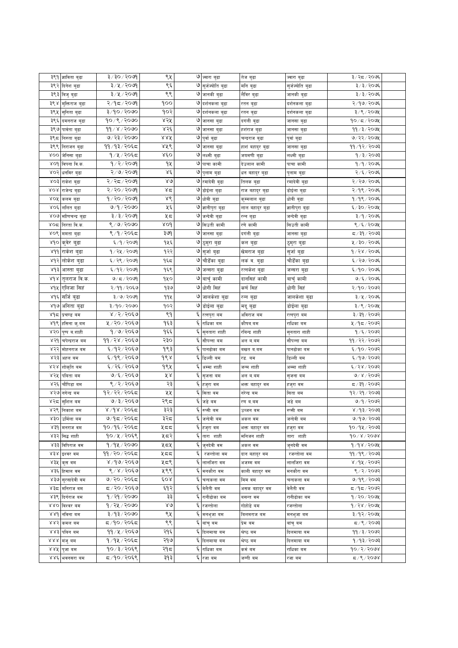|      | ३९१<br>ज्ञाविता बुढा          | ३/३०/२०७१                  | ९५           |       | ७ ज्वारा बुढा                          | तेज बुढा              | ज्वारा बुढा        | ३/२८/२०७६              |  |
|------|-------------------------------|----------------------------|--------------|-------|----------------------------------------|-----------------------|--------------------|------------------------|--|
|      | ३९२<br>दिनेश बुढा             | ३/५/२०७१                   | ९६           |       | ७ सुर्जज्योति बुढा                     | मनि बुढा              | सुजेज्योति बुढा    | ३/३/२०७६               |  |
|      | ३९३<br>विजुबुढा               | ३/५/२०७१                   | ९९           |       | ७ जानकी बुढा                           | लेविर बुढा            | जानकी बुढा         | ३/३/२०७६               |  |
| ३९४  | मुक्तिराज बुढा                | २/१८/२०७१                  | १००          | ৩     | दर्शनकला बुढा                          | रतन बुढा              | दर्शनकला बुढा      | २/१७/२०७६              |  |
|      | ३९५<br>सुनिता बुढा            | ३/१०/२०७०                  | १०२          |       | ७ दर्शनकला बुढा                        | रतन बुढा              | दर्शनकला बुढा      | ३/९/२०७५               |  |
|      | ३९६<br>दमनराज बुढा            | १०/९/२०७०                  | ४२५          |       | ७ जानसा बुढा                           | दगली बुढा             | जानसा बुढा         | १०/८/२०७१              |  |
|      | ३९७<br>पावेता बुढा            | 99/8/2000                  | ४२६          |       | ७ जानसा बुढा                           | हशराज बुढा            | जानसा बुढा         | ११ ∕ ३ ⁄ २०७५          |  |
|      | ३९८<br>निरुता बुढा            | ७/२३/२०७०                  | 8.RK         |       | ७ पुर्वा बुढा                          | चन्द्रराज बुढा        | पुर्वावुढा         | ७/२२/२०७५              |  |
| ३९९  | निराजन बुढा                   | ११ ⁄ १३ ⁄ २०६८             | ४४९          | ও     | जानसा बुढा                             | हाशंबहादुर बुढा       | जानसा बुढा         | ११/१२/२०७३             |  |
| ४००  | जेनिसा बुढा                   | १/५/२०६८                   | ४६०          | ও     | लक्ष्मी बुढा                           | जयमणी बुढा            | लक्ष्मी बुढा       | १ ⁄ ३ ⁄ २०७३           |  |
| ४०१  | बिपना बि.क.                   | १ / २ / २०७१               | 92           | ও     | पाचा कामी                              | देउलाल कामी           | पाचा कामी          | १/१/२०७६               |  |
| ४०२  | धर्नावर बुढा                  | २/७/२०७१                   | Χέ           | ও     | पुलाम बुढा                             | धन बहादुर बुढा        | पुलाम बुढा         | २/६/२०७६               |  |
|      | XO <sup>2</sup><br>राकंश बुढा | २/२द/२०७९                  | 8Q           | ও     | रमादेवी बुढा                           | तिलक बुढा             | रमादेवी बुढा       | २/२७/२०७६              |  |
| 80g  | राजेन्द्र बुढा                | २/२०/२०७९                  | $8\tilde{c}$ |       | ७ डोईला बुढा                           | राज बहादुर बुढा       | डोईला बुढा         | २/१९/२०७६              |  |
| ४०५  | कलम बुढा                      | १/२०/२०७९                  | ४९           |       | ७ धोबी बुढा                            | कुम्मलाल बुढा         | धोबी बुढा          | १/१९/२०७६              |  |
|      | ४०६<br>ललित बुढा              | 9/9/2090                   | ५६           |       | ७ ज्ञानीपुरा बुढा                      | लाल वहादुर बुढा       | ज्ञानीपुरा बुढा    | ६/३०/२०७५              |  |
|      | ४०७<br>मोणिचन्द्र बुढा        | ३/३/२०७१                   | ५८           | ও     | जन्देवी बुढा                           | रन्न बुढा             | जन्देवी बुढा       | ३/१/२०७६               |  |
| ४०द  | निरता वि.क.                   | ९ / ७ / २०७०               | ४०१          | ও     | सिउती कामी                             | रणे कामी              | सिउती कामी         | ९ ⁄ ६ ⁄ २०७५           |  |
| ४०९  | ममता बुढा                     | ९/१/२०६८                   | ३७१          | ৩     | जानसा बुढा                             | दगंली बुढा            | जानसा बुढा         | द ⁄ ३१ ⁄ २०७३          |  |
| ४१०  | क्वेर बुढा                    | ६/१/२०७१                   | १५६          | ও     | ठुमुरा बुढा                            | कल बुढा               | ठुमुरा बुढा        | ५/३०/२०७६              |  |
|      | ४११<br>राकेश बुढा             | १/२५/२०७१                  | १२२          | ৩     | सुजो बुढा                              | खेमराज बुढा           | सुजो बुढा          | १/२४/२०७६              |  |
|      | ४१२<br>लोकेश बुढा             | ६/२९/२०७१                  | १६८          | ৩     | चौडेंका बुढा                           | लकं व. बुढा           | चौडेँका बुढा       | ६/२७/२०७६              |  |
|      | ४१३<br>आस्ता बुढा             | ६/१२/२०७१                  | १६९          | ৩     | जन्सरा बुढा                            | रत्नकंश बुढा          | जन्सरा बुढा        | ६/१०/२०७६              |  |
| 2d X | तुलराज वि.क.                  | ७/८/२०७१                   | १५०          |       | ७ वाचुँ कामी                           | दानसिहं कामी          | बाचुँ कामी         | ७/६/२०७६               |  |
| ४१५  | एलिजा सिहं                    | २/११/२०६७                  | १३७          | ৩     | धोगी सिहं                              | कर्ण सिहं             | धोगी सिहं          | २/१०/२०७२              |  |
|      | ४१६<br>सर्जि बुढा             | ३/७/२०७९                   | 994          | ৩     | जालकंशा बुढा                           | रन्न बुढा             | जालकेशा बुढा       | ३/५/२०७६               |  |
|      | ४१७<br>अनिता बुढा             | ३/१०/२०७०                  | १०२          |       | ७ डोईला बुढा                           | मदुबुढा               | डोईला बुढा         | ३/९/२०७५               |  |
| ४१८  | प्रचण्ड बम                    | ४ / २ / २०६७               | ९१           | ६     | रत्नपुरा बम                            | अविराज बम             | रत्नपुरा वम        | ३/३१/२०७२              |  |
|      | ४१९<br>हसिना कु.बम            | ५ / २० / २०६७              | १६३          | ६     | राधिका बम                              | कोषव.बम               | राधिका बम          | ५ ⁄ १८ ⁄ २०७२          |  |
|      | ४२०<br>पुष्प ब.शाही           | १/७/२०६७                   | १६६          | ६     | सुनतारा शाही                           | रविन्द्र शाही         | सुनतारा शाही       | १ ⁄ ६ ⁄ २०७२           |  |
| ४२१  | चपेन्द्रराज बम                | ११/२४/२०६७                 | २३०          | ६     | सौपन्ना बम                             | अल ब.बम               | सोपन्ना बम         | ११ / २२ / २०७२         |  |
|      | ४२२<br>मोहनराज बम             | ६/१२/२०६७                  | १९३          | ٤     | पानढोका बम                             | बखत ब.बम              | पानढोका बम         | ६/१०/२०७२              |  |
|      | ४२३<br>अहल बम                 | ६ ⁄ १९ ⁄ २०६७              | १९४          | ٤     | डिल्ली बम                              | रड. वम                | डिल्ली बम          | ६/१७/२०७२              |  |
| ४२४  | शोकृति बम                     | ६ ⁄ २६ ⁄ २०६७              | १९५          | ٤     | अम्मा शाही                             | जन्म शाही             | अम्मा शाही         | ६/२४/२०७२              |  |
| ४२५  | पबिता बम                      | ७/६/२०६७                   | ४ ४          | ٤     | सृजना बम                               | अलब,.बम               | सृजना वम           | ७/४/२०७२               |  |
|      | ४२६<br>चौपिडा वम              | ९/२/२०६७                   | २३           | ६     | हजुरा वम                               | भक्त बहादुर वम        | हजुरा वम           | ८४०९ ∖ १६ ∖ ≂          |  |
|      | ४२७<br>नगेन्द्र बम            | १२/२२/२०६८                 | ५५           | Ę     | सिता बम                                | नरेन्द्र बम           | सिता बम            | १२⁄ २१ ⁄ २०७३          |  |
| ४२८  | स्शिल वम                      | ७/३/२०६७                   | २९८          | ६     | जडे वम                                 | रण ब.बम               | जडे वम             | ७/१/२०७२               |  |
|      | ४२९ निकाश बम                  | ४/१४/२०६द                  | ३२३          |       | रुप्सी बम                              | उब्जन बम              | रुप्सी वम          | 8/93/2003              |  |
|      | ४३० उमिला बम                  | ७/१८/२०६८                  | ३२८          | $\xi$ | जन्देवी वम                             | अकल वम                | जन्देवी बम         | ७/१७/२०७३              |  |
|      | 83d<br>मनराज वम               | १०/१६/२०६८                 | ५८८          | ६     | हजुरा वम                               | भक्त बहादुर वम        | हजुरावम            | १०/१५/२०७३             |  |
|      | ४३२ सिद्ध शाही                | १०/५/२०६९                  | ५८२          | ६     | तारा शाही                              | मनिजन शाही            | तारा शाही          | $90 \times 1500$       |  |
|      | ४३३ विपिराज वम                | १/१५/२०७०                  | ५८५          | ६     | जुनदेवी वम                             | अकल वम                | जुनदेवी वम         | 9/98/200               |  |
|      | ४३४ इश्वर वम                  | ११ / २० / २०६८             | ५८८          | ६     | रजन्तोला वम                            | दान बहादुर वम         | रजन्तोला वम        | ११/१९/२०७३             |  |
|      | ४३५<br>कस वम                  | ४ ⁄ १७ ⁄ २०६७              | ५८९          | ६     | लालजिरा वम                             | अजम्म वम              | लालजिरा वम         | 8/98/9099              |  |
|      | ४३६ हिमाल वम                  | ९/४/२०६७                   | ५९९          |       | ६ <sub>मनकौरा</sub> वम                 | काली बहादुर वम        | मनकौरा वम          | ९/२/२०७२               |  |
|      | ४३७ सुरसादेवी वम              | ७/२०/२०६८                  | 60x          |       | ६ चन्दकला वम                           | मिम वम                | चन्दकला वम         | ७/१९/२०७३              |  |
|      | ४३८<br>मनिराज वम              | ८/२०/२०६७                  | ६१२          |       | <mark>६</mark> बेलैती वम               | असक बहादुर बम         | वेलैती वम          | द ⁄ १द ⁄ २०७२          |  |
| ४३९  | दिर्गराज बम                   | १ ∕ २१ ⁄ २०७०              | ३३           | ६     | रानीढोका बम                            | बसन्त वम              | रानीढोका बम        | १/२०/२०७५              |  |
| 880  | विश्वर बम                     | १ ⁄ २५ ⁄ २०७०              | ४७           | ६     | रजन्तोला                               | गोहोडे बम             | रजन्तोला           | १/२४/२०७५              |  |
| 88d  | नविना बम                      | ३/१३/२०७०                  | ९५           | ६     | मनभुजा बम                              | विलमराज बम            | मनभुजा बम          | ३/१२/२०७५              |  |
|      | ४४२<br>कमल बम                 | द ⁄१०∕२०६द                 | ९९           | ६     | बांचुबम                                | प्रेम बम              | बांचुबम            | 5005/21                |  |
|      | ४४३ पविन वम                   | ११ ⁄ ५ ⁄ २०६७              | २१६<br>२१७   |       | ६ दिलमाया बम                           | श्रेष्ठ वम            | दिलमाया वम         | ११ ⁄ ३ ⁄ २०७२          |  |
| 8.8X | ४४४ मंजुबम                    | १ ⁄ १५ ⁄ २०६द<br>१०/३/२०६९ | २१८          | ६     | <mark>६</mark> दिलमाया बम<br>राधिका बम | श्रेष्ठ बम<br>कर्म बम | दिलमाया वम         | १/१३/२०७३<br>90/2/2008 |  |
|      | प्जा वम<br>४४६ भवनसरा बम      | द्र/१०/२०६९                | ३१३          | ६     | रजा बम                                 | जग्गीबम               | राधिका बम<br>रजाबम | $5/$ ९ $/300$ ४        |  |
|      |                               |                            |              |       |                                        |                       |                    |                        |  |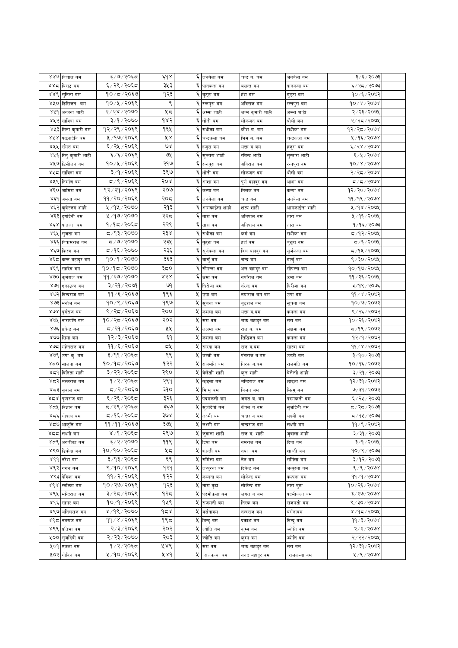| ४४७ बिशाल बम             |                    | ३/७/२०६८              | و ه بر      |             | ६ जनवेला बम                   | चन्द्र ब. बम     | जनवेला वम     | ३/६/२०७३       |  |
|--------------------------|--------------------|-----------------------|-------------|-------------|-------------------------------|------------------|---------------|----------------|--|
| ४४८ विराट बम             |                    | ६/२९/२०६८             | ३५३         | ٤           | पानकला वम                     | बसन्त वम         | पानकला वम     | ६/२८/२०७३      |  |
| ४४९ सुनिता वम            |                    | १०/८/२०६७             | १२३         |             | -<br>६ <mark>बुट्टा बम</mark> | हश बम            | बुट्टा वम     | १०/६/२०७२      |  |
|                          | ४५० डिसिजन वम      | १०/५/२०६९             | ९           |             | ६ रन्नपुरा वम                 | अविराज बम        | रन्नपुरा बम   | १०७४७२०७४      |  |
|                          | ४५१ अन्जना शाही    | २/२४/२०७०             | ५८          |             | ६ अम्मा शाही                  | जन्म कुमारी शाही | अम्मा शाही    | २/२३/२०७५      |  |
| ४५२                      | सावित्रा बम        | ३/१/२०७०              | $d\times 5$ | ६           | धौली बम                       | लोकजन बम         | धौलीवम        | २/२८/२०७५      |  |
| ४५३                      |                    | १२/२९/२०६९            | १६५         | ६           |                               |                  |               | १२/२८/२०७४     |  |
| १४४                      | मिना कुमारी बम     | ५ / १७ / २०६९         | ४४          | ६           | राधीका बम                     | कौश व. वम        | राधीका बम     |                |  |
|                          | पछनादेवि वम        | ६ / २५ / २०६९         | ও১          | $\bar{\xi}$ | चन्द्रकला बम                  | भिम ब. बम        | चन्द्रकला बम  | ५/१६/२०७४      |  |
| ४५५  रमित वम             |                    |                       |             |             | हजुरा बम                      | भक्त ब बम        | हजुरा बम      | ६/२४/२०७४      |  |
| ४५६                      | रितु कुमारी शाही   | ६/६/२०६९<br>१०/५/२०६९ | ७५          | ६           | सुन्तारा शाही                 | रविन्द्र शाही    | सुन्तारा शाही | 6/8/5000       |  |
|                          | ४५७ डिसीजन वम      |                       | २१७         |             | <mark>६</mark> रन्नपुरा वम    | आंवराज वम        | रन्नपुरा वम   | 90 x x 700x    |  |
| ४५८                      | सावित्रा वम        | ३/१/२०६९              | ३९७         |             | ६ धौली वम                     | लोकजन वम         | धौलीवम        | २/२८/२०७४      |  |
| ४५९ निर्माण वम           |                    | ८/९/२०६९              | २०४         |             | $\overline{\xi}$ आशा वम       | पुणे बहादुर वम   | आशा वम        | द ⁄ द ⁄ २०७४   |  |
|                          | ४६० जामिरा वम      | १२/२१/२०६९            | २०७         |             | ६ कन्या वम                    | तिलक वम          | कन्या वम      | १२/२०/२०७४     |  |
| ४६१                      | अमृता वम           | ११ ⁄ २० ⁄ २०६९        | २०८         |             | ६ जनवेला वम                   | चन्द्र वम        | जनबेला वम     | ११/१९/२०७४     |  |
| ४६२                      | कुबेरजगं शाही      | ५ ⁄ १५ ⁄ २०७०         | २१३         | ६           | आमकाईला शाही                  | शत्य शाही        | आमकाईला शाही  | ५/१४/२०७५      |  |
| ४६३                      | दुर्गादेवी वम      | ५ ⁄ १७/ २०७०          | २२द         | ٤           | तारा वम                       | अनिपाल वम        | तारा वम       | ५/१६/२०७५      |  |
| $\lambda \notin \lambda$ | पातला वम           | १ ⁄ १८ ⁄ २०६८         | २२९         | ٤           | तारा वम                       | अनिपाल वम        | तारा वम       | १/१६/२०७३      |  |
| ४६५                      | स् <b>जता</b> वम   | ⊄⁄१३⁄२०७०             | २३४         | Ę           | राधीका वम                     | कर्म वम          | राधीका वम     | द ∕ १२∕ २०७५   |  |
| ४६६                      | बिकमराज वम         | ८८/७/२०७०             | २३५         |             | <sup>ट्</sup>  बुट्टा वम      | हशंबम            | बुट्टा वम     | द /६ / २०७५    |  |
| ४६७ किरण वम              |                    | ८८/१६∕२०७०            | २३६         |             | ६ सुर्जकला वम                 | दिल बहादुर वम    | सुजंकला वम    | द ∕ १५ ⁄ २०७५  |  |
|                          | ४६८ कन्न बहादुर वम | १०/१/२०७०             | ३६३         |             | ६ वाचुँ वम                    | चन्द्रवम         | बाचुँ वम      | ९ / ३० / २०७५  |  |
| ४६९                      | सहदेव वम           | १०/१८/२०७०            | ३८०         |             | सौपन्ना वम                    | अल वहादुर वम     | सोपन्ना वम    | १०/१७/२०७५     |  |
| ४७०                      | कुर्मराज वम        | 99/२७/२०७०            | ४२४         | ६           | उमा वम                        | नयाँराज वम       | उमा वम        | ११ / २६ / २०७५ |  |
| ४७१                      | एकाउन्न वम         | ३/२१/२०७१             | জ           |             | ६ धिरीजा वम                   | नरन्द्र वम       | धिरीजा वम     | ३/१९/२०७६      |  |
| ४७२                      | विन्दराज वम        | ११ ∕ ६ ∕ २०६७         | १९६         | Κ           | उपा बम                        | नयाराज वम वम     | उपा बम        | ११ ⁄ ४ ⁄ २०७२  |  |
| ४७३                      | मनोज बम            | १०/९/२०६७             | १९७         | X           | सूचना बम                      | बुद्धराज वम      | सूचना बम      | १०७७/२०७२      |  |
| ४७४ दुर्गराज वम          |                    | ९ / २८ / २०६७         | २००         | X           | कमला बम                       | भक्त ब.बम        | कमला बम       | ९ / २६ / २०७२  |  |
| ४७५                      | नारायणि वम         | १०/२८/२०६७            | २०२         | X.          | सरा वम                        | चक्र बहादुर वम   | सरा वम        | १०/२६/२०७२     |  |
| ४७६                      | धवेन्द्र बम        | द ∕ २१ ⁄ २०६७         | ५५          | X.          | लक्षमा बम                     | राज व. वम        | लक्षमा बम     | द ⁄ १९ ⁄ २०७२  |  |
| ४७७                      | सिमा बम            | १२/३/२०६७             | ξ٩          | Κ           | कमला बम                       | सिद्धिजन वम      | कमला बम       | 92/9/2002      |  |
| ४७द                      | महेनराज बम         | ११ /६ / २०६७          | 5빗          | X           | सारदा बम                      | राज ब.बम         | सारदा बम      | ११ ⁄ ४ ⁄ २०७२  |  |
| ४७९                      | उषा कु. वम         | ३/११/२०६८             | ९९          | χ           | उब्जी बम                      | पंचराज ब.बम      | उब्जीवम       | ३/१०/२०७३      |  |
| ४८० साजना वम             |                    | १०/१८/२०६७            | १२२         | χ           | राजमति वम                     | निरक ब.बम        | राजमति वम     | १०७१६७२०७२     |  |
| ४द9                      | विनिता शाही        | ३/२२/२०६८             | २९०         | χ           | बेलैती शाही                   | कुल शाही         | बेलैती शाही   | ३/२१/२०७३      |  |
|                          | ४८२ मल्लराज बम     | १/२/२०६८              | २९१         | X           | छाइला बम                      | मन्दिराज बम      | छाइला बम      | १२⁄३१⁄२०७२     |  |
| ४८३  सुवास वम            |                    | ८/२/२०६७              | ३१०         |             | ५ फिमुबम                      | विजन वम          | भिन्मुबम      | ७/३१/२०७२      |  |
|                          | ४८४  पुष्पराज बम   | ६/२६/२०६८             | ३२६         | χ           | पदमकली बम                     | जगत ब. बम        | पदमकली बम     | ६/२५/२०७३      |  |
| ४८५ विज्ञान वम           |                    | द ⁄ २९ ⁄ २०६द         | ३६७         | X           | सुर्जादेवी वम                 | केवल व वम        | सुजदिवी वम    | द ⁄ २द ⁄ २०७३  |  |
| ४८६ गोपाल बम             |                    | द ⁄ १६ ⁄ २०६द         | ३७४         | X           | लक्ष्मी बम                    | चन्द्रराज वम     | लक्ष्मी बम    | 5005/14        |  |
| ४८७                      | आकृति बम           | ११ ∕ ११ ∕ २०६७        | ३७५         | χ           | लक्ष्मी बम                    | चन्द्रराज बम     | लक्ष्मी बम    | ११ / ९ / २०७२  |  |
| నడడ                      | लक्ष्मी बम         | ४ ⁄ १ ⁄ २०६द          | २९७         | X.          | जुवाला शाही                   | राज व. शाही      | जुवाला शाही   | ३/३१/२०७३      |  |
|                          | ४८९ अरुणीका बम     | $3/2/50$ २०           | 99९         |             | ५ दिपा बम                     | नमराज बम         | दिपा बम       | ३/१/२०७१       |  |
| ४९० डिकेन्द्र बम         |                    | १०/१०/२०६८            | ५८          |             | ५ शान्ती बम                   | नया बम           | शान्ती वम     | १०७९ ⁄ २०७३    |  |
| ४९१ नरेश बम              |                    | ३/१३/२०६८             | ६९          |             | ५ समिला बम                    | नेत्र बम         | सर्मिला बम    | ३/१२/२०७३      |  |
| ४९२  गगन बम              |                    | ९/१०/२०६९             | १२१         |             | ५ जन्पुरना बम                 | दिपेन्द्र बम     | जन्पुरना बम   | 8/8/8008       |  |
| ४९३ देविका बम            |                    | ११/२/२०६९             | १२२         | Κ           | कल्पना बम                     | लोकेन्द्र बम     | कल्पना बम     | 99/9/9008      |  |
| ४९४ स्वत्किा बम          |                    | १०/२७/२०६९            | १२३         |             | <mark>५</mark> तारा वुढा      | लोकेन्द्र बम     | तारा बुढा     | १०/२६/२०७४     |  |
|                          | ४९५ मन्दिराज बम    | ३/२८/२०६९             | १२८         | Κ           | पदमीकला बम                    | जगत व वम         | पदमीकला बम    | 3/20/5008      |  |
| ४९६  सागर बम             |                    | १०/१/२०६९             | १५९         | X.          | राजमती वम                     |                  | राजमती वम     | 8/30/5008      |  |
|                          |                    |                       |             | χ           |                               | निरक बम          |               |                |  |
|                          | ४९७ अनिलराज वम     | ४/१९/२०७०             | १८४         |             | वर्सनावम                      | नन्दराज वम       | वर्सनावम      | ४/१८/२०७१      |  |
| ४९८ नवराज वम             |                    | ११/४/२०६९             | १९८         | Κ           | विन्दुवम                      | प्रकाश वम        | विन्दुवम      | 99/3/3008      |  |
| ४९९ प्रतिभा वम           |                    | २7३/२०६९              | २०२         | Κ           | ज्योति वम                     | कुम्म वम         | ज्योति वम     | 5/5/5008       |  |
|                          | ५०० सुर्जादेवी वम  | २/२३/२०७०             | २०३         |             | ५ ज्योति वम                   | कुम्म वम         | ज्योति वम     | २/२२/२०७५      |  |
| ५०१ एकता वम              |                    | १/२/२०६८              | ५४९         | X.          | सरा वम                        | चक्र बहादुर वम   | सरा वम        | १२⁄३१⁄२०७२     |  |
| ५०२ गोविन वम             |                    | ५/१०/२०६९             | ४४१         | Κ           | राजकन्या वम                   | ननद बहादुर वम    | राजकन्या वम   | 4/9/9008       |  |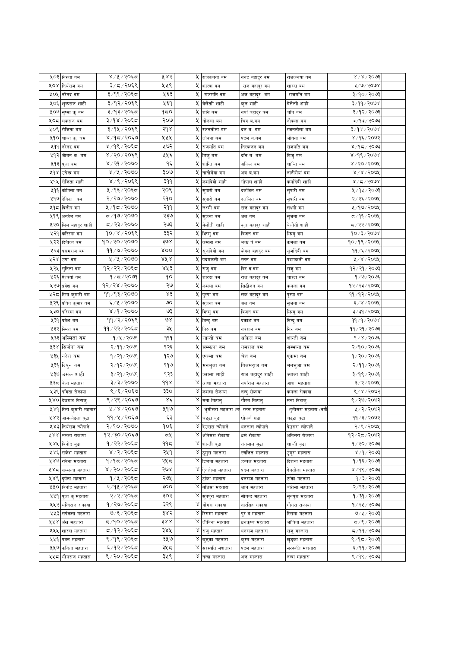| ५०३ | निरुता वम              | ४/५/२०६८       | ५४२           | X  | राजकनया वम                | ननद बहादुर वम   | राजकनया वम          | $8 \times 15003$         |  |
|-----|------------------------|----------------|---------------|----|---------------------------|-----------------|---------------------|--------------------------|--|
| ४०४ | तिथेराज वम             | ३/८/२०६९       | ५५९           | X  | शारदा वम                  | राज बहादुर वम   | शारदा वम            | ३/७/२०७४                 |  |
| ५०५ | नरेनद्र वम             | ३/११/२०६८      | प्रदर्        | X  | राजमति वम                 | अजबहादुर वम     | राजमति वम           | ३/१०/२०७३                |  |
| ५०६ | शुक्रराज शाही          | ३/१२/२०६९      | ५६१           | X  | बेलैती शाही               | कुल शाही        | बेलैती शाही         | 8/99/2008                |  |
|     | ५०७ सुष्मा कु वम       | ३/१३/२०६८      | १८०           | X  | शनि वम                    | नया बहादुर वम   | शनि वम              | ३/१२/२०७३                |  |
| ५०८ | लंकराज बम              | ३/१४/२०६८      | २०७           | Κ  | नौकला बम                  | चित्र ब.बम      | नौकला वम            | ३/१३/२०७३                |  |
|     | ५०९ रोजिता बम          | ३/१५/२०६९      | २१४           |    | <b>५ रजनतोला</b> बम       | दल ब. बम        | रजनतोला बम          | ३/१४/२०७४                |  |
| ५१० | शान्त कु. वम           | ४/१८/२०६७      | ५५५           |    | ५ जोवना वम                | पदम ब.बम        | जोवना बम            | ४ / १६ / २०७२            |  |
| ५११ | नरेनद्र वम             | ४ /१९ / २०६द   | ५७२           | X  | राजमति वम                 | निरकजन बम       | राजमति बम           | $800$ २ $\sqrt{5}$ १     |  |
| ५१२ | जीवन क. बम             | ४/२०/२०६९      | ५५६           | X  | विजुवम                    | दॉन ब. बम       | विजुवम              | ४/१९/२०७४                |  |
| ५१३ | पुजावम                 | ४ / २१ / २०७०  | ۹६            | X  | शान्ति वम                 | ओंकल बम         | शान्ति वम           | ४ / २० / २०७५            |  |
| ५१४ | उपेन्द्र बम            | ४ ⁄ ५ ⁄ २०७०   | २०७           | Κ  | नानीमैयां बम              | अब ब.बम         | नानीमैयां बम        | $8 \times 8 \times 5000$ |  |
| ५१५ | रोजिता शाही            | ४/९/२०६९       | ३११           | X  | कर्मादेवी शाही            | गापाल शाही      | कमदिवी शाही         | $8 \times 15$ े ४        |  |
| ५१६ | कोपिला वम              | ५ ⁄ १६ ⁄ २०६८  | २०९           |    | ५ सुपारी वम               | दलजित वम        | सुपारी वम           | ५ ⁄ १५ ⁄ २०७३            |  |
| ५१७ |                        | २/२७/२०७०      | २१०           | X. |                           |                 |                     | २/२६/२०७५                |  |
| ५१८ | देविका वम              | ५ /१८ / २०७०   | २११           |    | सुपारी वम<br>५ लक्ष्मी वम | दलजित वम        | सुपारी वम           | ५ ⁄ १७ ⁄ २०७५            |  |
| ५१९ | दिलीप वम               | ८८/९७/२०७०     | २३७           | Κ  |                           | राज बहादुर वम   | लक्ष्मी वम          | द ∕ १६ ⁄ २०७५            |  |
|     | अन्जेश वम              |                |               |    | सुजना वम                  | अलबम            | सुजना वम            |                          |  |
| ५२० | भिम बहादुर शाही        | ८/२३/२०७०      | २७३           | X  | बेलौती शाही               | कुल बहादुर शाही | बेलौती शाही         | द ∕ २२ ⁄ २०७५            |  |
| ५२१ | करिस्मा वम             | १०/४/२०६९      | ३३२           | X  | भिन्मुवम                  | विजन वम         | भिन्मु वम           | १०/३/२०७४                |  |
| ५२२ | दिपीका वम              | १०/२०/२०७०     | ३७४           | Κ  | कमला वम                   | भक्त वं वम      | कमला वम             | १०/१९/२०७५               |  |
| ५२३ | पसमराज वम              | 99/0/2000      | <b>ROO</b>    | X  | सुजदिवी वम                | कंवल वहादुर वम  | सुजोदेवी वम         | ११ ⁄ ६ ⁄ २०७५            |  |
| ५२४ | उषा वम                 | ५/५/२०७०       | ४४४           | X  | पदमकली वम                 | रतन वम          | पदमकली वम           | $4/8/5$ ०७४              |  |
| ५२५ | सुनिता वम              | १२/२२/२०६८     | ४५३           |    | ५ राजुवम                  | विर व.वम        | राजुवम              | १२/२१/२०७३               |  |
| ५२६ | ऐश्वयांवम              | 9/5/2099       | ٩o            |    | ५ शारदा वम                | राज बहादुर वम   | शारदा वम            | १/७/२०७६                 |  |
| ५२७ | प्रवेश वम              | 9२/२४/२०७०     | ২৩            | X  | कमला बम                   | सिद्धोजन वम     | कमला बम             | १२/२३/२०७५               |  |
| ५२८ | रिमा कुमारी वम         | 99/93/2000     | ४३            | Χ  | पुस्पा वम                 | लक बहादुर वम    | पुस्पा वम           | ११/१२/२०७५               |  |
| ५२९ | प्रविन कुमार वम        | ६/५/२०७०       | ৩০            | X  | सुजना वम                  | अलबम            | सुजना वम            | ६/४/२०७५                 |  |
| ५३० | परिस्मा वम             | ४ ⁄ ९ ⁄ २०७०   | ও३            |    | ५ किमुवम                  | विजन वम         | फिमुवम              | ३/३१/२०७५                |  |
|     |                        |                |               |    |                           |                 |                     |                          |  |
| ५३१ | प्रवेश वम              | ११ ∕ २ ⁄ २०६९  | ७४            |    | ५ विन्दु वम               | प्रकाश वम       | विन्दु वम           | ११⁄१⁄२०७४                |  |
| ५३२ | स्मित वम               | ११ / २२ / २०६८ | ३५            |    | ५ निरु वम                 | नवराज वम        | निरु वम             | ११ ∕ २१ ∕ २०७३           |  |
| ५३३ | अस्मिता वम             | १/५/२०७१       | 999           | X  | शान्ती वम                 | ओंकल वम         | शान्ती वम           | $9/8/20$ ७६              |  |
| ५३४ | सिजेना वम              | २/११/२०७१      | १२६           | X. | सम्भन्ना वम               | नमराज वम        | सम्भन्ना वम         | २/१०/२०७६                |  |
|     |                        |                |               |    |                           |                 |                     |                          |  |
| ५३५ | नरेश वम                | १ / २१ / २०७१  | १२७           | Κ  | एकमा वम                   | चेत वम          | एकमा वम             | १/२०/२०७६                |  |
| ५३६ | दिपुन वम               | २/१२/२०७१      | ११७           |    | <b>५ मनभुजा</b> वम        | ावलमराज वम      | मनभुजा वम           | २/११/२०७६                |  |
| ५३७ | उसक शाही               | ३/२१/२०७१      | १२३           | X  | ज्वाला शाही               | राज बहादुर शाही | ज्वाला शाही         | ३/१९/२०७६                |  |
| ५३८ | बेला महतारा            | ३/३/२०७०       | $d d \lambda$ | Χ  | आशा महतारा                | नयाँराज महतारा  | आशा महतारा          | ३/२/२०७५                 |  |
| ५३९ | पविता रोकाया           | ९ /६ / २०६७    | ३३०           | Χ  | कमला रोकाया               | नन्दु रोकाया    | कमला रोकाया         | ९/४/२०७२                 |  |
| ४४० | देउराज विटालु          | ९ / २९ / २०६७  | Χέ            | Χ  | मना विटालु                | गौरब बिटालु     | मना विटालु          | ९ / २७ / २०७२            |  |
|     | ५४१ रिता कुमारी महतारा | ५/४/२०६७       | ५१७           | Χ  | भुमीसरा महतारा (न         | रतन महतारा      | भुमीसरा महतारा (नयौ | ५ / २ / २०७२             |  |
|     | ५४२ आमकोइला बुढा       | ११ ∕ ५ ∕ २०६७  | ६३            | x  | चट्टा बुढा                | घोकणं घढा       | चट्टा बुढा          | ११ ⁄ ३ ⁄ २०७२            |  |
| ५४३ | तिर्थराज न्यौपाने      | २/१०/२०७०      | १०६           |    | ४ देउसरा न्यौपानै         | धनलाल न्यौपाने  | देउसरा न्यौपानै     | २/९/२०७१                 |  |
|     | ५४४ ममता राकाया        | १२/३०/२०६७     | ದ⊻            |    | ४ अविसरा रोकाया           | धर्म रोकाया     | अविसरा रोकाया       | १२/२८/२०७२               |  |
| ५४५ | विनोद बुढा             | १/२२/२०६८      | ۹۹≂           |    | ४ शान्ती बुढा             | तंगलाल बुढा     | शान्ती बुढा         | १/२०/२०७३                |  |
| ५४६ | राकेश महतारा           | ४ / २ / २०६८   | २५१           | Q. | ठूमुरा महतारा             | रणजित महतारा    | ठूमुरा महतारा       | ४ /१ / २०७३              |  |
|     | ५४७ रविना महतारा       | १/१८/२०६८      | २५८           | X. | दिशना महतारा              | डब्बल महतारा    | दिशना महतारा        | १/१६/२०७३                |  |
| ५४८ | सम्भन्ना महतारा        | ४/२०/२०६८      | २७४           | Χ  | ऐनतोला महतारा             | प्रदल महतारा    | ऐनतोला महतारा       | ४ / १९ / २०७३            |  |
| ५४९ | द्पंता महतारा          | १/५/२०६८       | २७५           | Χ  | टांका महतारा              | दलराज महतारा    | टांका महतारा        | १ ⁄ ३ ⁄ २०७३             |  |
| ५५० | विनोद महतारा           | २/१५/२०६८      | ३००           | Χ  | र्वात्तसा महतारा          | जान महतारा      | र्वात्तसा महतारा    | २/१३/२०७३                |  |
| ५५१ | पुजा कु.महतारा         | २/२/२०६८       | ३०२           | Χ  | सुनपुरा महतारा            | सोबन्द महतारा   | सुनपुरा महतारा      | १∕३१∕२०७३                |  |
|     | ५५२ मन्दिराज राकाया    | १ / २७ / २०६८  | ३२९           | Χ  | गौगरा राकाया              | नारसिंह राकाया  | गौगरा राकाया        | १ ⁄ २५ ⁄ २०७३            |  |
| ५५३ | सर्पकला महतारा         | ७/६/२०६८       | ३४२           |    | ४ रिसमा महतारा            | पुर ब.महतारा    | रिसमा महतारा        | ७/५/२०७३                 |  |
| ५५४ | अंख महतारा             | द ⁄१०∕२०६द     | 388           | Χ  | जीविना महतारा             | धनकृष्ण महतारा  | जीविना महतारा       | 5005/21                  |  |
| ५५५ | शारदा महतारा           | द ⁄१२⁄ २०६द    | ३४५           | Χ  | राजु महतारा               | धनराज महतारा    | राजु महतारा         | द ⁄ ११ ⁄ २०७३            |  |
| ५५६ | पवन महतारा             | ९ ⁄ १९ ⁄ २०६८  | ३५७           | Χ  | खुड्का महतारा             | कुम्म महतारा    | खुड्का महतारा       | ९/१८/२०७३                |  |
| ५५७ | र्कावेता महतारा        | ६/१२/२०६८      | ३५८           | Χ  | सरस्वति मशतारा            | पदम महतारा      | सरस्वति मशतारा      | ६/११/२०७३                |  |
| ५५८ | भीमराज महतारा          | ९ / २० / २०६८  | ३५९           | Χ  | नन्दा महतारा              | अज महतारा       | नन्दा महतारा        | ९/१९/२०७३                |  |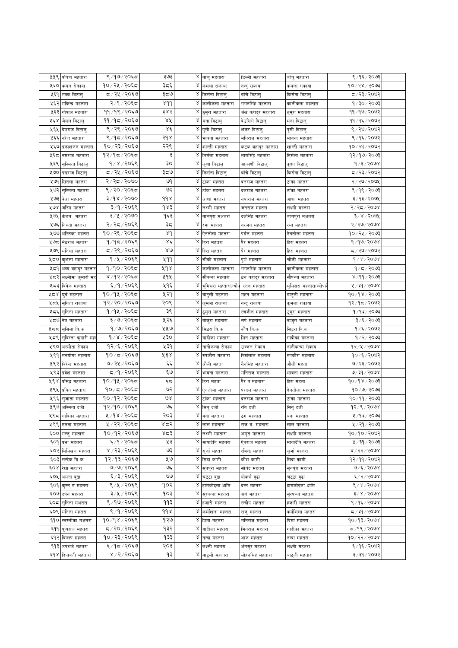| ५५९   | पवित्रा महतारा      | ९/१७/२०६८      | ३७३                 |   | ४ बांचु महतारा       | डिल्ली महतारा     | बांचु महतारा                | ९ ⁄ १६ ⁄ २०७३                   |  |
|-------|---------------------|----------------|---------------------|---|----------------------|-------------------|-----------------------------|---------------------------------|--|
| ५६०   | कमल रोकाया          | १०/२५/२०६८     | ३८६                 | Χ | कमला राकाया          | नन्दु राकाया      | कमला राकाया                 | १०/२४/२०७३                      |  |
| ५६१   | मक्क विटालु         | द / २५ / २०६७  | ३ದ७                 |   | ४ किर्सना विटालु     | बाँचे विटालु      | किसना विटालु                | द / २३ / २०७२                   |  |
| ५६२   | मकिन्द्र महतारा     | २/१/२०६द       | 8dd                 | Χ | कालीकला महतारा       | गगनसिंह महतारा    | कालीकला महतारा              | १/३०/२०७३                       |  |
| ५६३   | गोपाल महतारा        | ११/१९/२०६७     | ३४२                 | Χ | दुमुरा महतारा        | अंख बहादुर महतारा |                             | ११ ⁄ १७ ⁄ २०७२                  |  |
| ५६४   |                     | ११ ⁄ १८ ∕ २०६७ | ४४                  | Χ | मना विटालु           | देउसिंगे विटालु   | ठुमुरा महतारा<br>मना विटालु | ११/१६/२०७२                      |  |
|       | जैमल बिटालु         | ९ / २९ / २०६७  | Χέ                  | γ |                      |                   |                             | ९ / २७ / २०७२                   |  |
| ५६५   | देउराज विटालु       |                |                     | Χ | पुसी विटालु          | शंकर बिटालु       | पुसी विटालु                 |                                 |  |
| ५६६   | नरेश महतारा         | ९ ⁄ १८ ⁄ २०६७  | २१४                 |   | भावना महतारा         | मनिराज महतारा     | भावना महतारा                | ९/१६/२०७२                       |  |
| ५६७   | प्रकाशजन महतारा     | १०/२३/२०६७     | २२९                 | Χ | शान्ती महतारा        | कटक बहादुर महतारा | शान्ती महतारा               | १०७२१/२०७२                      |  |
| ५६८   | नमराज महतारा        | १२/१८/२०६८     | ३                   | Χ | निर्मला महतारा       | तारासिंह महतारा   | निर्मला महतारा              | १२/१७/२०७३                      |  |
| ५६९   | सस्मिता विटाल्      | 9/8/2059       | ąо                  | Χ | कुशा विटालु          | आकाशी बिटालु      | कुशा विटालु                 | 9/3/2008                        |  |
| ५७०   | पंखराज बिटाल्       | द ∕ २५ ∕ २०६७  | ३८७                 |   | ४ किर्सना विटालु     | बॉर्च विटालु      | किसेना विटालु               | द ∕ २३ ⁄ २०७२                   |  |
| ५७१   | सितला महतरा         | २/२८/२०७०      | ও৭                  | Χ | टांका महतरा          | दलराज महतरा       | टांका महतरा                 | २/२७/२०७५                       |  |
| ५७२   | सुस्मिता महतरा      | ९/२०/२०६८      | ও२                  | Χ | टांका महतरा          | दलराज महतरा       | टाका महतरा                  | ९ ⁄ १९ ⁄ २०७३                   |  |
| ५७३   | वेला महतरा          | ३/१४/२०७०      | $d d \lambda$       | Χ | आशा महतरा            | नयाराज महतरा      | आशा महतरा                   | ३/१३/२०७५                       |  |
| ४७४   | जस्मि महतरा         | ३/१/२०६९       | १४३                 | Χ | लक्ष्मी महतरा        | जनराज महतरा       | लक्ष्मी महतरा               | २/२८/२०७४                       |  |
| ५७५   | केशव महतरा          | ३/५/२०७०       | १६३                 | γ | बाचपुरा मअतरा        | दलसिंह महतरा      | बाचपुरा मअतरा               | ३/४/२०७५                        |  |
| ५७६   | निरुता महतरा        | २/२८/२०६९      | ३८                  | Χ | रमा महतरा            | नरजन महतरा        | रमा महतरा                   | २/२७/२०७४                       |  |
| ५७७   | अस्तिका महतरा       | १०/२६/२०६८     | Χd                  | Χ | ऐनतोला महतरा         | पर्वल महतरा       | एनताला महतरा                | १०⁄ २५ ⁄ २०७३                   |  |
| ५७८   | मेधराज महतरा        | १/१८/२०६९      | Χέ                  |   | $\chi$ हिरा महतरा    | पैर महतरा         | हिरा महतरा                  | १/१७/२०७४                       |  |
| ५७९   | र्मानसा महतरा       | ८/२९/२०६७      | $80^{\circ}$        | Χ | हिरा महतरा           | पैर महतरा         | हिरा महतरा                  | ८/२७/२०७२                       |  |
| ५८०   | कुशला महतारा        | १/५/२०६९       | ५११                 | γ | चौकी महतारा          | पूर्ण महतारा      | चौकी महतारा                 | $d \, \lambda \, \lambda$ songs |  |
| ५८१   |                     | १/१०/२०६द      | ४१४                 | γ | कालीकला महतारा       | गगनसिंह महतारा    | कालीकला महतारा              | १∕८⁄२०७३                        |  |
|       | अव्य बहादुर महतार   | ४ /१२/२०६द     | ५१५                 | Χ |                      |                   |                             |                                 |  |
| ५८२   | लक्ष्मीमा कुमारी मह |                |                     |   | सौपन्ना महतारा       | धन बहादुर महतारा  | सौपन्ना महतारा              | ४ / ११ / २०७३                   |  |
| ५८३   | विवेक महतारा        | ६ ⁄ ९ ⁄ २०६९   | ५१६                 | Χ | भुमिसरा महतारा(न्यौप | रतन महतारा        | भुमिसरा महतारा(न्यौपा       | ५ / ३१ / २०७४                   |  |
| ५८४   | घर्व महतारा         | १०/१५/२०६८     | ५२१                 | γ | बाटुली महतारा        | महन महतारा        | बाटुली महतारा               | १०/१४/२०७३                      |  |
| ५८५   | सुनिता राकाया       | १२/२०/२०६७     | २०९                 | γ | कुमला राकाया         | नन्दु राकाया      | कुमला राकाया                | १२/१८/२०७२                      |  |
| ५८६   | सुनिता महतारा       | १/१५/२०६८      | ३९                  | Χ | दुमुरा महतारा        | रणजीत महतारा      | ठुमुरा महतारा               | १/१३/२०७३                       |  |
| ५८७   | नेत्र महतारा        | ३/७/२०६८       | ५२६                 | Χ | वाजुरा महतारा        | सर्प महतारा       | वाजुरा महतारा               | ३/६/२०७३                        |  |
| ५८८   | सुसिला वि.क         | १/७/२०६७       | ५५७                 |   | ४ सिद्धरा वि.क       | कौष वि.क          | सिद्धरा वि.क                | १७६७२०७२                        |  |
| ५८९   | सुविस्ता कुमारी महत | १/४/२०६८       | ५३०                 | γ | गादीका महतारा        | मिन महतारा        | गादीका महतारा               | १ ⁄ २ ⁄ २०७३                    |  |
| ५९०   | अस्मीता रोकाय       | १२⁄६⁄२०६९      | ५३१                 | Χ | नानीकन्या रोकाय      | उज्जल रोकाय       | नानीकन्या रोकाय             | १२⁄५⁄२०७४                       |  |
| ५९१   | मनयोगा महतारा       | १०/८/२०६७      | ५३४                 | γ | रुपकौरा महतारा       | विखेलाल महतारा    | रुपकौरा महतारा              | १०/६/२०७२                       |  |
| ५९२   | विरेन्द्र महतारा    | ७/२५/२०६७      | $\epsilon \epsilon$ | Χ | औली महता             | नैनसिंह महतारा    | औली महता                    | ७/ २३/ २०७२                     |  |
| ५९३   | प्रवेश महतारा       | ८,१/२०६९       | ६७                  | Χ | भावना महतारा         | मनिराज महतारा     | भावना महतारा                | ७/३१/२०७४                       |  |
| ५९४   | प्रसिद्ध महतारा     | १०/१५/२०६८     | ६८                  | Χ | हिरा महता            | पेर ब.महतारा      | हिरा महता                   | १०/१४/२०७३                      |  |
| ५९५   | प्रविन महतारा       | १०/८/२०६८      | ও२                  | Χ | ऐनतोला महतारा        | परदल महतारा       | ऐनतोला महतारा               | १०/७/२०७३                       |  |
| ५९६   | सुजाता महतारा       | १०/१२/२०६८     | ७४                  | Χ | टांका महतारा         | दलराज महतारा      | टांका महतारा                | १०/११/२०७३                      |  |
| ५९७   | अस्मिता दजी         | १२/१०/२०६९     | ঙદ્                 | Χ | सिनु दर्जी           | रवि दजी           | सिनुदजी                     | 93/8/3008                       |  |
|       | ५९८  गादिका महतारा  | ५ /१४ / २०६८   | २०३                 |   | ४ बना महतारा         | ठग महतारा         | बना महतारा                  | ५ / १३ / २०७३                   |  |
| ५९९   | एलना महतारा         | ५ / २२ / २०६८  | ४द२                 | γ | लाल महतारा           | राज ब. महतारा     | लाल महतारा                  | ५ / २१ / २०७३                   |  |
| ६००   | मन्ज् महतारा        | १०/१२/२०६७     | ४८३                 | ४ | लक्ष्मी महतारा       | अमृत महतारा       | लक्ष्मी महतारा              | १०/१०/२०७२                      |  |
| ξO9   | प्रभा महतरा         | ६/१/२०६८       | ५३                  |   | ४ मायादेवि महतरा     | ऐनराज महतरा       | मायादेवि महतरा              | ५ / ३१ / २०७३                   |  |
|       |                     |                | ও३                  | Χ |                      |                   |                             |                                 |  |
| ६०२   | भिमिखण महतरा        | ४ / २३ / २०६९  |                     |   | सुर्जामहतरा          | रविन्द्र महत्तरा  | सुर्जा महतरा                | ४ / २२ / २०७४                   |  |
| ६०३   | सन्देक वि क         | १२/१३/२०६७     | ५७                  |   | ४ सिदा कामी          | कौश कामी          | सिदा कामी                   | १२/११/२०७२                      |  |
|       | ६०४ रिखा महतरा      | ७/७/२०६९       | ও६                  | Χ | सुनपुरा महतरा        | सोबँद महतरा       | सुनपुरा महतरा               | ७/६/२०७४                        |  |
| ६०५   | अमना वुढा           | ६/३/२०६९       | واقا                | Χ | चट्टा वुढा           | धोकणं बुढा        | चट्टा वुढा                  | 6/2/5008                        |  |
| ६०६   | कृस्न व महतरा       | ९ ⁄ ५ ⁄ २०६९   | १०२                 | Χ | हामकोइला धामि        | दत्त महतरा        | हामकोइला धामि               | $6 \times 6000$                 |  |
| ६०७   | दर्पन महतरा         | ३/५/२०६९       | १०३                 | Χ | सुरपन्ना महतरा       | अगं महतरा         | स्रपन्ना महतरा              | $3 \times 15008$                |  |
| ६०द   | सुनिता मअतरा        | ९ ⁄ १७ ⁄ २०६९  | ۹۹३                 | γ | हजारी महतरा          | रन्दीप महतरा      | हजारी महतरा                 | ९/१६/२०७४                       |  |
| ६०९   | र्मानेता महतरा      | 8/9/2058       | 998                 | Χ | कर्मशिला महतरा       | राजु महतरा        | कर्मशिला महतरा              | द ∕ ३१ ⁄ २०७४                   |  |
| ६१०   | स्वस्तीका मअतरा     | १०/१४/२०६९     | १२७                 | Χ | प्रिमा महतरा         | मनिराज महतरा      | प्रिमा महतरा                | १०/१३/२०७४                      |  |
| ६११   | पूप्पराज महतरा      | द /२०/२०६९     | १३२                 | Χ | गादीका महतरा         | मिनराज महतरा      | गादीका महतरा                | द ∕१९ ⁄ २०७४                    |  |
| ६१२   | विप्लप महतरा        | १०/२३/२०६९     | १३३                 | Χ | नन्दा महतरा          | आज महतरा          | नन्दा महतरा                 | १०७२२/२०७४                      |  |
| ६१३   | उपराजे महतरा        | ६/१८/२०६७      | २०३                 | Χ | लक्ष्मी महतरा        | अंगसुर महतरा      | लक्ष्मी महतरा               | ६/१६/२०७२                       |  |
| و ه ک | दिपावती महतारा      | 8/2/3066       | ۹₹                  | Χ | बाटुली महतारा        | मोहनसिहं महतारा   | बादुली महतारा               | ३/३१/२०७२                       |  |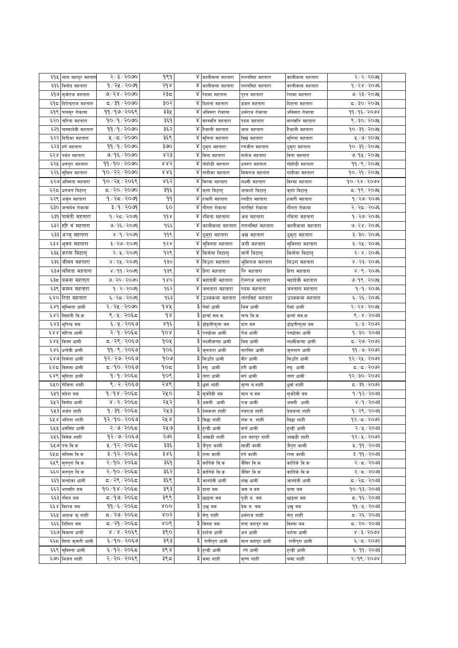| ६१५ | लाल बहादुर महतार    | २/३/२०७०      | १९१        | γ | कालीकला महतारा            | गगनसिहं महतारा  | कालीकला महतारा    | २/२/२०७१        |  |
|-----|---------------------|---------------|------------|---|---------------------------|-----------------|-------------------|-----------------|--|
| ६१६ | बिनोद महतारा        | १ ⁄ २५ ⁄ २०७९ | २१४        | ४ | कालीकला महतारा            | गगनसिंह महतारा  | कालीकला महतारा    | १/२४/२०७६       |  |
| ६१७ | स्र्जराज महतारा     | ७/२४/२०७०     | २३८        | Χ | रेशमा महतारा              | पुरन महतारा     | रेशमा महतारा      | ७/२३/२०७५       |  |
| ६१८ | दिपेन्द्रराज महतारा | द ∕ ३१ ⁄ २०७० | ३०२        |   | ४ दिशना महतारा            | डबल महतारा      | दिशना महतारा      | द /३०/२०७५      |  |
| ६१९ | पानसुर रोकाया       | ११/१७/२०६९    | ३३५        | Χ | अविसरा रोकाया             | धर्मराज रोकाया  | अविसरा रोकाया     | ११/१६/२०७४      |  |
| ६२० | चरिता महतारा        | १०/१/२०७०     | ३६१        | Χ | सरस्वति महतारा            | पदम महतारा      | सरस्वति महतारा    | ९ / ३० / २०७५   |  |
| ६२१ | चम्फादेवी महतारा    | 99/9/2000     | ३६२        | Χ | हैजाली महतारा             | जाम महतारा      | हैजाली महतारा     | १०/३१/२०७५      |  |
| ६२२ | दिपीका महतारा       | 4/5/2000      | ३६९        | γ | सुनिता महतारा             | विखे महतारा     | सुनिता महतारा     | ५/७/२०७१        |  |
| ६२३ | हर्ष महतारा         | ११/१/२०७०     | ३७०        | Χ | ठुमुरा महतारा             | रणजीत महतारा    | ठुमुरा महतारा     | १०/३१/२०७५      |  |
| ६२४ | पर्वत महतारा        | ७/१६/२०७०     | ४२३        | Χ | विना महतारा               | मनोज महतारा     | विना महतारा       | ७/१५/२०७५       |  |
| ६२५ | धनपुरा महतारा       | ११/१०/२०७०    | ४४२        | Χ | गोहोडी महतारा             | धनरुप महतारा    | गोहोडी महतारा     | ११⁄९⁄२०७५       |  |
| ६२६ | सुसिल महतारा        | 90/22/2000    | 886        | Χ | गादीका महतारा             | मिमराज महतारा   | गादीका महतारा     | १०/२१/२०७५      |  |
| ६२७ | अस्मिता महतारा      | १०/२५/२०६९    | ४६२        |   | ४ विरमा महतारा            | लक्ष्मी महतारा  | विरमा महतारा      | 90/28/2008      |  |
| ६२८ | धनजन बिटालु         | ८/२०/२०७०     | ३१६        | ४ | कुशा विटालु               | आकाशे विटालु    | कुशा विटालु       | द ⁄ १९ ⁄ २०७५   |  |
| ६२९ | अर्जुन महतारा       | १/२८/२०७१     | 99         | Χ | हजारी महतारा              | रनदीप महतारा    | हजारी महतारा      | १/२७/२०७६       |  |
| ६३० | जन्मदेव रोकाया      | ३/१/२०७१      | ć٥         | γ | गौगरा रोकाया              | नारसिंह रोकाया  | गौगरा रोकाया      | २/२८/२०७६       |  |
| ६३१ | पार्वेती महतारा     | १ ⁄ २८ ⁄ २०७९ | 998        | Χ | रमिता महतारा              |                 |                   | १/२७/२०७६       |  |
|     |                     |               |            | γ |                           | अल महतारा       | रमिता महतारा      |                 |  |
| ६३२ | हरि वं महतारा       | ७/२६/२०७१     | १६६        | Χ | कालीकला महतारा            | गगनसिहं महतारा  | कालीकला महतारा    | ७/२४/२०७६       |  |
| ६३३ | अञ्जु महतारा        | ४/१/२०७१      | ११९        |   | ठुमुरा महतारा             | अखं महतारा      | ठुमुरा महतारा     | ३/३०/२०७६       |  |
| ६३४ | भुवन महतारा         | ३/२७/२०७९     | १२४        | Χ | सुविस्ता महतारा           | जगी महतारा      | स्विस्ता महतारा   | ३/२५/२०७६       |  |
| ६३५ | करना बिटाल्         | २/५/२०७१      | १२९        | ४ | किसेना बिटाल्             | बाचें बिटाल्    | किसेना बिटाल्     | २/४/२०७६        |  |
| ६३६ | जीवन महतारा         | ४ / २५ / २०७१ | १३०        | Χ | बिउरा महतारा              | र्भामराज महतारा | बिउरा महतारा      | ४ / २३ / २०७६   |  |
| ६३७ | लोलता महतारा        | ४ /११ / २०७१  | १३९        | Χ | हिरा महतारा               | पैर महतारा      | हिरा महतारा       | ४ / ९ / २०७६    |  |
| ६३८ | यमना महता्रा        | ७/२०/२०७०     | gro        | Χ | महादेवी महतारा            | ऐनराज महतारा    | महादेवी महतारा    | ७/१९/२०७५       |  |
| ६३९ | कमल महतारा          | १/२/२०७१      | १६२        | γ | जनतारा महतारा             | पदम महतारा      | जनतारा महतारा     | १/१/२०७६        |  |
| ६४० | रिता महतारा         | ६ / २द / २०७१ | १६३        | Χ | उज्जकला महतारा            | तारासिहं महतारा | उज्जकला महतारा    | ६ / २६ / २०७६   |  |
| 68d | सुस्मिता धामी       | २/२५/२०७०     | dAA        | ३ | गेमां धामी                | भिम धामी        | गेमो धामी         | २/२४/२०७५       |  |
| ६४२ | सिहानी वि.क.        | ९ ⁄ ५ ⁄ २०६८  | qr         | ३ | ढाचाँ सव.क.               | चन्द वि.क.      | ढाचाँ सव.क.       | ९ / ४ / २०७३    |  |
| ६४३ | भूपिन्द्र वम        | ६/५/२०६७      | ४१६        | ३ | डोइलीफुला वम              | दान वम          | डोइलीफुला वम      | ६/३/२०७२        |  |
| ६४४ | सरिता धामी          | २/१/२०६८      | 908        |   | ३ पनढोका धामी             | तेज धामी        | पनढोका धामी       | १/३०/२०७३       |  |
| ६४५ | किस्न धामी          | ८/२९/२०६७     | १०५        | ३ | लक्ष्मीकन्या धामी         | बिम धामी        | लक्ष्मीकन्या धामी | द ⁄ २७⁄ २०७२    |  |
| ६४६ | धन्देवी धामी        | ११ / ९ / २०६७ | १०६        |   | जुनतारा धामी              | नारसिंह धामी    | जुनतारा धामी      | ११ ⁄ ७ ⁄ २०७२   |  |
| ६४७ | निर्मला धामी        | १२⁄ २७⁄ २०६७  | १०७        |   | सिउति धामी                | वीर धामी        | सिउति धामी        | १२⁄२५⁄२०७२      |  |
| ६४८ | विमला धामी          | द ⁄१०∕२०६७    | १०८        | ३ | रुघु धामी                 | हरी धामी        | रुघु धामी         | द ⁄ द ⁄ २०७२    |  |
| ६४९ | सनिता धामी          | १/१/२०६८      | १०९        | ३ | तारा धामी                 | सर्प धामी       | तारा धामी         | १२/३०/२०७२      |  |
| ६५० | रोजिता शाही         | ९/२/२०६७      | २४९        | ३ | धुवां शाही                | कृष्ण व.शाही    | धुवा शाही         | ८/३१∕२०७२       |  |
| ६५१ | संदेश वम            | १/१४/२०६८     | २५०        | ३ | सुर्जदेवी वम              | मान ब.बम        | सुर्जदेवी वम      | १/१२/२०७३       |  |
| ६५२ | विनोद धामो          | ४ / २ / २०६द  | २५२        | ३ | अमनी धामी                 | राज धामी        | अमनी धामी         | ४ /१ / २०७३     |  |
|     | ६५३  अर्जन शाही     | १ ⁄ ३१ ⁄ २०६८ | २५३        |   | ३ प्रेमकला शाही           | नवराज शाही      | प्रेमकला शाही     | १/२९/२०७३       |  |
|     | ६५४  अनिता शाही     | १२/१०/२०६७    | २५ ४       |   | ३ सिद्धा शाही             | लंक व. शाही     | सिद्धा शाही       | १२⁄ द ⁄ २०७२    |  |
|     | ६५५ धर्मसिंह धामी   | २/७/२०६८      | २५७        | ३ | हन्डी धामी                | कर्ण धामी       | हुन्डी धामी       | २/५/२०७३        |  |
| ६५६ | विवेक शाही          | १२७७/२०६७     | २७२        | ३ | आखडी शाही                 |                 | आखडी शाही         | १२⁄५⁄२०७२       |  |
|     |                     |               | ३३६        |   |                           | धन बहादुर शाही  |                   |                 |  |
|     | ६५७ पंच वि.क        | ५/१२/२०६८     |            | ३ | जैप्रा कामी               | सार्की कामी     | जैपुरा कामी       | ५ / ११ / २०७३   |  |
|     | ६५८  मनिसा वि.क     | ३/१२/२०६८     | ३४६        | ३ | राना कामी                 | हर्ष कामी       | राना कामी         | ३/११/२०७३       |  |
|     | ६५९ सुनपुरा वि.क    | २/१०/२०६८     | ३६१        | ३ | कार्तिके वि.क             | जैविर वि.क      | कार्तिके वि.क     | २/८/२०७३        |  |
|     | ६६० मनपुरा बि.क     | २/१०/२०६८     | ३६२        | ३ | कार्तिके वि.क             | जैविर वि.क      | कार्तिके वि.क     | २/८/२०७३        |  |
|     | ६६१ मन्थोका धामी    | द/२९/२०६द     | ३६९        |   | ३ जानदेवी धामी            | शंख धामी        | जानदेवी धामी      | द ⁄ २द ⁄ २०७३   |  |
|     | ६६२ भगवति वम        | १०/१४/२०६८    | ३९३        | ३ | दाना बम                   | जस व.वम         | दाना बम           | १०/१३/२०७३      |  |
| ६६३ | रमित बम             | द /१७/ २०६द   | ३९९        | ३ | छाइला वम                  | पृथीव.वम        | छाइला वम          | द्र ⁄ १६ ⁄ २०७३ |  |
|     | ६६४ विराज वम        | ११ ⁄ ६ ⁄ २०६द | <b>ROO</b> | ३ | उख् बम                    | प्रेम व. वम     | उख् वम            | ११ ⁄ ५ ⁄ २०७३   |  |
| ६६५ | अशाक कुशाही         | द / २७/ २०६द  | ४०२        | ३ | सेतु शाही                 | धर्मराज शाही    | सेतु शाही         | द / २६ / २०७३   |  |
| ६६६ | तिमिल वम            | द / २१ / २०६द | 806        |   | ३ विस्ना बम               | नन्द बहादुर वम  | विस्ना बम         | द/२०/२०७३       |  |
|     | ६६७ विकास धामी      | 8/8/50        | ३९०        |   | ३ दर्शना धामी             | अन धामी         | दर्शना धामी       | 8/3/5008        |  |
| ६६८ | सिता कुमारी धामी    | ६/१०/२०६७     | ३९३        | ३ | रानीपुरा धामी             | मान बहादुर धामी | रानीपुरा धामी     | ६/८/२०७२        |  |
|     | ६६९ सविस्ता धामी    | ६/१२/२०६८     | ३९४        |   | रे हुन्डी धामी            | रंगे धामी       | हन्डी धामी        | ६/११/२०७३       |  |
|     | ६७० भिजन शाही       | २/२०/२०६९     | ३९८        |   | $\overline{3}$ श्रमा शाही | कृष्ण शाही      | श्रमा शाही        | $2/9$ / $2008$  |  |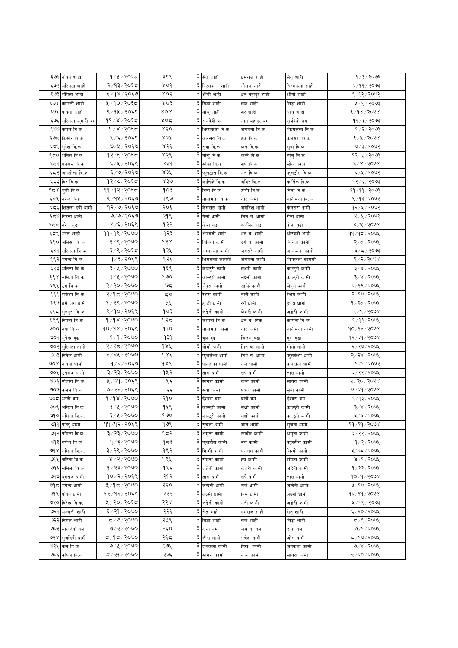| ६७१     | नविन शाही           | १/५/२०६८                | ३९९                    |   | ३ सेतु शाही                   | धर्मराज शाही   | सेतु शाही     | १ ⁄ ३ ⁄ २०७३         |  |
|---------|---------------------|-------------------------|------------------------|---|-------------------------------|----------------|---------------|----------------------|--|
| ६७२     | अस्मिता शाही        | २/१३/२०६८               | 80d                    |   | ३ पिरमकला शाही                | नौराज शाही     | पिरमकला शाही  | २/११/२०७३            |  |
| ६७३     | संगिता शाही         | ६/१४/२०६७               | ४०२                    | ३ | और्गी शाही                    | धन बहादुर शाही | और्गी शाही    | ६/१२/२०७२            |  |
| ६७४     | काउली शाही          | ५/१०/२०६८               | 803                    |   | ३ सिद्धा शाही                 | लंक शाही       | सिद्धा शाही   | ५/९/२०७३             |  |
| ६७५     | पार्वता शाही        | ९/१५/२०६९               | XOR                    |   | ३ वाँचु शाही                  | सर शाही        | बाँचु शाही    | ९/१४/२०७४            |  |
| ६७६     | सुस्मिता कुमारी वम  | ११ / ४ / २०६८           | ४०द                    |   | ३ सुर्जदेवी वम                | मान बहादुर वम  | सुर्जदेवी वम  | 99/3/2003            |  |
| ६७७     | कमल वि.क            | $9/8/20$ ६८             | ४२०                    |   | ३  फिमकला वि.क                | जगमनी वि.क     | फिमकला वि.क   | 9/2/2003             |  |
| ६७८     | किसोर वि.क          | ९/६/२०६९                | ४२५                    |   | ३ कलसरा वि.क                  | हर्क वि.क      | कलसरा वि.क    | 8/4/2008             |  |
| ६७९     | स् <b>रेश</b> वि.क  | ७/५/२०६७                | ४२६                    |   | ३ सुवा वि.क                   | कल वि.क        | सुवा वि.क     | ७/३/२०७२             |  |
| ६८०     | अनिल वि.क           | १२/६/२०६८               | ४२९                    |   | ३  बाँचु वि.क                 | कन्ने वि.क     | बॉचुवि.क      | १२⁄५⁄२०७३            |  |
| ६८१     | धनरास वि.क          | ६/५/२०६९                | 83d                    |   | ३ सौका वि.क                   | सर्पवि.क       | सौका वि.क     | $6 \times 6000$      |  |
| ६८२     | जगशीला वि.क         | ६/७/२०६७                | ४३५                    | ३ | फूलटौरा वि.क                  | मन वि.क        | फूलटौरा वि.क  | ६/५/२०७२             |  |
| ६८३     | विर वि.क            | १२/७/२०६८               | 830                    |   | ३ कार्तिके वि.क               | जैविर वि.क     | कार्तिके वि.क | 92/5/2003            |  |
| با کا ج | थुगी वि.क           | ११/१२/२०६८              | १०३                    |   | ३ विना वि.क                   | ठोसी वि.क      | विना वि.क     | 99/99/2003           |  |
| ६८५     | नरेन्द्र विक        | ९/१५/२०६७               | ३९७                    |   | ३ नानीमता वि.क                | गोरे कामी      | नानीमता वि.क  | ९/१३/२०७२            |  |
| ६८६     | शितला देवी धामी     | १२/७/२०६७               | २०६                    |   | ३ केलसरा धामी                 | जगदिश धामी     | केलसरा धामी   | १२/५/२०७२            |  |
| ६८७     | निरसा धामी          | ७/७/२०६७                | २१९                    |   | ३ गेर्मा धामी                 | मिम ब. धामी    | गेर्मा धामी   | ७/५/२०७२             |  |
| ६८८     | नरेश बुढा           | ४/६/२०६९                | १२२                    |   | ३ केला बुढा                   | दलजित बुढा     | केला बुढा     | $8\sqrt{15}$ / $500$ |  |
| ६८९     | भरत शाही            | 99/98/2000              | १२३                    | ३ | ओरवडी शाही                    | धन ब. शाही     | ओरवडी शाही    | 99/95/209            |  |
| ६९०     | अलिसा वि क          | २/९/२०७०                | d s                    |   | ३ विनिता कामी                 | दुर्ग व. कामी  | विनिता कामी   | २/८/२०७१             |  |
| ६९१     | सुस्मिता वि क       | ३/९/२०६८                | १२५                    |   | ३ अम्मकला कामी                | जयसुरे कामी    | अम्मकला कामी  | ३/८/२०७३             |  |
| ६९२     | उपेन्द्र वि क       | १/३/२०६९                | १२६                    |   | ३ भिमकला काममी                | जगमनी कामी     | भिमकला काममी  | $d \times 5$         |  |
| ६९३     | अनिता वि क          | ३/५/२०७०                | १६९                    |   |                               |                |               | $3 \times 15008$     |  |
|         |                     | $3/x$ / २०७०            | १७०                    |   | ३ काल्टुरी कामी               | लक्ष्मी कामी   | काल्ट्री कामी |                      |  |
| ६९४     | ममिता वि क          |                         |                        |   | ३ काल्टुरी कामी               | लक्ष्मी कामी   | काल्टुरी कामी | ३/४/२०७५             |  |
| ६९५     | ठगु वि क            | २/२०/२०७०               | ಅದ                     |   | ३ जैपुरा कामी                 | सार्कि कामी    | जैपुरा कामी   | २/१९/२०७५            |  |
| ६९६     | राकेशा वि क         | २/१८/२०७०               | 50                     |   | ३ रेशम कामी                   | बाचै कामी      | रेशम कामी     | २/१७/२०७५            |  |
| ६९७     | धर्म जग धामी        | १/२९/२०७०               | ५५                     | ३ | हुण्डी धामी                   | रगें धामी      | हुण्डी धामी   | १/२८/२०७१            |  |
| ६९८     | सुनपुरा वि क        | ९/१०/२०६९               | १०३                    | ३ | जडेनी कामी                    | केशरी कामी     | जडेनी कामी    | 8/8/2008             |  |
| ६९९     | विपना वि क          | 9/98/2000               | १२८                    | ३ | कल्पना वि क                   | धन व. बिक      | कल्पना वि क   | $9/93/209$ ४         |  |
| ७००     | नया वि क            | १०/१४/२०६९              | ogp                    |   | ३ नानीमता कामी                | गोरे कामी      | नानीमता कामी  | 90/93/2008           |  |
| ७०१     | भुपेन्द्र बुढा      | १/१/२०७०                | ۹३۹                    |   | ३ वुड़ा वुढा                  | चिलम ुबढा      | वुड़ा बुढा    | १२⁄३१⁄२०७४           |  |
| ७०२     | सुस्मिता धामी       | २/२८/२०७०               | 982                    |   | ३ गोमौ धामी                   | मिन व. धामी    | गोमौ धामी     | २/२७/२०७५            |  |
| ७०३     | विवेक धामी          | २/२५/२०७०               | $d$ $\lambda \epsilon$ |   | ३ फुलकेशा धामी                | तिर्थ ब. धामी  | फुलकेशा धामी  | 8/88/5000            |  |
| 90 X    | नविना धामी          | १/२/२०६७                | 988                    |   | ३ पानदोका धामी                | तेज धामी       | पानदोका धामी  | १/१/२०७२             |  |
| ७०५     | उपराज धामी          | ३/२३/२०७०               | १५२                    | ३ | तारा धामी                     | सर्प धामी      | तारा धामी     | ३/२२/२०७५            |  |
| ७०६     | एलिसा वि क          | ५/२१/२०६९               | ५६                     | ३ | सागरा कामी                    | कन्न कामी      | सागरा कामी    | ४/२०/२०७४            |  |
| ७०७     | कलम वि क            | ७/२२/२०६९               | فخط                    | ३ | सुवा कामी                     | प्रबले कामी    | सुवा कामी     | ७/२१/२०७४            |  |
| ७०८     | अग्नी वम            | 9/98/2000               | २१०                    |   | ३ ईश्वरा वम                   | बाचेंबम        | इंश्वरा वम    | १/१३/२०७५            |  |
| ७०९     | अनिता वि.क.         | ३/५/२०७०                | १६९                    |   | ३ काल्ठुरी कामी               | लक्षी कामी     | काल्ठुरी कामी | ३/४/२०७५             |  |
|         | ७१० ममिता वि.क.     | ३/५/२०७०                | $\overline{\text{eV}}$ |   | <mark>३ काल्</mark> दुरी कामी | लक्षी कामी     | काल्ठुरी कामी | $3 \times 1500$ aX   |  |
|         | ७११ पान्त् धामी     | ११ ⁄ १२ ⁄ २०६९          | १७९                    |   | ३ सुचना धामी                  | जान धामी       | सूचना धामी    | <u>११/११/२०७४</u>    |  |
| ७१२     | प्रमिला वि.क.       | ३/२३/२०७०               | १८२                    |   | ३ अमृता कामी                  | रगंवीर कामी    | अमृता कामी    | ३/२२/२०७५            |  |
| ও৭ ২    | गणेश वि.क.          | १/३/२०७०                | १८३                    |   | ३ फुलटौरा कामी                | मन कामी        | फलटौरा कामी   | १/२/२०७१             |  |
|         | ७१४  ममिता वि.क.    | ३/२९/२०७०               | १९२                    |   | ३ फिमी कामी                   | धनराम कामी     | भिरमी कामी    | ३/२८/२०७५            |  |
| ७१५     | चरिता वि.क.         | $8\sqrt{5}/2000$        | १९५                    |   | ३ रमिता कामी                  | हर्ष कामी      | रमिता कामी    | 8/9/909              |  |
|         | ७१६ समिला वि.क.     | १ ∕ २३ ⁄ २०७०           | १९६                    |   | ३ जडेनी कामी                  | केशरी कामी     | जडेनी कामी    | १/२२/२०७५            |  |
|         | ७१७ यवराज धामी      | १०/२/२०६९               | २१२                    |   | ३ तारा धामी                   | सर्पै धामी     | तारा धामी     | 90/9/9008            |  |
|         | ७१८ उपेन्द्र धामी   | ५/१८/२०७०               | २२०                    |   | ३ जन्देवी धामी                | सर्क धामी      | जन्देवी धामी  | ५/१७/२०७५            |  |
|         | ७१९ प्रविन धामी     | १२/१२/२०६९              | २२२                    |   | ३ लक्ष्मी धामी                | विम धामी       | लक्ष्मी धामी  | 92/99/2008           |  |
|         | ७२० विरेन्द्र वि.क. | ५/२०/२०६८               | २२४                    |   | ३ जडेनी कामी                  | मनी कामी       | जडेनी कामी    | ५/१९/२०७३            |  |
| ७२१     | अञ्जली शाही         | ६/२१/२०७०               | २२६                    |   | ३ सेत् शाही                   | धर्मराज शाही   | सेतु शाही     | ६/२०/२०७५            |  |
| ७२२     | विमल शाही           | 5/9/2090                | २५९                    |   | ३।सिद्धा शाही                 | लकं शाही       | सिद्धा शाही   | 5/209                |  |
|         | ७२३ मायादेवी वम     | ७/२/२०७०                | २६०                    |   | ३ दाना वम                     | जस व. वम       | दाना वम       | ७/१/२०७५             |  |
|         | ७२४ स्जदिवी धामी    | ८८/१८/२०७०              | २६८                    |   | ३ जीरा धामी                   | गणेश धामी      | जीरा धामी     | 5/90/200             |  |
|         | ७२५ कल वि.क.        | 9/4/2000                | २७५                    |   | ३ जनकला कामी                  | बिर्ख कामी     | जनकला कामी    | 9/8/209              |  |
| ७२६     | कपिल वि.क.          | $\sigma$ ०७० $\sqrt{9}$ | २७६                    |   | ३ सागरा कामी                  | कन्न कामी      | सागरा कामी    | ८/२०/२०७५            |  |
|         |                     |                         |                        |   |                               |                |               |                      |  |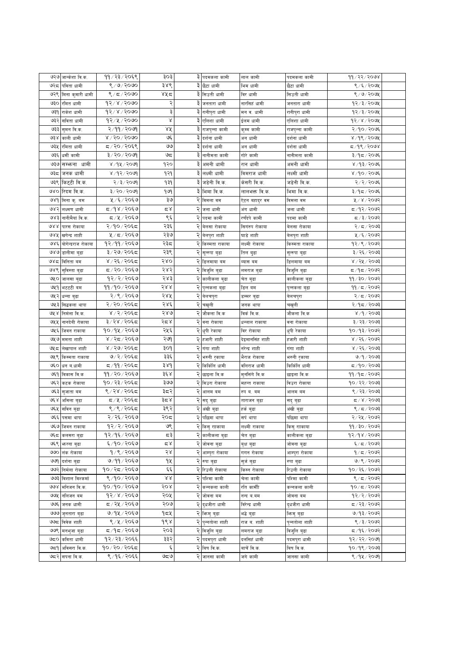| ११/२३/२०६९<br>३ पदमकला कामी<br>8/9/8090<br>३४९<br>७२८<br>९ ⁄ ६ ⁄ २०७५<br>पविता धामी<br>३ छैटा धामी<br>भिम धामी<br>छैटा धामी<br>९/८/२०७०<br>४५८<br>७२९ मिना कुमारी धामी<br>३े सिउती धामी<br>8/9/209<br>विर धामी<br>सिउती धामी<br>२<br>१२/४/२०७०<br>३ जनतारा धामी<br>७३० रमित धामी<br>१२⁄३⁄२०७५<br>नारसिहं धामी<br>जनतारा धामी<br>३<br>98/8/5000<br>३ रानीपुरा धामी<br>७३१ राकेश धामी<br>१२⁄३⁄२०७५<br>मन व. धामी<br>रानीपुरा धामी<br>Χ<br>१२/५/२०७०<br>७३२<br>३ एलिशा धामी<br>93 x 200x<br>सविता धामी<br>ईलम धामी<br>एलिशा धामी<br>२/११/२०७१<br>४५<br>३ राजपुन्ना कामी<br>२/१०/२०७६<br>७३३<br>सुमन वि.क.<br>कुम्म कामी<br>राजपुन्ना कामी<br>४ / २० / २०७०<br>عي<br>३<br>४ /१९ / २०७५<br>७३४<br>काली धामी<br>दर्शना धामी<br>अन धामी<br>दर्शना धामी<br>द ⁄ २० ⁄ २०६९<br>وى<br>३ दर्शना धामी<br>७३५<br>द ⁄ १९ ⁄ २०७४<br>रमिता धामी<br>अन धामी<br>दर्शना धामी<br>ಅದ<br>३ नानीमता कामी<br>३/२०/२०७९<br>७३६<br>धर्मी कामी<br>गोरे कामी<br>३/१८/२०७६<br>नानीमता कामी<br>सम्भन्ना धामी<br>१२०<br>३<br>अमनी धामी<br>৩३७<br>४ / १५ / २०७१<br>रान धामी<br>अमनी धामी<br>४ ⁄ १३ ⁄ २०७६<br>जनक धामी<br>३ लक्ष्मी धामी<br>४ / १२ / २०७१<br>१२१<br>लक्ष्मी धामी<br>४/१०/२०७६<br>ಅಕಿದ<br>विमराज धामी<br>३ जडेनी वि.क<br>७३९ किट्टी वि.क.<br>२/३/२०७१<br>939<br>जडेनी वि.क.<br>२/२/२०७६<br>केसरी वि.क.<br>३ भिमा वि.क.<br>रिदम वि.क.<br>३/२०/२०७९<br>969<br>३/१८/२०७६<br>७४०<br>लालभक्त वि.क.<br>भिमा वि.क.<br>५ ⁄ ६ ⁄ २०६७<br>३७<br>२ विमला वम<br>५/४/२०७२<br>७४१ मिना कु. बम<br>ऐटन बहादुर वम<br>विमला वम<br>८/१४/२०६७<br>م ک<br>२<br>द ⁄ १२∕ २०७२<br>७४२<br>लक्ष्मण धामी<br>अंग धामी<br>जला धामी<br>जला धामी<br>९६<br>८/५/२०६७<br>२ पदमा कामी<br>ওপই<br>नानीमैयां वि.क.<br>रणंदपे कामी<br>पदमा कामी<br>द ∕ ३ ⁄ २०७२<br>२३६<br>२/१०/२०६द<br>२ बेलसा रोकाया<br>988<br>पारस रोकाया<br>सिगरुप रोकाया<br>२/८/२०७३<br>बेलसा रोकाया<br>२३७<br>५ / ८ / २०६७<br>२ बेलपुरा शाही<br>५ ⁄ ६ ⁄ २०७२<br>१४४<br>खगेन्द्र शाही<br>घाडे शाही<br>बेलपुरा शाही<br>१२⁄११⁄२०६७<br>२३८<br>१२⁄९⁄२०७२<br>७४६<br>योगेन्द्रराज रोकाया<br>२<br>लक्ष्मी रोकाया<br>किस्मता राकाया<br>किस्मता राकाया<br>२३९<br>२<br>३/२७/२०६द<br>७४७<br>३/२६/२०७३<br>डालीमा बुढा<br>सून्रुपा बुढा<br>तिल बुढा<br>सून्रुपा बुढा<br>४ / २६ / २०६८<br>२४०<br>२ डिलमाया बम<br>४ / २५ / २०७३<br>ও४८<br>विनिता बम<br>व्यास वम<br>डिलमाया बम<br>द ∕ २० ⁄ २०६७<br>२४२<br>२ विजुलि बुढा<br>७४९  सुविस्ता बुढा<br>द ⁄ १द ⁄ २०७२<br>विजुलि बुढा<br>लमराज बुढा<br>१२/२/२०६७<br>२४३<br>११ / ३० / २०७२<br>२<br>७५० जालसा बुढा<br>कालीकला बुढा<br>चेत बुढा<br>कालीकला बुढा<br>११/१०/२०६७<br>२४४<br>२ पुन्नकला बुढा<br>७५१ भटटटी बम<br>११∕ द ∕ २०७२<br>डिल वम<br>पुन्नकला बुढा<br>२/९/२०६७<br>२४५<br>२/८/२०७२<br>७५२<br>२ बेलचपुरा<br>धन्ना बुढा<br>डम्मर बुढा<br>वेलचपुरा<br>२/२०/२०६८<br>२४६<br>२ चखुली<br>२/१८/२०७३<br>७५३<br>सिद्धकला थापा<br>चखुली<br>जनक थापा<br>४ / २ / २०६८<br>२४७<br>8/9/9093<br>७५ ४<br>निर्मला वि.क.<br>जौकला वि.क<br>विर्कवि.क.<br>जौकला वि.क<br>२८४<br>३/२४/२०६द<br>३/२३/२०७३<br>७५५<br>नानदेवी रोकाया<br>बना रोकाया<br>वना रोकाया<br>धन्लाल राकाया<br>१०/१५/२०६७<br>२५६<br>२<br>१०/१३/२०७२<br>७५६<br>जिवन राकाया<br>धुपी रेकाया<br>विर रोकाया<br>धुपी रेकाया<br>२७१<br>४ / २८ / २०६७<br>२ हजारी शाही<br>४ / २६ / २०७२<br>७५७ ममता शाही<br>हजारी शाही<br>देइमानसिंह शाही<br>४ / २७/ २०६८<br>३०१<br>४ / २६ / २०७३<br>৩५८<br>लेखापाल शाही<br>२  गंगा शाही<br>गंगा शाही<br>नरेन्द्र शाही<br>७/२/२०६८<br>३३६<br>२ भरुनी रृकाया<br>७/१/२०७३<br>७५९ किस्मता राकाया<br>भैराज रोकाया<br>भरुनी रुकाया<br>द ⁄ ११ ⁄ २०६द<br>३४१<br>२ किर्किलि धामी<br>७६० धन व.धामी<br>किर्किलि धामी<br>र्वालराज धामी | ११/२२/२०७४    |
|-----------------------------------------------------------------------------------------------------------------------------------------------------------------------------------------------------------------------------------------------------------------------------------------------------------------------------------------------------------------------------------------------------------------------------------------------------------------------------------------------------------------------------------------------------------------------------------------------------------------------------------------------------------------------------------------------------------------------------------------------------------------------------------------------------------------------------------------------------------------------------------------------------------------------------------------------------------------------------------------------------------------------------------------------------------------------------------------------------------------------------------------------------------------------------------------------------------------------------------------------------------------------------------------------------------------------------------------------------------------------------------------------------------------------------------------------------------------------------------------------------------------------------------------------------------------------------------------------------------------------------------------------------------------------------------------------------------------------------------------------------------------------------------------------------------------------------------------------------------------------------------------------------------------------------------------------------------------------------------------------------------------------------------------------------------------------------------------------------------------------------------------------------------------------------------------------------------------------------------------------------------------------------------------------------------------------------------------------------------------------------------------------------------------------------------------------------------------------------------------------------------------------------------------------------------------------------------------------------------------------------------------------------------------------------------------------------------------------------------------------------------------------------------------------------------------------------------------------------------------------------------------------------------------------------------------------------------------------------------------------------------------------------------------------------------------------------------------------------------------------------------------------------------------------------------------------------------------------------------------------------------------------------------------------------------------------------------------------------------------------------------------------------------------------------------------------------------------------------------------------------------------------------------------|---------------|
|                                                                                                                                                                                                                                                                                                                                                                                                                                                                                                                                                                                                                                                                                                                                                                                                                                                                                                                                                                                                                                                                                                                                                                                                                                                                                                                                                                                                                                                                                                                                                                                                                                                                                                                                                                                                                                                                                                                                                                                                                                                                                                                                                                                                                                                                                                                                                                                                                                                                                                                                                                                                                                                                                                                                                                                                                                                                                                                                                                                                                                                                                                                                                                                                                                                                                                                                                                                                                                                                                                                                         |               |
|                                                                                                                                                                                                                                                                                                                                                                                                                                                                                                                                                                                                                                                                                                                                                                                                                                                                                                                                                                                                                                                                                                                                                                                                                                                                                                                                                                                                                                                                                                                                                                                                                                                                                                                                                                                                                                                                                                                                                                                                                                                                                                                                                                                                                                                                                                                                                                                                                                                                                                                                                                                                                                                                                                                                                                                                                                                                                                                                                                                                                                                                                                                                                                                                                                                                                                                                                                                                                                                                                                                                         |               |
|                                                                                                                                                                                                                                                                                                                                                                                                                                                                                                                                                                                                                                                                                                                                                                                                                                                                                                                                                                                                                                                                                                                                                                                                                                                                                                                                                                                                                                                                                                                                                                                                                                                                                                                                                                                                                                                                                                                                                                                                                                                                                                                                                                                                                                                                                                                                                                                                                                                                                                                                                                                                                                                                                                                                                                                                                                                                                                                                                                                                                                                                                                                                                                                                                                                                                                                                                                                                                                                                                                                                         |               |
|                                                                                                                                                                                                                                                                                                                                                                                                                                                                                                                                                                                                                                                                                                                                                                                                                                                                                                                                                                                                                                                                                                                                                                                                                                                                                                                                                                                                                                                                                                                                                                                                                                                                                                                                                                                                                                                                                                                                                                                                                                                                                                                                                                                                                                                                                                                                                                                                                                                                                                                                                                                                                                                                                                                                                                                                                                                                                                                                                                                                                                                                                                                                                                                                                                                                                                                                                                                                                                                                                                                                         |               |
|                                                                                                                                                                                                                                                                                                                                                                                                                                                                                                                                                                                                                                                                                                                                                                                                                                                                                                                                                                                                                                                                                                                                                                                                                                                                                                                                                                                                                                                                                                                                                                                                                                                                                                                                                                                                                                                                                                                                                                                                                                                                                                                                                                                                                                                                                                                                                                                                                                                                                                                                                                                                                                                                                                                                                                                                                                                                                                                                                                                                                                                                                                                                                                                                                                                                                                                                                                                                                                                                                                                                         |               |
|                                                                                                                                                                                                                                                                                                                                                                                                                                                                                                                                                                                                                                                                                                                                                                                                                                                                                                                                                                                                                                                                                                                                                                                                                                                                                                                                                                                                                                                                                                                                                                                                                                                                                                                                                                                                                                                                                                                                                                                                                                                                                                                                                                                                                                                                                                                                                                                                                                                                                                                                                                                                                                                                                                                                                                                                                                                                                                                                                                                                                                                                                                                                                                                                                                                                                                                                                                                                                                                                                                                                         |               |
|                                                                                                                                                                                                                                                                                                                                                                                                                                                                                                                                                                                                                                                                                                                                                                                                                                                                                                                                                                                                                                                                                                                                                                                                                                                                                                                                                                                                                                                                                                                                                                                                                                                                                                                                                                                                                                                                                                                                                                                                                                                                                                                                                                                                                                                                                                                                                                                                                                                                                                                                                                                                                                                                                                                                                                                                                                                                                                                                                                                                                                                                                                                                                                                                                                                                                                                                                                                                                                                                                                                                         |               |
|                                                                                                                                                                                                                                                                                                                                                                                                                                                                                                                                                                                                                                                                                                                                                                                                                                                                                                                                                                                                                                                                                                                                                                                                                                                                                                                                                                                                                                                                                                                                                                                                                                                                                                                                                                                                                                                                                                                                                                                                                                                                                                                                                                                                                                                                                                                                                                                                                                                                                                                                                                                                                                                                                                                                                                                                                                                                                                                                                                                                                                                                                                                                                                                                                                                                                                                                                                                                                                                                                                                                         |               |
|                                                                                                                                                                                                                                                                                                                                                                                                                                                                                                                                                                                                                                                                                                                                                                                                                                                                                                                                                                                                                                                                                                                                                                                                                                                                                                                                                                                                                                                                                                                                                                                                                                                                                                                                                                                                                                                                                                                                                                                                                                                                                                                                                                                                                                                                                                                                                                                                                                                                                                                                                                                                                                                                                                                                                                                                                                                                                                                                                                                                                                                                                                                                                                                                                                                                                                                                                                                                                                                                                                                                         |               |
|                                                                                                                                                                                                                                                                                                                                                                                                                                                                                                                                                                                                                                                                                                                                                                                                                                                                                                                                                                                                                                                                                                                                                                                                                                                                                                                                                                                                                                                                                                                                                                                                                                                                                                                                                                                                                                                                                                                                                                                                                                                                                                                                                                                                                                                                                                                                                                                                                                                                                                                                                                                                                                                                                                                                                                                                                                                                                                                                                                                                                                                                                                                                                                                                                                                                                                                                                                                                                                                                                                                                         |               |
|                                                                                                                                                                                                                                                                                                                                                                                                                                                                                                                                                                                                                                                                                                                                                                                                                                                                                                                                                                                                                                                                                                                                                                                                                                                                                                                                                                                                                                                                                                                                                                                                                                                                                                                                                                                                                                                                                                                                                                                                                                                                                                                                                                                                                                                                                                                                                                                                                                                                                                                                                                                                                                                                                                                                                                                                                                                                                                                                                                                                                                                                                                                                                                                                                                                                                                                                                                                                                                                                                                                                         |               |
|                                                                                                                                                                                                                                                                                                                                                                                                                                                                                                                                                                                                                                                                                                                                                                                                                                                                                                                                                                                                                                                                                                                                                                                                                                                                                                                                                                                                                                                                                                                                                                                                                                                                                                                                                                                                                                                                                                                                                                                                                                                                                                                                                                                                                                                                                                                                                                                                                                                                                                                                                                                                                                                                                                                                                                                                                                                                                                                                                                                                                                                                                                                                                                                                                                                                                                                                                                                                                                                                                                                                         |               |
|                                                                                                                                                                                                                                                                                                                                                                                                                                                                                                                                                                                                                                                                                                                                                                                                                                                                                                                                                                                                                                                                                                                                                                                                                                                                                                                                                                                                                                                                                                                                                                                                                                                                                                                                                                                                                                                                                                                                                                                                                                                                                                                                                                                                                                                                                                                                                                                                                                                                                                                                                                                                                                                                                                                                                                                                                                                                                                                                                                                                                                                                                                                                                                                                                                                                                                                                                                                                                                                                                                                                         |               |
|                                                                                                                                                                                                                                                                                                                                                                                                                                                                                                                                                                                                                                                                                                                                                                                                                                                                                                                                                                                                                                                                                                                                                                                                                                                                                                                                                                                                                                                                                                                                                                                                                                                                                                                                                                                                                                                                                                                                                                                                                                                                                                                                                                                                                                                                                                                                                                                                                                                                                                                                                                                                                                                                                                                                                                                                                                                                                                                                                                                                                                                                                                                                                                                                                                                                                                                                                                                                                                                                                                                                         |               |
|                                                                                                                                                                                                                                                                                                                                                                                                                                                                                                                                                                                                                                                                                                                                                                                                                                                                                                                                                                                                                                                                                                                                                                                                                                                                                                                                                                                                                                                                                                                                                                                                                                                                                                                                                                                                                                                                                                                                                                                                                                                                                                                                                                                                                                                                                                                                                                                                                                                                                                                                                                                                                                                                                                                                                                                                                                                                                                                                                                                                                                                                                                                                                                                                                                                                                                                                                                                                                                                                                                                                         |               |
|                                                                                                                                                                                                                                                                                                                                                                                                                                                                                                                                                                                                                                                                                                                                                                                                                                                                                                                                                                                                                                                                                                                                                                                                                                                                                                                                                                                                                                                                                                                                                                                                                                                                                                                                                                                                                                                                                                                                                                                                                                                                                                                                                                                                                                                                                                                                                                                                                                                                                                                                                                                                                                                                                                                                                                                                                                                                                                                                                                                                                                                                                                                                                                                                                                                                                                                                                                                                                                                                                                                                         |               |
|                                                                                                                                                                                                                                                                                                                                                                                                                                                                                                                                                                                                                                                                                                                                                                                                                                                                                                                                                                                                                                                                                                                                                                                                                                                                                                                                                                                                                                                                                                                                                                                                                                                                                                                                                                                                                                                                                                                                                                                                                                                                                                                                                                                                                                                                                                                                                                                                                                                                                                                                                                                                                                                                                                                                                                                                                                                                                                                                                                                                                                                                                                                                                                                                                                                                                                                                                                                                                                                                                                                                         |               |
|                                                                                                                                                                                                                                                                                                                                                                                                                                                                                                                                                                                                                                                                                                                                                                                                                                                                                                                                                                                                                                                                                                                                                                                                                                                                                                                                                                                                                                                                                                                                                                                                                                                                                                                                                                                                                                                                                                                                                                                                                                                                                                                                                                                                                                                                                                                                                                                                                                                                                                                                                                                                                                                                                                                                                                                                                                                                                                                                                                                                                                                                                                                                                                                                                                                                                                                                                                                                                                                                                                                                         |               |
|                                                                                                                                                                                                                                                                                                                                                                                                                                                                                                                                                                                                                                                                                                                                                                                                                                                                                                                                                                                                                                                                                                                                                                                                                                                                                                                                                                                                                                                                                                                                                                                                                                                                                                                                                                                                                                                                                                                                                                                                                                                                                                                                                                                                                                                                                                                                                                                                                                                                                                                                                                                                                                                                                                                                                                                                                                                                                                                                                                                                                                                                                                                                                                                                                                                                                                                                                                                                                                                                                                                                         |               |
|                                                                                                                                                                                                                                                                                                                                                                                                                                                                                                                                                                                                                                                                                                                                                                                                                                                                                                                                                                                                                                                                                                                                                                                                                                                                                                                                                                                                                                                                                                                                                                                                                                                                                                                                                                                                                                                                                                                                                                                                                                                                                                                                                                                                                                                                                                                                                                                                                                                                                                                                                                                                                                                                                                                                                                                                                                                                                                                                                                                                                                                                                                                                                                                                                                                                                                                                                                                                                                                                                                                                         |               |
|                                                                                                                                                                                                                                                                                                                                                                                                                                                                                                                                                                                                                                                                                                                                                                                                                                                                                                                                                                                                                                                                                                                                                                                                                                                                                                                                                                                                                                                                                                                                                                                                                                                                                                                                                                                                                                                                                                                                                                                                                                                                                                                                                                                                                                                                                                                                                                                                                                                                                                                                                                                                                                                                                                                                                                                                                                                                                                                                                                                                                                                                                                                                                                                                                                                                                                                                                                                                                                                                                                                                         |               |
|                                                                                                                                                                                                                                                                                                                                                                                                                                                                                                                                                                                                                                                                                                                                                                                                                                                                                                                                                                                                                                                                                                                                                                                                                                                                                                                                                                                                                                                                                                                                                                                                                                                                                                                                                                                                                                                                                                                                                                                                                                                                                                                                                                                                                                                                                                                                                                                                                                                                                                                                                                                                                                                                                                                                                                                                                                                                                                                                                                                                                                                                                                                                                                                                                                                                                                                                                                                                                                                                                                                                         |               |
|                                                                                                                                                                                                                                                                                                                                                                                                                                                                                                                                                                                                                                                                                                                                                                                                                                                                                                                                                                                                                                                                                                                                                                                                                                                                                                                                                                                                                                                                                                                                                                                                                                                                                                                                                                                                                                                                                                                                                                                                                                                                                                                                                                                                                                                                                                                                                                                                                                                                                                                                                                                                                                                                                                                                                                                                                                                                                                                                                                                                                                                                                                                                                                                                                                                                                                                                                                                                                                                                                                                                         |               |
|                                                                                                                                                                                                                                                                                                                                                                                                                                                                                                                                                                                                                                                                                                                                                                                                                                                                                                                                                                                                                                                                                                                                                                                                                                                                                                                                                                                                                                                                                                                                                                                                                                                                                                                                                                                                                                                                                                                                                                                                                                                                                                                                                                                                                                                                                                                                                                                                                                                                                                                                                                                                                                                                                                                                                                                                                                                                                                                                                                                                                                                                                                                                                                                                                                                                                                                                                                                                                                                                                                                                         |               |
|                                                                                                                                                                                                                                                                                                                                                                                                                                                                                                                                                                                                                                                                                                                                                                                                                                                                                                                                                                                                                                                                                                                                                                                                                                                                                                                                                                                                                                                                                                                                                                                                                                                                                                                                                                                                                                                                                                                                                                                                                                                                                                                                                                                                                                                                                                                                                                                                                                                                                                                                                                                                                                                                                                                                                                                                                                                                                                                                                                                                                                                                                                                                                                                                                                                                                                                                                                                                                                                                                                                                         |               |
|                                                                                                                                                                                                                                                                                                                                                                                                                                                                                                                                                                                                                                                                                                                                                                                                                                                                                                                                                                                                                                                                                                                                                                                                                                                                                                                                                                                                                                                                                                                                                                                                                                                                                                                                                                                                                                                                                                                                                                                                                                                                                                                                                                                                                                                                                                                                                                                                                                                                                                                                                                                                                                                                                                                                                                                                                                                                                                                                                                                                                                                                                                                                                                                                                                                                                                                                                                                                                                                                                                                                         |               |
|                                                                                                                                                                                                                                                                                                                                                                                                                                                                                                                                                                                                                                                                                                                                                                                                                                                                                                                                                                                                                                                                                                                                                                                                                                                                                                                                                                                                                                                                                                                                                                                                                                                                                                                                                                                                                                                                                                                                                                                                                                                                                                                                                                                                                                                                                                                                                                                                                                                                                                                                                                                                                                                                                                                                                                                                                                                                                                                                                                                                                                                                                                                                                                                                                                                                                                                                                                                                                                                                                                                                         |               |
|                                                                                                                                                                                                                                                                                                                                                                                                                                                                                                                                                                                                                                                                                                                                                                                                                                                                                                                                                                                                                                                                                                                                                                                                                                                                                                                                                                                                                                                                                                                                                                                                                                                                                                                                                                                                                                                                                                                                                                                                                                                                                                                                                                                                                                                                                                                                                                                                                                                                                                                                                                                                                                                                                                                                                                                                                                                                                                                                                                                                                                                                                                                                                                                                                                                                                                                                                                                                                                                                                                                                         |               |
|                                                                                                                                                                                                                                                                                                                                                                                                                                                                                                                                                                                                                                                                                                                                                                                                                                                                                                                                                                                                                                                                                                                                                                                                                                                                                                                                                                                                                                                                                                                                                                                                                                                                                                                                                                                                                                                                                                                                                                                                                                                                                                                                                                                                                                                                                                                                                                                                                                                                                                                                                                                                                                                                                                                                                                                                                                                                                                                                                                                                                                                                                                                                                                                                                                                                                                                                                                                                                                                                                                                                         |               |
|                                                                                                                                                                                                                                                                                                                                                                                                                                                                                                                                                                                                                                                                                                                                                                                                                                                                                                                                                                                                                                                                                                                                                                                                                                                                                                                                                                                                                                                                                                                                                                                                                                                                                                                                                                                                                                                                                                                                                                                                                                                                                                                                                                                                                                                                                                                                                                                                                                                                                                                                                                                                                                                                                                                                                                                                                                                                                                                                                                                                                                                                                                                                                                                                                                                                                                                                                                                                                                                                                                                                         |               |
|                                                                                                                                                                                                                                                                                                                                                                                                                                                                                                                                                                                                                                                                                                                                                                                                                                                                                                                                                                                                                                                                                                                                                                                                                                                                                                                                                                                                                                                                                                                                                                                                                                                                                                                                                                                                                                                                                                                                                                                                                                                                                                                                                                                                                                                                                                                                                                                                                                                                                                                                                                                                                                                                                                                                                                                                                                                                                                                                                                                                                                                                                                                                                                                                                                                                                                                                                                                                                                                                                                                                         |               |
|                                                                                                                                                                                                                                                                                                                                                                                                                                                                                                                                                                                                                                                                                                                                                                                                                                                                                                                                                                                                                                                                                                                                                                                                                                                                                                                                                                                                                                                                                                                                                                                                                                                                                                                                                                                                                                                                                                                                                                                                                                                                                                                                                                                                                                                                                                                                                                                                                                                                                                                                                                                                                                                                                                                                                                                                                                                                                                                                                                                                                                                                                                                                                                                                                                                                                                                                                                                                                                                                                                                                         |               |
|                                                                                                                                                                                                                                                                                                                                                                                                                                                                                                                                                                                                                                                                                                                                                                                                                                                                                                                                                                                                                                                                                                                                                                                                                                                                                                                                                                                                                                                                                                                                                                                                                                                                                                                                                                                                                                                                                                                                                                                                                                                                                                                                                                                                                                                                                                                                                                                                                                                                                                                                                                                                                                                                                                                                                                                                                                                                                                                                                                                                                                                                                                                                                                                                                                                                                                                                                                                                                                                                                                                                         | द ⁄ १० ⁄ २०७३ |
| ११७२०७२०६७<br>३६ ४<br>२ छाइला बि.क<br>११/१८/२०७२<br>७६१<br>विकास वि.क<br>मुनसिंगे वि.क<br>छाइला बि.क                                                                                                                                                                                                                                                                                                                                                                                                                                                                                                                                                                                                                                                                                                                                                                                                                                                                                                                                                                                                                                                                                                                                                                                                                                                                                                                                                                                                                                                                                                                                                                                                                                                                                                                                                                                                                                                                                                                                                                                                                                                                                                                                                                                                                                                                                                                                                                                                                                                                                                                                                                                                                                                                                                                                                                                                                                                                                                                                                                                                                                                                                                                                                                                                                                                                                                                                                                                                                                    |               |
| ३७७<br>७६२<br>१०/२३/२०६८<br>कटक रोकाया<br>२ विउरा रोकाया<br>१०७२२/२०७३<br>विउरा रोकाया<br>महन्त राकाया                                                                                                                                                                                                                                                                                                                                                                                                                                                                                                                                                                                                                                                                                                                                                                                                                                                                                                                                                                                                                                                                                                                                                                                                                                                                                                                                                                                                                                                                                                                                                                                                                                                                                                                                                                                                                                                                                                                                                                                                                                                                                                                                                                                                                                                                                                                                                                                                                                                                                                                                                                                                                                                                                                                                                                                                                                                                                                                                                                                                                                                                                                                                                                                                                                                                                                                                                                                                                                  |               |
| ९/२४/२०६द<br>३८२<br>२<br>७६३<br>९ / २३ / २०७३<br>सुजाता बम<br>आलम बम<br>रुप ब. बम<br>आलम बम                                                                                                                                                                                                                                                                                                                                                                                                                                                                                                                                                                                                                                                                                                                                                                                                                                                                                                                                                                                                                                                                                                                                                                                                                                                                                                                                                                                                                                                                                                                                                                                                                                                                                                                                                                                                                                                                                                                                                                                                                                                                                                                                                                                                                                                                                                                                                                                                                                                                                                                                                                                                                                                                                                                                                                                                                                                                                                                                                                                                                                                                                                                                                                                                                                                                                                                                                                                                                                             |               |
| द⊅५ ∕ २०६द<br>३८४<br>२<br>७६ ४<br>$\approx$ / $8$ / $\approx$ / $\approx$<br>अमिला बुढा<br>सदु बुढा<br>ताराजन बुढा<br>सदु बुढा                                                                                                                                                                                                                                                                                                                                                                                                                                                                                                                                                                                                                                                                                                                                                                                                                                                                                                                                                                                                                                                                                                                                                                                                                                                                                                                                                                                                                                                                                                                                                                                                                                                                                                                                                                                                                                                                                                                                                                                                                                                                                                                                                                                                                                                                                                                                                                                                                                                                                                                                                                                                                                                                                                                                                                                                                                                                                                                                                                                                                                                                                                                                                                                                                                                                                                                                                                                                          |               |
| २<br>९/९/२०६८<br>३९२<br>७६५<br>अंखी बुढा<br>९/८/२०७३<br>सविन बुढा<br>अंखी बुढा<br>हकं बुढा                                                                                                                                                                                                                                                                                                                                                                                                                                                                                                                                                                                                                                                                                                                                                                                                                                                                                                                                                                                                                                                                                                                                                                                                                                                                                                                                                                                                                                                                                                                                                                                                                                                                                                                                                                                                                                                                                                                                                                                                                                                                                                                                                                                                                                                                                                                                                                                                                                                                                                                                                                                                                                                                                                                                                                                                                                                                                                                                                                                                                                                                                                                                                                                                                                                                                                                                                                                                                                              |               |
| २/२६/२०६७<br>२०८<br>२ पछिमा थापा<br>२/२५/२०७२<br>७६६ पसमा थापा<br>पछिमा थापा<br>सप थापा                                                                                                                                                                                                                                                                                                                                                                                                                                                                                                                                                                                                                                                                                                                                                                                                                                                                                                                                                                                                                                                                                                                                                                                                                                                                                                                                                                                                                                                                                                                                                                                                                                                                                                                                                                                                                                                                                                                                                                                                                                                                                                                                                                                                                                                                                                                                                                                                                                                                                                                                                                                                                                                                                                                                                                                                                                                                                                                                                                                                                                                                                                                                                                                                                                                                                                                                                                                                                                                 |               |
| १२/२/२०६७<br>ওৎ<br>२ किसु रााकाया<br>११/३०/२०७२<br>७६७ जिवन राकाया<br>लक्ष्मी राकाया<br>किसु रााकाया                                                                                                                                                                                                                                                                                                                                                                                                                                                                                                                                                                                                                                                                                                                                                                                                                                                                                                                                                                                                                                                                                                                                                                                                                                                                                                                                                                                                                                                                                                                                                                                                                                                                                                                                                                                                                                                                                                                                                                                                                                                                                                                                                                                                                                                                                                                                                                                                                                                                                                                                                                                                                                                                                                                                                                                                                                                                                                                                                                                                                                                                                                                                                                                                                                                                                                                                                                                                                                    |               |
| १२/१६/२०६७<br>२ कालीकला बुढा<br>92/98/2092<br>ದ ३<br>७६८ कलसरा बुढा<br>कालीकला बुढा<br>चेत बुढा                                                                                                                                                                                                                                                                                                                                                                                                                                                                                                                                                                                                                                                                                                                                                                                                                                                                                                                                                                                                                                                                                                                                                                                                                                                                                                                                                                                                                                                                                                                                                                                                                                                                                                                                                                                                                                                                                                                                                                                                                                                                                                                                                                                                                                                                                                                                                                                                                                                                                                                                                                                                                                                                                                                                                                                                                                                                                                                                                                                                                                                                                                                                                                                                                                                                                                                                                                                                                                         |               |
| ६/१०/२०६७<br>$\xi/\xi$ /२०७२<br>७६९ भारना बुढा<br>م ×<br>२ जोवना बुढा<br>जोवना बुढा<br>बृक्ष बुढा                                                                                                                                                                                                                                                                                                                                                                                                                                                                                                                                                                                                                                                                                                                                                                                                                                                                                                                                                                                                                                                                                                                                                                                                                                                                                                                                                                                                                                                                                                                                                                                                                                                                                                                                                                                                                                                                                                                                                                                                                                                                                                                                                                                                                                                                                                                                                                                                                                                                                                                                                                                                                                                                                                                                                                                                                                                                                                                                                                                                                                                                                                                                                                                                                                                                                                                                                                                                                                       |               |
| २४<br>७७० लंक रोकाया<br>१७९७२०६७<br>२ आम्पुरा रोकाया<br>गगन रोकाया<br>आम्पुरा रोकाया<br>१/८/२०७२                                                                                                                                                                                                                                                                                                                                                                                                                                                                                                                                                                                                                                                                                                                                                                                                                                                                                                                                                                                                                                                                                                                                                                                                                                                                                                                                                                                                                                                                                                                                                                                                                                                                                                                                                                                                                                                                                                                                                                                                                                                                                                                                                                                                                                                                                                                                                                                                                                                                                                                                                                                                                                                                                                                                                                                                                                                                                                                                                                                                                                                                                                                                                                                                                                                                                                                                                                                                                                        |               |
| ७/११/२०६७<br>92<br>७/९/२०७२<br>७७९<br>२ रुपा बुढा<br>दर्शना बुढा<br>सुर्ज बुढा<br>रुपा बुढा                                                                                                                                                                                                                                                                                                                                                                                                                                                                                                                                                                                                                                                                                                                                                                                                                                                                                                                                                                                                                                                                                                                                                                                                                                                                                                                                                                                                                                                                                                                                                                                                                                                                                                                                                                                                                                                                                                                                                                                                                                                                                                                                                                                                                                                                                                                                                                                                                                                                                                                                                                                                                                                                                                                                                                                                                                                                                                                                                                                                                                                                                                                                                                                                                                                                                                                                                                                                                                             |               |
| ६६<br>१०/२८/२०६७<br>२ रिउली रोकाया<br>रिउली रोकाया<br>१०/२६/२०७२<br>७७२ निर्मला रोकाया<br>किस्न रोकाया                                                                                                                                                                                                                                                                                                                                                                                                                                                                                                                                                                                                                                                                                                                                                                                                                                                                                                                                                                                                                                                                                                                                                                                                                                                                                                                                                                                                                                                                                                                                                                                                                                                                                                                                                                                                                                                                                                                                                                                                                                                                                                                                                                                                                                                                                                                                                                                                                                                                                                                                                                                                                                                                                                                                                                                                                                                                                                                                                                                                                                                                                                                                                                                                                                                                                                                                                                                                                                  |               |
| ९/१०/२०६७<br>$\lambda\lambda$<br>२ पश्मिा कामी<br>७७३ विशाल विश्कर्मा<br>पश्मिा कामी<br>९/८/२०७२<br>चेला कामी                                                                                                                                                                                                                                                                                                                                                                                                                                                                                                                                                                                                                                                                                                                                                                                                                                                                                                                                                                                                                                                                                                                                                                                                                                                                                                                                                                                                                                                                                                                                                                                                                                                                                                                                                                                                                                                                                                                                                                                                                                                                                                                                                                                                                                                                                                                                                                                                                                                                                                                                                                                                                                                                                                                                                                                                                                                                                                                                                                                                                                                                                                                                                                                                                                                                                                                                                                                                                           |               |
| १०/१०/२०६७<br>२०४<br>२ कन्नकला काली<br>१०/८/२०७२<br>७७४  मनिजन वि.क.<br>रति कामीी<br>कन्नकला काली                                                                                                                                                                                                                                                                                                                                                                                                                                                                                                                                                                                                                                                                                                                                                                                                                                                                                                                                                                                                                                                                                                                                                                                                                                                                                                                                                                                                                                                                                                                                                                                                                                                                                                                                                                                                                                                                                                                                                                                                                                                                                                                                                                                                                                                                                                                                                                                                                                                                                                                                                                                                                                                                                                                                                                                                                                                                                                                                                                                                                                                                                                                                                                                                                                                                                                                                                                                                                                       |               |
| १२/४/२०६७<br>२०५<br>२ जोवना बम<br>१२/२/२०७२<br>७७५   नलिजन बम<br>जोवना बम<br>नन्द ब.बम                                                                                                                                                                                                                                                                                                                                                                                                                                                                                                                                                                                                                                                                                                                                                                                                                                                                                                                                                                                                                                                                                                                                                                                                                                                                                                                                                                                                                                                                                                                                                                                                                                                                                                                                                                                                                                                                                                                                                                                                                                                                                                                                                                                                                                                                                                                                                                                                                                                                                                                                                                                                                                                                                                                                                                                                                                                                                                                                                                                                                                                                                                                                                                                                                                                                                                                                                                                                                                                  |               |
| ८/२५/२०६७<br>२०७<br>२ दुधजीरा धामी<br>८/२३/२०७२<br>७७६ जनक धामी<br>विरेन्द्र धामी<br>दुधजीरा धामी                                                                                                                                                                                                                                                                                                                                                                                                                                                                                                                                                                                                                                                                                                                                                                                                                                                                                                                                                                                                                                                                                                                                                                                                                                                                                                                                                                                                                                                                                                                                                                                                                                                                                                                                                                                                                                                                                                                                                                                                                                                                                                                                                                                                                                                                                                                                                                                                                                                                                                                                                                                                                                                                                                                                                                                                                                                                                                                                                                                                                                                                                                                                                                                                                                                                                                                                                                                                                                       |               |
| ७/१५/२०६७<br>954<br>२ भिन्मु बुढा<br>७/१३/२०७२<br>७७७ जुनतारा बुढा<br>भद्धे बुढा<br>भिन्मु बुढा                                                                                                                                                                                                                                                                                                                                                                                                                                                                                                                                                                                                                                                                                                                                                                                                                                                                                                                                                                                                                                                                                                                                                                                                                                                                                                                                                                                                                                                                                                                                                                                                                                                                                                                                                                                                                                                                                                                                                                                                                                                                                                                                                                                                                                                                                                                                                                                                                                                                                                                                                                                                                                                                                                                                                                                                                                                                                                                                                                                                                                                                                                                                                                                                                                                                                                                                                                                                                                         |               |
| ९/५/२०६७<br>१९४<br>२ पुन्नतोला शाही<br>8/3/2002<br>७७८ विवेक शाही<br>राज व. शाही<br>पुन्नतोला शाही                                                                                                                                                                                                                                                                                                                                                                                                                                                                                                                                                                                                                                                                                                                                                                                                                                                                                                                                                                                                                                                                                                                                                                                                                                                                                                                                                                                                                                                                                                                                                                                                                                                                                                                                                                                                                                                                                                                                                                                                                                                                                                                                                                                                                                                                                                                                                                                                                                                                                                                                                                                                                                                                                                                                                                                                                                                                                                                                                                                                                                                                                                                                                                                                                                                                                                                                                                                                                                      |               |
| २०३<br>द ⁄ १द ⁄ २०६७<br>२ विजुलि बुढा<br>द्र ⁄ १६ ⁄ २०७२<br>७७९ मनभुजा बुढा<br>विजुलि बुढा<br>लमराज बुढा                                                                                                                                                                                                                                                                                                                                                                                                                                                                                                                                                                                                                                                                                                                                                                                                                                                                                                                                                                                                                                                                                                                                                                                                                                                                                                                                                                                                                                                                                                                                                                                                                                                                                                                                                                                                                                                                                                                                                                                                                                                                                                                                                                                                                                                                                                                                                                                                                                                                                                                                                                                                                                                                                                                                                                                                                                                                                                                                                                                                                                                                                                                                                                                                                                                                                                                                                                                                                                |               |
| १२/२३/२०६६<br>३३२<br>७८० कविता धामी<br>२ पदमपुरा धामी<br>पदमपुरा धामी<br>१२/२२/२०७१<br>दलसिहं धामी                                                                                                                                                                                                                                                                                                                                                                                                                                                                                                                                                                                                                                                                                                                                                                                                                                                                                                                                                                                                                                                                                                                                                                                                                                                                                                                                                                                                                                                                                                                                                                                                                                                                                                                                                                                                                                                                                                                                                                                                                                                                                                                                                                                                                                                                                                                                                                                                                                                                                                                                                                                                                                                                                                                                                                                                                                                                                                                                                                                                                                                                                                                                                                                                                                                                                                                                                                                                                                      |               |
| १०/२०/२०६८<br>६<br>२ बिष वि.क.<br>१०/१९/२०७३<br>अविसरा वि.क.<br>बाचें वि.क.<br>विष वि.क.<br>ওন্ন                                                                                                                                                                                                                                                                                                                                                                                                                                                                                                                                                                                                                                                                                                                                                                                                                                                                                                                                                                                                                                                                                                                                                                                                                                                                                                                                                                                                                                                                                                                                                                                                                                                                                                                                                                                                                                                                                                                                                                                                                                                                                                                                                                                                                                                                                                                                                                                                                                                                                                                                                                                                                                                                                                                                                                                                                                                                                                                                                                                                                                                                                                                                                                                                                                                                                                                                                                                                                                        |               |
| ९/१६/२०६६<br>ಅಧಅ<br>२ जानसा कामी<br>७८२ सपना वि.क.<br>जगे कामी<br>९/१५/२०७१<br>जानसा कामी                                                                                                                                                                                                                                                                                                                                                                                                                                                                                                                                                                                                                                                                                                                                                                                                                                                                                                                                                                                                                                                                                                                                                                                                                                                                                                                                                                                                                                                                                                                                                                                                                                                                                                                                                                                                                                                                                                                                                                                                                                                                                                                                                                                                                                                                                                                                                                                                                                                                                                                                                                                                                                                                                                                                                                                                                                                                                                                                                                                                                                                                                                                                                                                                                                                                                                                                                                                                                                               |               |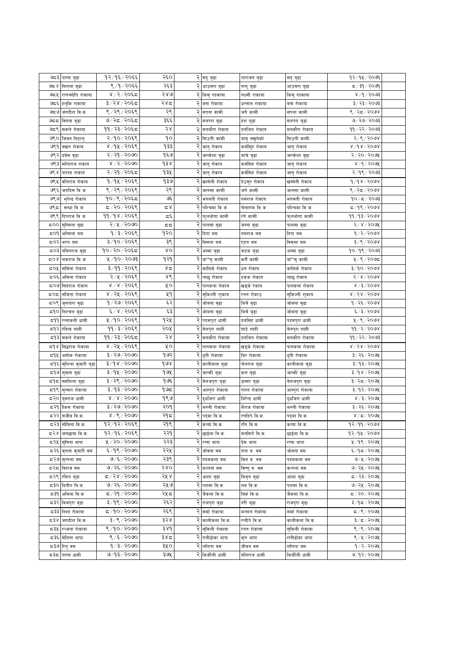| ಅಧಾ<br>पारस बुढा          | १२/१६/२०६६             | २६०      |   | २ सदु बुढा                          | ताराजन बुढा                  | सदु बुढा                   | १२⁄१५⁄२०७१                       |  |
|---------------------------|------------------------|----------|---|-------------------------------------|------------------------------|----------------------------|----------------------------------|--|
| کا ہے<br>सितला बुढा       | ९ ⁄ १ ⁄ २०६६           | २६३      |   | आउसरा बुढा                          |                              | आउसरा बुढा                 | द ∕ ३१ ⁄ २०७१                    |  |
| ७८५<br>रत्नज्योति राकाया  | ४ / २ / २०६८           | २४७      |   | २ किसु रााकाया                      | नन्दु बुढा<br>लक्ष्मी राकाया |                            | ४ /१ / २०७३                      |  |
| ಅದ್<br>हलुकि राकाया       | ३/२४/२०६द              | २४८      |   | २ वना रोकाया                        |                              | किसु रााकाया<br>वना रोकाया | ३/२३/२०७३                        |  |
| ಅಧಅ                       | ९/२९/२०६९              | २९       |   |                                     | धन्लाल राकाया<br>जगे कामी    |                            |                                  |  |
| जगदीश वि.क.               | ७/२८/२०६८              |          |   | २ सपना कामी                         |                              | सपना कामी                  | ९ ⁄ २८ ⁄ २०७४                    |  |
| ಅದದ<br>विषना बुढा         |                        | ३६६      |   | २ मनपरा बुढा                        | हंश बुढा                     | मनपरा बुढा                 | ७/२७/२०७३                        |  |
| ७८९<br>सकले रोकाया        | ११/२३/२०६८             | $58$     |   | २ मनकौरा रोकाय                      | दलजित रोकाय                  | मनकौरा रोकाय               | ११/२२/२०७३                       |  |
| ७९०<br>जिवन बिटालु        | २/१०/२०६९              | ٩o       |   | २ सिउती कामी                        | बाबु नखुलेको                 | सिउती कामी                 | २/९/२०७४                         |  |
| ७९१<br>वखत रोकाय          | ४/१५/२०६९              | १३३      | २ | जानु रोकाय                          | कर्मसिंह रोकाय               | जानु रोकाय                 | ४/१४/२०७४                        |  |
| ७९२<br>प्रवेस वुढा        | २/२१/२०७०              | १६७      | २ | जान्केशा बुढा                       | बाचे बुढा                    | जान्केशा बुढा              | २/२०/२०७५                        |  |
| ७९३<br>मन्दिराज राकाय     | $8/5/50$ as            | $\delta$ |   | २ <mark>जानु रोकाय</mark>           | कर्मसिंह रोकाय               | जानु रोकाय                 | ४/१/२०७१                         |  |
| ७९ ४<br>पारशा राकाय       | २/२१/२०६८              | १३५      |   | $\overline{\mathcal{R}}$ जानु रोकाय | कर्मसिहं रोकाय               | जानु रोकाय                 | २/१९/२०७३                        |  |
| ७९५<br>वलिराज रोकाय       | १/१५/२०६९              | १३७      |   | २ खम्मेनी रोकाय                     | देउसुर रोकाय                 | खम्मेनी रोकाय              | 9/98/9098                        |  |
| ७९६<br>जगदिस वि क         | ९/२९/२०६९              | २९       |   | २ जानसा कामी                        | जंगे कामी                    | जानसा कामी                 | ९ ⁄ २द ⁄ २०७४                    |  |
| ७९७<br>भुपेन्द्र रोकाय    | १०/९/२०६८              | ঙ্ঘ্     |   | <mark>२</mark> भगवती रोकाय          | नमराज रोकाय                  | भगवती रोकाय                | $90/\pi/2003$                    |  |
| ७९८<br>सन्धा वि क         | द /२०/२०६९             | کے ج     |   | पश्चिमा वि क                        | चेलाराम वि क                 | पश्चिमा वि क               | द ∕१९ ⁄ २०७४                     |  |
| ७९९<br>दिपराज वि क        | ११/१४/२०६९             | Σξ       |   | फुलथोगा कामी                        | रगे कामी                     | फुलथोगा कामी               | ११/१३/२०७४                       |  |
| ಧ೦೦<br>सुस्मिता वुढा      | २/५/२०७०               | द द      |   | पालसा वुढा                          | जम्ना वुढा                   | पालसा वुढा                 | २/४/२०७५                         |  |
| ≂೦9<br>अस्मिता बम         | १/३/२०६९               | १२०      |   | २ दिपा बम                           | नमराज बम                     | दिपा बम                    | १/२/२०७४                         |  |
| द्र0२<br>भरत बम           | ३/१०/२०६९              | ३९       | २ | विमला बम                            | एटन बम                       | विमला बम                   | ३/९/२०७४                         |  |
| द्र0३<br>नविनराज बुढा     | १०/२०/२०६८             | XΟ       |   | २ अम्मा वुढा                        | कटक बुढा                     | अम्मा बुढा                 | १०७१९७२०७३                       |  |
| ದ೦४<br>लंकराज वि क        | ५/१०/२०७३              | १२१      |   | २  बा''चु कामी                      | कणे कामी                     | बा''चु कामी                | ५/९/२०७८                         |  |
| ८०५<br>समिला रोकाय        | ३/११/२०६९              | ४द       |   | २ कात्तिके रोकाय                    | धन रोकाय                     | कात्तिके रोकाय             | ३/१०/२०७४                        |  |
| द्र0६<br>अमिला रोकाय      | २/५/२०६९               | ४९       |   | २ लाछु रोकाय                        | टकक रोकाय                    | लाछु रोकाय                 | 51815008                         |  |
| सिदराज रोकाय<br>ಧ೦ಅ       | $8/8/50$ ६९            | ५०       |   | पानकला रोकाय                        | खड्के रेकाय                  | पानकला रोकाय               | 8/3/5008                         |  |
| ದ೦ದ<br>संजिता रोकाय       | ४ / २५ / २०६९          | ५१       |   | सुकिल्ली राुकाय                     | रतन रोकाउ                    | सुकिल्ली राुकाय            | $8\backslash 58\backslash 50$ 98 |  |
| ८०९<br>जुनतारा वुढा       | १/२७/२०६९              | ६२       | २ | जोबना बुढा                          | बिचे बुढा                    | जोबना बुढा                 | १/२६/२०७४                        |  |
| द१०<br>निश्चल बुढा        | ६/४/२०६९               | ६३       | २ | जोबना बुढा                          | बिर्चे बुढा                  | जोबना बुढा                 | 6/3/5000                         |  |
| 599<br>रत्नाकली धामी      | ५/१०/२०६९              | १२५      |   | २ पदमपुरा धामी                      | दलसिह धामी                   | पदमपुरा धामी               | ५/९/२०७४                         |  |
| द१२<br>रविन्द्र शाही      | ११ / ३ / २०६९          | २०५      |   | २ बेलपुरा शाही                      | घाटे शाही                    | बेलपुरा शाही               | 99/2/2008                        |  |
| द१३<br>सकले रोकाया        | ११/२३/२०६८             | २४       |   | <mark>२</mark> मनकौरा रोकाया        | दर्लाजत रोकाया               | मनकौरा रोकाया              | ११ / २२ / २०७३                   |  |
| لا ه<br>सिद्धराज रोकाया   | ४ / २५ / २०६९          | УO       |   | २ पानकला रोकाया                     | खड्के रोकाया                 | पानकला रोकाया              | $8\backslash 58\backslash 50$ 98 |  |
| لاβ≂<br>असोक रोकाया       | ३/२७/२०७०              | १७२      |   | २ धुपी रोकाया                       | बिर रोकाया                   | धुपी रोकाया                | ३/२६/२०७५                        |  |
| द१६<br>सुशिला कुमारी बुढा | २/१४/२०७०              | १७४      | २ | कालीकला बुढा                        | चेतराज बुढा                  | कालीकला बुढा               | ३/१३/२०७५                        |  |
| ८१७<br>सुवास बुढा         | ३/१५/२०७०              | १७५      | २ | जान्की बुढा                         | कल बुढा                      | जान्की बुढा                | ३/१४/२०७५                        |  |
| ≂۹<br>सहशिला बुढा         | ३/२९/२०७०              | १७६      |   | २ <mark>वेलजपुरा बुढा</mark>        | डम्मर बुढा                   | बेलजपुरा बुढा              | ३/२८/२०७५                        |  |
| द१९<br>सुन्सरा रोकाया     | ३/१३/२०७०              | ح9 ا     |   | २ आम्पुरा रोकाया                    | गगन रोकाया                   | आम्पुरा रोकाया             | ३/१२/२०७५                        |  |
| द २०<br>यवराज धामी        | 8/8/5000               | १९७      | २ | द्धजिरा धामी                        | बिरेन्द्र धामी               | दुर्धाजरा धामी             | ४ / ३ / २०७५                     |  |
| द२१<br>हैकम रोकाया        | ३/२७/२०७०              | २०१      |   | <mark>२</mark> भरुनी रोकाया         | भैराज रोकाया                 | भरुनी रोकाया               | ३/२६/२०७५                        |  |
| द २२ सजींव वि.क.          | $8\sqrt{6}\sqrt{5000}$ | २१८      |   | <mark>२</mark> पद्मा वि.क.          | रणदिपे वि.क.                 | पद्मा वि.क.                | 8/2/5                            |  |
| ८२३ सोविता वि.क.          | १२/१२/२०६९             | २१९      |   | २ कन्या वि.क.                       | रति वि.क.                    | कन्या वि.क.                | १२⁄११⁄२०७४                       |  |
| द२४ जनछाया वि.क.          | १२/१६/२०६९             | २२१      |   | २ छाईला वि.क.                       | मनसिगें वि.क.                | छाईला वि.क.                | १२⁄१५⁄२०७४                       |  |
| ८२५  समित्रा थापा         | ५ / २० / २०७०          | २२३      |   | २ रत्ना थापा                        | प्रेम थापा                   | रत्ना थापा                 | ५ / १९ / २०७५                    |  |
| द २६<br>कृषना कुमारी वम   | ६/१९/२०७०              | २२५      |   | २ जोवना वम                          | नन्द व. वम                   | जोवना वम                   | ६/१८/२०७५                        |  |
| <b>८२७ सन्तला</b> वम      | ७/६/२०७०               | २३९      |   | २ पदमकला वम                         | मिन व. वम                    | पदमकला वम                  | 9/4/2094                         |  |
| द२द<br>विराज वम           | ७/२६/२०७०              | २४०      |   | २ कल्पना वम                         |                              | कल्पना वम                  | ७/२५/२०७५                        |  |
| <b>८२९ रमित बुढा</b>      | ०७०९ ४१२०              | २५ ४     |   | २ आशा बुढा                          | विष्णुव. वम                  | आशा बुढा                   | ८/२३/२०७५                        |  |
| ८३० दिलीप वि.क.           | ७/२६/२०७०              | २५७      |   | २ पशमा वि.क.                        | विजृन बुढा<br>लव वि.क.       | पशमा वि.क.                 | ७/२५/२०७५                        |  |
| ८३१  अमिला वि.क           | ८८/२१/२०७०             | २५८      |   | <mark>२</mark> जैकला वि.क.          | विर्कवि.क.                   | जैकला वि.क.                | ८/२०/२०७५                        |  |
| ८३२ विजपुरा बुढा          | ३/१९/२०७०              | २६२      |   | <mark>२</mark> राजपुरा बुढा         | नरी बुढा                     |                            | ३/१८/२०७५                        |  |
|                           | ०७०१९०१ च              |          |   |                                     |                              | राजपुरा बुढा               |                                  |  |
| द३३<br>निशा रोकाया        |                        | २६९      |   | २ सर्मा रोकाया                      | मनदल रोकाया                  | सर्मा रोकाया               | 5/9/209                          |  |
| ⊂ ३४ जिगदीश वि.क.         | ३/९/२०७०               | ३२४      | २ | कालीकला वि.क.                       | रन्दीपे वि.क.                | कालीकला वि.क.              | ३/८/२०७१                         |  |
| ८३५  <br>रञ्जना रोकाया    | 8/90/8080              | 38d      |   | २ सकिली रोकाया                      | रतन रोकाया                   | सुकिली रोकाया              | ९/९/२०७५                         |  |
| ८३६ मेलिना थापा           | ९/६/२०७०               | ३४८      |   | २ रानीढोका थापा                     | कृष थापा                     | रानीढोका थापा              | ९/५/२०७५                         |  |
| द३७ रितुवम                | 9/3/2000               | ३५०      |   | २ ललिता वम                          | जीवन वम                      | ललिता वम                   | 9/2/209                          |  |
| ८३८ पारस धामी             | ७/१३/२०७०              | ३७५      |   | २ किर्कीली धामी                     | वलिराज धामी                  | किकींली धामी               | ७/१२/२०७५                        |  |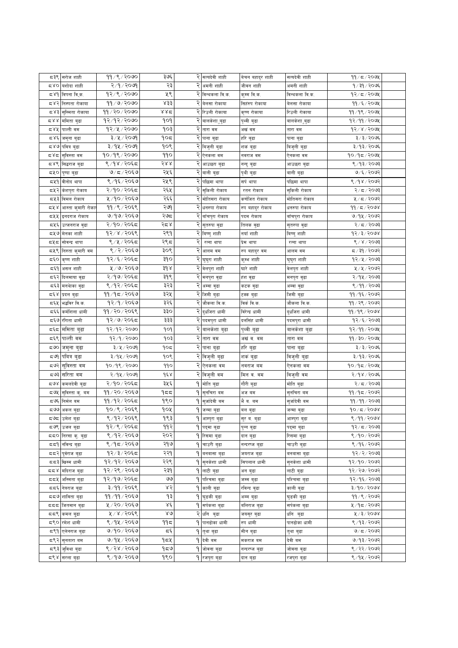| द३९                             | सरोज शाही                        | ११/९/२०७०                | ३७६          | २ | सत्यदेवी शाही                  | बेचन बहादुर शाही | सत्यदेवी शाही               | 99 / 5 / 209   |  |
|---------------------------------|----------------------------------|--------------------------|--------------|---|--------------------------------|------------------|-----------------------------|----------------|--|
| 580                             | यशोदा शाही                       | २/१/२०७१                 | २३           |   | अमनी शाही                      | जीवन शाही        | अमनी शाही                   | १/३१/२०७६      |  |
| ⊄ 8م                            | विपना वि्क.                      | १२/९/२०७०                | ५९           | २ | विन्थकला वि.क.                 | कुम्म वि.क.      | विन्थकला वि.क.              | १२/८/२०७५      |  |
| द४२                             | निस्पता रोकाया                   | ११/७/२०७०                | ४३३          | २ | बेलसा रोकाया                   | सिहरुप रोकाया    | बेलसा रोकाया                | ११ ⁄ ६ ⁄ २०७५  |  |
| 1≿ ×                            | सुस्मिता रोकाया                  | ११/२०/२०७०               | ४४द          |   | २ रिउली रोकाया                 | कृष्ण रोकाया     | रिउली रोकाया                | ११/१९/२०७५     |  |
| 5 8 8                           | ममिता बुढा                       | १२/१२/२०७०               | १०१          |   | बालकंशा ुबुढा                  | पृथ्वी बुढा      | बालकेशा ुबुढा               | 92/99/209      |  |
| ८४५                             | पाल्ती वम                        | १२/५/२०७०                | १०३          | २ | तारा वम                        | अखं वम           | तारा वम                     | 93 x x 300 x   |  |
| द४६                             | जमुना बुढा                       | ३/५/२०७१                 | १०८          | २ | पाना बुढा                      | हरि बुढा         | पाना बुढा                   | ३/३/२०७६       |  |
| © ∢ ⊽                           | पवित्र बुढा                      | ३/१५/२०७१                | १०९          |   | बिजुली बुढा                    | शकं बुढा         | विजुली बुढा                 | ३/१३/२०७६      |  |
| ದ४ದ                             | सुविस्ता वम                      | १०/१९/२०७०               | ggo          |   | ऐनकला वम                       | नवराज वम         | ऐनकला वम                    | १०/१८/२०७५     |  |
| द४९                             | सिद्धराज बुढा                    | ९/१४/२०६८                | $588$        | २ | आउछरा बुढा                     | नन्दु बुढा       | आउछरा बुढा                  | ९ ⁄ १३ ⁄ २०७३  |  |
| द५०                             | पुष्पा बुढा                      | $9/5/20$ ६७              | २५६          | २ | वाली बुढा                      | पृथी बुढा        | वाली बुढा                   | ७/६/२०७२       |  |
| द्रप्र१                         | वीनोद थापा                       | ९/१६/२०६७                | २५९          | २ | पछिमा थापा                     | सर्प थापा        | पछिमा थापा                  | ९ ⁄ १४ ⁄ २०७२  |  |
| द्रप्र२                         | केशपुरा रोकाय                    | २/१०/२०६८                | २६५          | २ | सुकिली रोकाय                   | रतन रोकाय        | सुकिली रोकाय                | २/८/२०७३       |  |
| द५३                             | विमल रोकाय                       | ५/१०/२०६७                | २६६          | २ | मोतिसरा रोकाय                  | कर्णजित रोकाय    | मोतिसरा रोकाय               | ५/८/२०७२       |  |
| द५४                             | आस्ता कुमारी रोकार               | ११/९/२०६९                | २७१          | २ | धनरुपा रोकाय                   | रुप बहादुर रोकाय | धनरुपा रोकाय                | 99 / 5 / 2008  |  |
| द्रप्र                          | इनदराज रोकाय                     | ७/१७/२०६७                | २७८          |   | बाँचपुरा रोकाय                 | पदम रोकाय        | बाँचपुरा रोकाय              | ७/१५/२०७२      |  |
| द्रप्रद                         | उत्जनराज बुढा                    | २/१०/२०६८                | २८४          |   | सुतरुपा वुढा                   | तिलक वुढा        | सुतरुपा वुढा                | २/८/२०७३       |  |
| द्रप्र७                         | मेनका शाही                       | १२/४/२०६९                | २९१          |   | विष्णु शाही                    | नयाँ शाही        | विष्णु शाही                 | १२⁄३⁄२०७४      |  |
| ದ೪ದ                             | सोवन्द्र थापा                    | ९/५/२०६८                 | २९८          | २ | रत्ना थापा                     | प्रेम थापा       | रत्ना थापा                  | ९ / ४ / २०७३   |  |
| द५९                             | निरुता कुमारी वम                 | ९/२/२०६७                 | ३०९          | २ | आलम वम                         | रुप बहादुर वम    | आलम वम                      | द ∕ ३१ ⁄ २०७२  |  |
| ಧ್ಳರಿ                           | कृष्ण शाही                       | १२/६/२०६८                | ३१०          | २ | घुघुरा शाही                    | कुम्भ शाही       | घुघुरा शाही                 | १२⁄५⁄२०७३      |  |
| द६१                             | असल शाही                         | $\overline{2/9/20}$ २०६७ | ३१४          | २ | वेलपुरा शाही                   | घारे शाही        | वेलपुरा शाही                | ५/५/२०७२       |  |
| द६२                             | दिलमाया वुढा                     | २/१७/२०६८                | ३१९          | २ | मनपुरा वुढा                    | हंश वुढा         | मनपुरा वुढा                 | २/१५/२०७३      |  |
| द६३                             | मनथाका वुढा                      | ९/१२/२०६८                | ३२३          | २ | अम्बा बुढा                     | कटक वुढा         | अम्बा बुढा                  | ९/११/२०७३      |  |
| द६४                             | प्रदल बुढा                       | ११/१८/२०६७               | ३२५          | २ | जिमी बुढा                      | टक्क बुढा        | जिमी बुढा                   | ११ ⁄ १६ ⁄ २०७२ |  |
| द६५                             | भद्धविर वि.क.                    | १२/१/२०६७                | ३२६          |   | जौकला वि.क.                    | विकंबि.क.        | जौकला वि.क.                 | ११ / २९ / २०७२ |  |
| द६६                             | कर्मशिला धामी                    | ११/२०/२०६९               | ३३०          |   | दुर्धाजरा धामी                 | विरेन्द्र धामी   | दुर्धाजरा धामी              | 99/98/2008     |  |
| ಧ್ಳತ                            | रंगिता धामी                      | १२/७/२०६८                | ३३३          | २ | पदमपुरा धामी                   | दर्लासंह धामी    | पदमपुरा धामी                | १२⁄६⁄२०७३      |  |
| द६द                             | ममिता बुढा                       | 9२/१२/२०७०               | १०१          |   | बालकंशा बुढा                   | पृथ्वी बुढा      | बालकंशा बुढा                | १२⁄११⁄२०७५     |  |
| द६९                             | पाल्ती वम                        | १२/१/२०७०                | १०३          | २ | तारा वम                        | अखंब, वम         | तारा वम                     | ११ ⁄ ३० ⁄ २०७५ |  |
| ಧಅ೦                             | जमुना बुढा                       | ३/५/२०७१                 | १०८          |   | पाना बुढा                      | हरि बुढा         | पाना बुढा                   | ३/३/२०७६       |  |
| द ७१                            | पवित्र बुढा                      | ३/१५/२०७१                | १०९          |   | २ विजुली बुढा                  | शक बुढा          | विजुली बुढा                 | ३/१३/२०७६      |  |
| द७२                             | सुविस्ता वम                      | 90/98/2000               | 990          |   | २ ऐनकला वम                     | नवराज बम         | एनकला वम                    | १०/१८/२०७५     |  |
| ಧಅ३                             | सरिता वम                         | २/१५/२०७१                | १६४          |   | २ विजुली वम                    | मिन व. वम        | विजुली वम                   | २/१४/२०७६      |  |
| $\mathbb{Z}_{\widehat{\sigma}}$ |                                  | २/१०/२०६८                | ३५६          |   | 9 मोति बुढा                    |                  |                             | २/८/२०७३       |  |
| દ્ર७५                           | कमलदेवी बुढा                     | ११/२०/२०६७               | १८८          |   | 9 सुनचिरा बम                   | गौरी बुढा        | मोति बुढा                   | ११/१८/२०७२     |  |
| ದ ಅ೯                            | सुविस्ता कु. वम<br>निर्मल बम     | ११/१२/२०६८               | १९०          | ۹ |                                | अज बम<br>भैव.वम  | सुनचिरा बम<br>सुर्जादेवी वम | ११/११/२०७३     |  |
|                                 | ८७७ अकल बुढा                     | १०/९/२०६९                | १०५          |   | सुजदिवी बम                     |                  |                             | 90/x/500x      |  |
|                                 |                                  | ९ ⁄ १२ ⁄ २०६९            | १९३          | ۹ | जन्मा बुढा                     | वल बुढा          | जन्मा बुढा                  | ९ ⁄ ११ ⁄ २०७४  |  |
| द७९                             | <b>८७८</b> उमेश बुढा             | १२/९/२०६द                | ११२          |   | ५  आम्पुरा बुढा<br>9 पदमा बुढा | सुर व. वुढा      | आम्पुरा बुढा                | १२⁄ ८/२०७३     |  |
|                                 | उजल बुढा<br>दद्र0 निरसा कु. बुढा | ९/१२/२०६७                | २०२          |   | <b>9</b> रिसमा बुढा            | पुन्न बुढा       | पद्मा बुढा                  | ९/१०/२०७२      |  |
|                                 |                                  | ९ ⁄ १८ ⁄ २०६७            | २१७          | ۹ |                                | दान बुढा         | रिसमा बुढा                  | ९/१६/२०७२      |  |
| 559                             | नविन्द्र बुढा                    | १२/३/२०६८                | २२१          |   | चाउरी बुढा<br>9 बनबासा बुढा    | नन्दरष्ज बुढा    | चाउरी बुढा                  |                |  |
| दद२                             | पूर्वराज बुढा<br>खिस्म धामी      | १२/१२/२०६७               | २२९          |   | 9 सनकेशा धामी                  | जयराज बुढा       | बनबासा बुढा                 | १२⁄२⁄२०७३      |  |
| ಧದ್                             |                                  |                          |              |   |                                | सिपलाल धामी      | सनकेशा धामी                 | १२/१०/२०७२     |  |
| ಧಧ४                             | मदिराज बुढा                      | १२⁄२९ ⁄ २०६७             | २३१<br>واقا  |   | १ लाटी बुढा                    | अनबुढा           | लाटी बुढा                   | १२/२७/२०७२     |  |
| ದದ⊻                             | अस्मिता बुढा                     | १२/१७/२०६८               |              | ۹ | पश्चिमा बुढा                   | जम्म बुढा        | पश्चिमा बुढा                | १२/१६/२०७३     |  |
| दद६                             | नेत्रराज बुढा                    | ३/११/२०६९                | ४२           | ۹ | काली बुढा                      | रविन्द बढा       | काली बुढा                   | ३/१०/२०७४      |  |
| ಧಧ9                             | शाविता बुढा                      | ११ ⁄ ११ ⁄ २०६७           | १३           | ۹ | घुडकी बुढा                     | अम्म बढा         | घुडकी बुढा                  | ११ / ९ / २०७२  |  |
| πππ                             | जितमान बुढा                      | ५ / २० / २०६७            | Χέ           | ۹ | सर्पकला बढा                    | बलिराज बुढा      | सर्पकला बुढा                | ५ ⁄ १८ ⁄ २०७२  |  |
| ಧದ೪                             | कमल बुढा                         | 4/8/3058                 | $80^{\circ}$ |   | २ धनि बुढा                     | जयसुर बुढा       | धनि बुढा                    | ५/३/२०७४       |  |
|                                 | ८९०  रमेश धामी                   | ९ ⁄ १४ ⁄ २०६७            | ११८          |   | <b>9 पानढोका धामी</b>          | रुप धामी         | पानढोका धामी                | ९ ⁄ १३ ⁄ २०७२  |  |
|                                 | ८९१ एलेनराज बुढा                 | ७/१०/२०६७                | تەتى         |   | 9 तुथा बुढा                    | मीन बुढा         | तुथा बुढा                   | 9/5/2092       |  |
|                                 | <b>८९२ सुनतारा बम</b>            | ७/१५ / २०६७              | १८५          |   | <b>੧  </b> देवी बम             | मकराज वम         | देवी बम                     | ७/१३/२०७२      |  |
| द९३                             | जुविथा बुढा                      | ९ / २४ / २०६७            | ৭৯৩          | ۹ | जोवना बुढा                     | नन्दरष्ज बुढा    | जोवना बुढा                  | ९ / २२ / २०७२  |  |
|                                 | ८९४ सरला बुढा                    | ९ ⁄ १७ ⁄ २०६७            | १९०          |   | 9 रजपुरा बुढा                  | दान बुढा         | रजपुरा बुढा                 | ९ ⁄ १५ ⁄ २०७२  |  |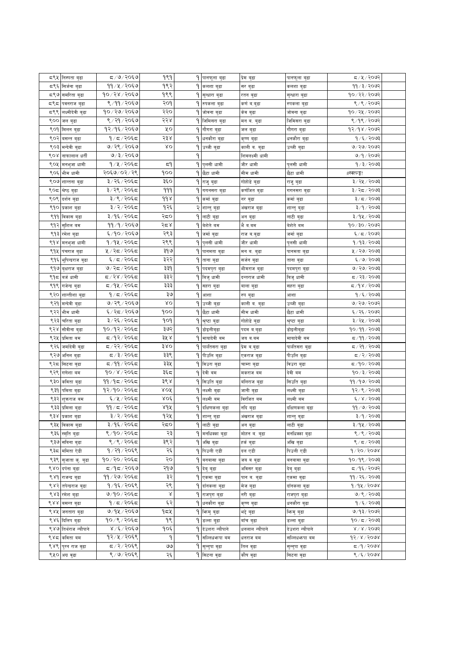| द९५ | निस्पता बुढा          | ८,⁄७⁄ २०६७     | १९१           | ٩ | पानफूला बुढा                | प्रेम बुढा      | पानफूला बुढा    | 5009                 |  |
|-----|-----------------------|----------------|---------------|---|-----------------------------|-----------------|-----------------|----------------------|--|
| द९६ | सिर्जना बुढा          | ११ / ५ / २०६७  | १९२           | ۹ | कलशा बुढा                   | सर बुढा         | कलशा बुढा       | ११ ⁄ ३ ⁄ २०७२        |  |
| द९७ | समरिता बुढा           | १०/२४/२०६७     | १९९           | ۹ | सुन्धारा बुढा               | रतन बुढा        | सुन्धारा बुढा   | १०/२२/२०७२           |  |
|     | ८९८ पवनराज बुढा       | ९/११/२०६७      | २०१           |   | <mark>9</mark> रुपकला बुढा  | कणं व.बुढा      | रुपकला बुढा     | ९ / ९ / २०७२         |  |
| द९९ | लक्ष्मीदेवी बुढा      | १०७२७/२०६७     | २२०           |   | १ जोवना बुढा                | कंव बुढा        | जोवना बुढा      | १०७२५७२०७२           |  |
|     | ९०० जल बुढा           | ९ / २१ / २०६७  | २२४           |   | <b>9</b> जिमिसरा बुढा       | मन व. बुढा      | जिमिसरा बुढा    | ९/१९/२०७२            |  |
|     | ९०१ मिलन बुढा         | १२/१६/२०६७     | ५०            |   | <b>9 गौगरा</b> बुढा         | जल बुढा         | गौगरा बुढा      | 98/98/9092           |  |
|     | ९०२ वसन्त बुढा        | १ ⁄ द ⁄ २०६द   | २३४           |   | 9 धनकौरा बुढा               | कृष्ण बुढा      | धनकौरा बुढा     | १/६/२०७३             |  |
|     | ९०३ मन्देवी बुढा      | ७/२९/२०६७      | δO            |   | 9 उब्जी बुढा                | काली व. बुढा    | उब्जीवुढा       | ७/२७/२०७२            |  |
| ९०४ | नाफालाल धती           | ७/३/२०६७       |               | ٩ |                             | शिवलक्ष्मी धामी |                 | ७/१/२०७२             |  |
| ९०५ | मनभ्जा धामी           | १ ⁄ ५ ⁄ २०६द   | ≂੧            | ۹ | पुलसी धामी                  | जीर धामी        | पुलसी धामी      | १ ⁄ ३ ⁄ २०७३         |  |
| ९०६ | भीम धामी              | २०६७/०२/२९     | १००           | ۹ | छेटा धामी                   | मीम धामी        | छेटा धामी       | #स्क्त्ल्ङ्क!        |  |
| ९०७ |                       | ३/२६/२०६८      | ३६०           | ۹ |                             |                 |                 | ३/२५/२०७३            |  |
| ९०६ | शान्तना बुढा          | ३/२९/२०६८      | 999           |   | राजु बुढा                   | गोहोडे बुढा     | राजुबुढा        | ३/२८/२०७३            |  |
|     | श्रेष्ठ बुढा          |                | $d d \lambda$ | ٩ | गगनसरा बुढा                 | कर्णजित बुढा    | गगनसरा बुढा     |                      |  |
|     | ९०९ दर्शन बुढा        | ३/९/२०६द       |               |   | 9 कर्मा बुढा                | नर बुढा         | कमो बुढा        | ३/८/२०७३             |  |
|     | ९१० प्रकाश बुढा       | ३/२/२०६८       | १२६           |   | २ शान्तु बुढा               | अंखराज बुढा     | शान्तु बुढा     | ३/१/२०७३             |  |
|     | ९११ विकास बुढा        | ३/१६/२०६८      | २द०           |   | 9 लाटी बुढा                 | अन बुढा         | लाटी बुढा       | ३/१५/२०७३            |  |
| ९१२ | सुशिल वम              | ११/१/२०६७      | २८४           |   | <b>9</b> बेशेते बम          | भैवत्यम         | बेशेते वम       | १०/३०/२०७२           |  |
| ९१३ | रमेश बुढा             | ६/१०/२०६७      | २९३           | ۹ | जर्मा बुढा                  | राज ब.बुढा      | जर्मा बुढा      | ६/८/२०७२             |  |
| ९१४ | मनभुजा धामी           | १/१५/२०६८      | २९९           | ٩ | पुलसी धामी                  | जीर धामी        | पुलसी धामी      | १/१३/२०७३            |  |
| ९१५ | पंचराज बुढा           | ५/२८/२०६८      | ३१७           | ۹ | पानमता बुढा                 | मन ब. बुढा      | पानमता बुढा     | ५ / २७ / २०७३        |  |
|     | ९१६ भूषिन्द्रराज बुढा | ६/८/२०६८       | ३२२           | ۹ | ताना बुढा                   | सजन बुढा        | ताना बुढा       | ६/७/२०७३             |  |
|     | ९१७ बृक्षराज बुढा     | ७/२८/२०६८      | ३३१           |   | १ पदमपुरा बुढा              | भीमराज बुढा     | पदमपुरा बुढा    | ७/ २७/ २०७३          |  |
| ९१८ | बर्ज धामी             | द / २४ / २०६द  | ३३२           |   | १ विजु धामी                 | दन्तराज धामी    | बिजु धामी       | द ∕ २३ ⁄ २०७३        |  |
|     | ९१९ गजेन्द्र बुढा     | द ⁄ १५ ⁄ २०६द  | ३३३           |   | 9 सहरा बुढा                 | बाला बुढा       | सहरा बुढा       | द ⁄ १४ ⁄ २०७३        |  |
| ९२० | शान्तीशा बुढा         | १/८/२०६८       | ঽ७            | ٩ | आशा                         | रुप बुढा        | आशा             | १/६/२०७३             |  |
| ९२१ | मन्देवी बुढा          | ७/२९/२०६७      | ΧO            | ۹ | उब्जीवुढा                   | काली ब. बुढा    | उब्जीवुढा       | ७/२७/२०७२            |  |
| ९२२ | भीम धामी              | ६ ⁄ २८ ⁄ २०६७  | १००           | ۹ | छेटा धामी                   | मीम धामी        | छेटा धामी       | ६/२६/२०७२            |  |
| ९२३ | चरिता बुढा            | ३/२६/२०६८      | १०१           | ۹ | श्रृष्टा बुढा               | गोहोडे बुढा     | श्रृष्टा बुढा   | ३/२५/२०७३            |  |
| ९२४ | सोवीना बुढा           | १०/१२/२०६८     | ३७२           | ۹ | डोइलीबुढा                   | पदम ब.बुढा      | डोइलीबुढा       | १०/११/२०७३           |  |
| ९२५ | प्रमिता बम            | द ⁄१२⁄ २०६द    | ३५ ४          | ٩ | मायादेवी बम                 | जय ब.बम         | मायादेवी बम     | 5/99/2003            |  |
| ९२६ | जमोदेवी बुढा          | द ⁄ २२∕ २०६द   | ३४०           |   | 9 पार्लतसरा बुढा            | प्रेम ब.बुढा    | पालेतसरा बुढा   | द ⁄ २१ ⁄ २०७३        |  |
|     | ९२७ अनिल बुढा         | द /३/२०६द      | ३३९           |   | 9 पीउलि बुढा                | एकराज बुढा      | पीउलि बुढा      | $\frac{2005}{2}$     |  |
| ९२८ | सिटना बुढा            | द ⁄ ११ ⁄ २०६द  | ३३५           |   | 9 विउरा बुढा                | चाम्रा बुढा     | विउरा बुढा      | द⁄१०∕२०७३            |  |
| ९२९ | गणेशा वम              | १०/४/२०६८      | ३६८           | ۹ | देवी बम                     | मकराज बम        | देवी बम         | १०७३/२०७३            |  |
| ९३० | कविता बुढा            | ११ ⁄ १८ ⁄ २०६८ | ३९४           |   | 9 सिउति बुढा                | बलिराज बुढा     | सिउति बुढा      | ११ ∕ १७ ∕ २०७३       |  |
| ९३१ | पविता बुढा            | १२/१०/२०६द     | ४०४           | ۹ | लक्ष्मी बुढा                | जानी बुढा       | लक्ष्मी बुढा    | १२/९/२०७३            |  |
| ९३२ | शुक्रराज बम           | ६/५/२०६८       | $X$ OÉ        | ۹ | लक्ष्मी बम                  | विरजित बम       | लक्ष्मी बम      | ६/४/२०७३             |  |
|     | ९३३ प्रमिला बुढा      | ११ ⁄ द ⁄ २०६द  | ४१५           | ۹ | दक्षिणकला बुढा              | नदि बुढा        | दक्षिणकला बुढा  | ११ ⁄ ७ ⁄ २०७३        |  |
|     | ९३४ प्रकाश बुढा       | ३/२/२०६८       | १२५           |   | 9 शान्तु बुढा               | अखराज बुढा      | शान्तु बुढा     | ३∕१∕२०७३             |  |
|     | ९३५ विकास बुढा        | ३/१६/२०६८      | २द्र०         |   | 9 लाटी बुढा                 | अन बुढा         | लाटी बढा        | ३/१५/२०७३            |  |
|     | ९३६ स्मृति वढा        | ९/१०/२०६८      | २३            |   | 9 मनधिक्का बुढा             | मोहन व. बुढा    | मनधिक्का बुढा   | ९/९/२०७३             |  |
|     | ९३७ सबिना बढा         | ९/९/२०६८       | ३९२           |   | 9 अंखि बुढा                 | हर्क बुढा       | अंखि बुढा       | ९/८/२०७३             |  |
|     | ९३८ ममिता ऐडी         | १/२१/२०६९      | २६            |   | <b>9 पिउली एडी</b>          | दल एडी          | पिउली एडी       | 9/20/3008            |  |
|     | ९३९ सुजाता कु. बुढा   | १०/२०/२०६८     | २०            |   | 9 बनबासा बुढा               | जय व बुढा       | वनवासा बुढा     | १०/१९/२०७३           |  |
|     | ९४० दर्पना बढा        | द ⁄ १द ⁄ २०६७  | २१७           |   | 9 देवु बुढा                 | अविसर बुढा      | देवुवुढा        | द ⁄ १६ ⁄ २०७२        |  |
|     | ९४१ राजन्द्र बुढा     | ११ / २७ / २०६८ | ३२            |   | 9 एकमा बुढा                 | पान ब. बुढा     | एकमा बुढा       | ११ / २६ / २०७३       |  |
|     | ९४२ तपेन्द्रराज बुढा  | १/१६/२०६९      | २९            |   | <b>9</b> दाँनकला बुढा       | मेज बुढा        | दाँनकला बुढा    | १/१५/२०७४            |  |
|     | ९४३ रमेश बुढा         | ७/१०/२०६८      | $\propto$     |   | <mark>9</mark> राजपुरा बुढा | नरीबुढा         | राजपुरा बुढा    | ७/९/२०७३             |  |
|     | ९४४ वसन्त बुढा        | $9/5/20$ ६     | ६२            |   | 9∣धनकौरा बुढा               | कृष्ण वृढा      | धनकौरा बुढा     | $9$ ⁄६⁄२०७३          |  |
|     | ९४५ जनतारा बुढा       | ७/१५/२०६७      | १८५           |   | १ भिन्मु बुढा               | भद्दे बुढा      | भिन्मु बुढा     | ७/१३/२०७२            |  |
|     | ९४६ दिलिप बुढा        | १०/९/२०६८      | ۹९            |   | १ डल्ला बुढा                |                 | डल्ला बुढा      | 90 / 5 / 209         |  |
|     |                       | ४ ⁄ ६ ⁄ २०६७   |               |   |                             | बाँच बुढा       |                 | 8/8/5005             |  |
|     | ९४७ तिर्थराज न्यौपाने | १२/५/२०६९      | १०६           |   | १ देउशरा न्यौपाने           | धनलाल न्यौपाने  | देउशरा न्यौपाने | $93/x \times 500x$   |  |
|     | ९४८  कविता वम         | द /२/२०६९      | ۹<br>واقا     |   | 9 सल्लिधफपा बम              | धनराज बम        | सल्लिधभ्रुपा बम |                      |  |
|     | ९४९ पुरन राज बुढा     | ९/७/२०६९       |               |   | 9 सुन्नुपा वुढा             | तिल बुढा        | सुन्नुपा वुढा   | 5/9/2008<br>8/5/2008 |  |
|     | ९५० अग्र बुढा         |                | २६            |   | १ सिटना बुढा                | कौष बुढा        | सिटना वुढा      |                      |  |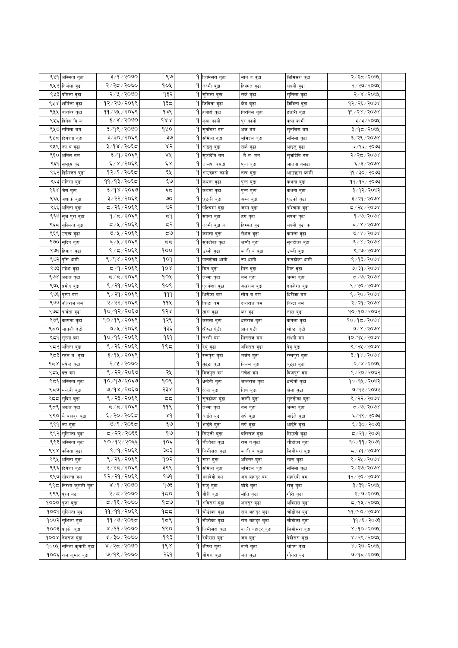| ९५१ | अस्मिता वुढा           | ३/१/२०७०                     | ९७          |    | 9 जिमिसरा बुढा           | मान व वुढा        | जिमिसरा वुढा   | २/२८/२०७१                                     |  |
|-----|------------------------|------------------------------|-------------|----|--------------------------|-------------------|----------------|-----------------------------------------------|--|
| ९५२ | निर्जला वुढा           | २/२द/२०७०                    | १०५         | ٩. | लक्ष्मी बुढा             | हिक्मत बुढा       | लक्ष्मी बुढा   | २/२७/२०७५                                     |  |
| ९५३ | प्रमिला वुढा           | २/५/२०७०                     | १३२         | ٩  | सुसिला वुढा              | सर्क बुढा         | सुसिला वुढा    | २/४/२०७१                                      |  |
| ९५४ | शर्मिला वुढा           | १२/२७/२०६९                   | १३८         |    | 9 जिविना बुढा            | केब बुढा          | जिविना बुढा    | १२/२६/२०७४                                    |  |
| ९५५ | बलविर बुढा             | ११/२५/२०६९                   | १३९         |    | 9 हजारी बुढा             | बिरबिल बुढा       | हजारी वुढा     | dd/ds/do                                      |  |
| ९५६ | दिनेश विक              | ३/४/२०७०                     | 988         |    | 9 कृषा कामी              | पुर कामी          | कृषा कामी      | ३/३/२०७५                                      |  |
| ९५७ | सर्मिला बम             | ३/१९/२०७०                    | १५०         |    | 9 सुनचिरा बम             | अज बम             | सुनचिरा बम     | ३/१८/२०७५                                     |  |
|     | ९५८ दिगंशा वुढा        | ३/३०/२०६९                    | ३७          | ۹  | समिला वुढा               | भुमिदल बुढा       | सर्मिला वुढा   | ३/२९/२०७४                                     |  |
| ९५९ | रुप व वुढा             | ३/१४/२०६८                    | ४२          | ۹  | आइतु वुढा                | सकं बुढा          | आइतु वुढा      | ३/१३/२०७३                                     |  |
| ९६० | अनिल बम                | ३/१/२०६९                     | ४५          |    | सुजदिवि बम               | भेंब. बम          | सुजदिवि वम     | २/२८/२०७४                                     |  |
| ९६१ | सुभाुस वुढा            | ६/४/२०६९                     | έχ          | ۹  | जालपा वसढा               | पुन्न बुढा        | जालपा वसढा     | ६/३/२०७४                                      |  |
| ९६२ | डिभिजन वुढा            | १२/१/२०६८                    | ६५          | ۹  | आउछारा कामी              | नन्द बुढा         | आउछारा कामी    | ११ / ३० / २०७३                                |  |
| ९६३ | मनिसा बुढा             | ११/१३/२०६८                   | و پ         | ٩  | कथना वुढा                | पुन्न बुढा        | कथना वुढा      | ११ ∕ १२ ⁄ २०७३                                |  |
|     | ९६४ जेस वुढा           | ३/१४/२०६७                    | ६८          |    | 9 कथना बुढा              | पुन्न बुढा        | कथना वुढा      | ३/१२/२०७२                                     |  |
| ९६५ | अशाकं वुढा             | ३/२२/२०६९                    | ৩০          |    | १ घुड्की वुढा            | अम्ब बुढा         | घुड्की वुढा    | ३/२१/२०७४                                     |  |
| ९६६ | अनिता बुढा             | द / २६ / २०६९                | ও२          | ۹۱ | पश्चिमा वुढा             | जम्म वुढा         | पश्चिमा बुढा   | द ∕ २५ ∕ २०७४                                 |  |
| ९६७ | सुर्ज पुरा बुढा        | १/८/२०६९                     | 5٩          | ۹۱ | सपना बुढा                | ठग वुढा           | सपना बुढा      | 9/9/2098                                      |  |
| ९६८ |                        | ८/५/२०६९                     | द२          | ۹۱ | लक्ष्मी बुढा क           |                   |                | $Z/X$ / $500X$                                |  |
| ९६९ | सुस्मिता वुढा          | ७/५/२०६९                     | ಧಅ          | ۹  |                          | हिम्मत बुढा       | लक्ष्मी बुढा क | $0^{\circ}$ , $8^{\circ}$ , $600$             |  |
| ९७० | उप्न्द्र वुढा          | ६/५/२०६९                     | ςς          | ٩  | कमला बुढा                | रोशन वुढा         | कमला वुढा      | $\frac{2}{3}$ / $\frac{2}{3}$ / $\frac{2}{3}$ |  |
| ९७१ | सुदिप बुढा             | ९/८/२०६९                     | १००         |    | सुनदोका वुढा             | जग्गी बुढा        | सुनदोका वुढा   | 8/0/2008                                      |  |
| ९७२ | हिमाल बुढा             | ९/१४/२०६९                    | १०१         |    | 9 उब्जी बुढा             | काली व वुढा       | उब्जीवुढा      |                                               |  |
|     | पुसि धामी              |                              |             | ۹۱ | पानढोका धामी             | रुप धामी          | पानढोका धामी   | ९/१३/२०७४                                     |  |
|     | ९७३ महेश बुढा          | ८/१/२०६९<br>5/5/20           | १०४         |    | १ मिन बुढा               | मिन वुढा          | मिन वुढा       | ७/३१/२०७४                                     |  |
|     | ९७४ अकल बुढा           |                              | १०५         |    | 9 जन्मा बुढा             | वल बुढा           | जन्मा बुढा     | 5/9/3098                                      |  |
| ९७५ | प्रमोद वुढा            | ९/२१/२०६९                    | १०९         |    | 9 एनकेशा वुढा            | अखराज वुढा        | एनकेशा वुढा    | 8/80/8008                                     |  |
| ९७६ | पुस्पा बम              | ९ / २१ / २०६९                | 999         |    | <b>9 धिरीजा</b> बम       | लोग व बम          | धिरीजा बम      | ९ / २० / २०७४                                 |  |
| ९७७ | वलिराज वम              | २ / २२ / २०६९                | ११५         |    | <b>१ बिन्द्रा</b> बम     | दन्तराज बम        | बिन्द्रा बम    | २/२१/२०७४                                     |  |
| ९७८ | पावेता वुढा            | <u>१०/१२/२०६७</u>            | d s         | ۹  | तारा बुढा                | कर वुढा           | तारा वुढा      | १०/१०/२०७२                                    |  |
| ९७९ | कल्पना बुढा            | १०/१९/२०६९                   | १२९         | ٩  | कमला बुढा                | धर्मराज वुढा      | कमला वुढा      | १०/१८/२०७४                                    |  |
| ९८० | जानकी ऐुडी             | ७/५/२०६९                     | १३६         | ٩  | श्रीप्टा ऐडी             | ज्ञान एडी         | श्रीष्टा ऐडी   | $0^3$ x $\le$ 500x                            |  |
| ९८१ | सुस्मा बम              | १०/१६/२०६९                   | १६१         | ۹  | लक्ष्मी बम               | मिनराज बम         | लक्ष्मी बम     | १०/१५/२०७४                                    |  |
| ९८२ | अनिता वुढा             | ९ / २६ / २०६९                | १९८         |    | १ देबु बुढा              | अविसरा वुढा       | देवुवुढा       | ९ / २५ / २०७४                                 |  |
| ९८३ | रतन व. बुढा            | ३/१५/२०६९                    |             | ٩  | रन्नपुरा बुढा            | मजन बुढा          | रन्नपुरा बुढा  | $3\sqrt{d}$ $8\sqrt{d}$ $0$ $0$ $8\sqrt{d}$   |  |
| ९८४ | भुपेन्द्र बुढा         | २/५/२०७०                     |             | ۹  | बुद्टा बुढा              | विलम बुढा         | बुद्टा बुढा    | २/४/२०७५                                      |  |
| ९८५ | दत्त वम                | ९ / २२ / २०६७                | २५          | ۹۱ | विजपुरा वम               | गणेश वम           | विजपुरा वम     | ९ / २० / २०७२                                 |  |
| ९द६ | अस्मिता बुढा           | १०७१७/२०६७                   | १०९         | ۹  | धन्देवी बुढा             | जन्तराज बुढा      | धन्देवी बुढा   | १०/१५/२०७२                                    |  |
|     | ९८७ मन्देवी बुढा       | ७/१४/२०६७                    | २३४         |    | 9 क्षेला बुढा            | तिर्थ बुढा        | क्षेला बुढा    | ७/१२/२०७२                                     |  |
|     | ९८८  सुदिप बुढा        | ९ / २३ / २०६९                | 55          | ٩  | सुनढोका बुढा             | जग्गी बुढा        | सुनढोका बुढा   | ९ / २२ / २०७४                                 |  |
|     | ९८९ अकल बुढा           | 5905/7                       | 99९         |    | 9 जन्मा बुढा             | वल बुढा           | जन्मा बुढा     | ८८/७/२०७४                                     |  |
|     | ९९० भै वहादुर बुढा     | ६/२०/२०६८                    | $\lambda d$ |    | $\overline{9}$ आईते बुढा | सर्प बुढा         | आईते बुढा      | ६/१९/२०७३                                     |  |
|     | ९९१ रुप बुढा           | ७/१/२०६८                     | ي ع         |    | 9 आईते बुढा              | सर्प बुढा         | आईते बुढा      | ६/३०/२०७३                                     |  |
|     | ९९२ सुस्मिता बुढा      | द / २२ / २०६६                | ۹७          |    | 9 सिउती बुढा             | वलिराज बुढा       | सिउती बुढा     | 5/29/209                                      |  |
|     | ९९३ अस्मिता बुढा       | १०/१२/२०६६                   | १०६         |    | 9 चौडोका बुढा            | राम व.बुढा        | चौडोका बुढा    | १०/११/२०७१                                    |  |
|     | ९९४ कबिता बुढा         | ९/१/२०६९                     | ३०३         |    | <b>9 जिमीसरा</b> बुढा    | काली वं बुढा      | जिमीसरा बुढा   | द∕३१∕२०७४                                     |  |
|     | ९९५ अनिता बुढा         | ९ / २६ / २०६९                | १०२         |    | 9 सारा बुढा              | अविसर बुढा        | सारा बुढा      | ९ / २५ / २०७४                                 |  |
|     | ९९६ दिर्गेशा बुढा      | २/२८/२०६९                    | ३९९         | ٩  | सर्मिला बुढा             | भुमिदल बुढा       | समिला बुढा     | $8/800$ / $800$                               |  |
|     | ९९७ सोवन्ना वम         | १२/२१/२०६९                   | १७१         |    | <b>9</b> महादेवी वम      | जय बहादुर वम      | महादेवी वम     | १२/२०/२०७४                                    |  |
|     | ९९८ निरशा कुमारी बुढा  | 8/9/2000                     | १७३         |    | 9 राजु बुढा              | घोडे बुढा         | राजु बुढा      | ३/३१/२०७५                                     |  |
|     | ९९९ पुरन बढा           | २/८/२०७०                     | 950         |    | <b>9 गौरी बुढा</b>       | मोति बुढा         | गौरी बुढा      | $\overline{R}/6$ / $\delta$ / $\delta$        |  |
|     | १००० पुजा बुढा         | ८८/९६⁄२०७०                   | 959         |    | १ अविसरा बुढा            | अगंसुर बुढा       | अविसरा बुढा    | ८/१५/२०७५                                     |  |
|     | १००१ सुस्मिता बुढा     | ११/११/२०६९                   | १८८         |    | 9 चौडोका बुढा            | राम बहादुर बुढा   | चौडोका बुढा    | 99/90/2008                                    |  |
|     | १००२ सुशिला बुढा       | ११ / ७ / २०६८                | १८९         | ۹۱ | चौडोका बुढा              | राम बहादुर बुढा   | चौडोका बुढा    | ११ /६ / २०७३                                  |  |
|     | १००३ प्रकृति बुढा      | ४ ⁄ ११ ⁄ २०७०                | १९०         |    | 9 जिमीसरा बुढा           | काली बहादुर ुबुढा | जिमीसरा बुढा   | ४/१०/२०७५                                     |  |
|     | १००४ नेत्रराज बुढा     | $8 \times 50 \times 50$ १०७० | १९३         |    | १ देवीसरा बुढा           | जय बुढा           | देवीसरा बुढा   | ४ / २९ / २०७५                                 |  |
|     | १००५ सविता कुमारी बुढा | ४ / २द / २०७०                | १९४         |    | १ श्रीष्टा बुढा          | वाचें बुढा        | श्रीष्टा बुढा  | ४ / २७ / २०७५                                 |  |
|     | १००६ राज कुमार बुढा    | ७/१९/२०७०                    | २६१         |    | 9 गौगरा बुढा             | जल बुढा           | गौगरा बुढा     | 9/95/209                                      |  |
|     |                        |                              |             |    |                          |                   |                |                                               |  |